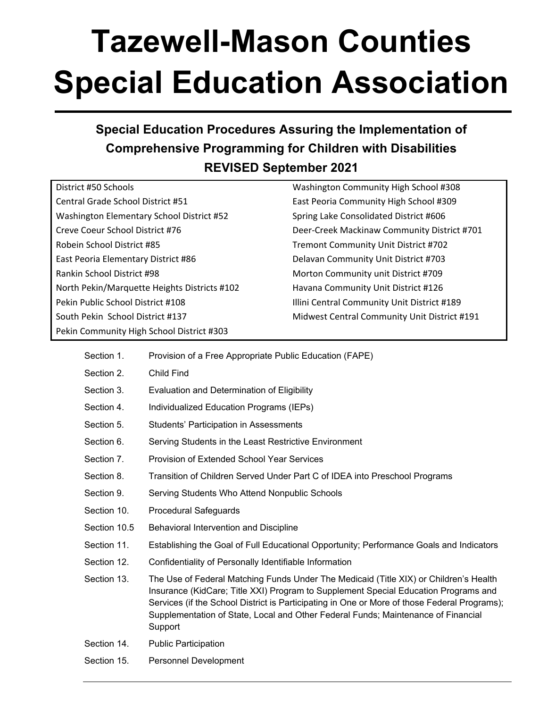# **Tazewell-Mason Counties Special Education Association**

# **Special Education Procedures Assuring the Implementation of Comprehensive Programming for Children with Disabilities REVISED September 2021**

| District #50 Schools                         |  |
|----------------------------------------------|--|
| Central Grade School District #51            |  |
| Washington Elementary School District #52    |  |
| Creve Coeur School District #76              |  |
| Robein School District #85                   |  |
| East Peoria Elementary District #86          |  |
| Rankin School District #98                   |  |
| North Pekin/Marquette Heights Districts #102 |  |
| Pekin Public School District #108            |  |
| South Pekin School District #137             |  |
| Pekin Community High School District #303    |  |

Washington Community High School #308 East Peoria Community High School #309 Spring Lake Consolidated District #606 Deer-Creek Mackinaw Community District #701 Tremont Community Unit District #702 Delavan Community Unit District #703 Morton Community unit District #709 Havana Community Unit District #126 Illini Central Community Unit District #189 Midwest Central Community Unit District #191

| Section 1.   | Provision of a Free Appropriate Public Education (FAPE)                                                                                                                                                                                                                                                                                                                      |
|--------------|------------------------------------------------------------------------------------------------------------------------------------------------------------------------------------------------------------------------------------------------------------------------------------------------------------------------------------------------------------------------------|
| Section 2.   | Child Find                                                                                                                                                                                                                                                                                                                                                                   |
| Section 3.   | Evaluation and Determination of Eligibility                                                                                                                                                                                                                                                                                                                                  |
| Section 4.   | Individualized Education Programs (IEPs)                                                                                                                                                                                                                                                                                                                                     |
| Section 5.   | <b>Students' Participation in Assessments</b>                                                                                                                                                                                                                                                                                                                                |
| Section 6.   | Serving Students in the Least Restrictive Environment                                                                                                                                                                                                                                                                                                                        |
| Section 7.   | <b>Provision of Extended School Year Services</b>                                                                                                                                                                                                                                                                                                                            |
| Section 8.   | Transition of Children Served Under Part C of IDEA into Preschool Programs                                                                                                                                                                                                                                                                                                   |
| Section 9.   | Serving Students Who Attend Nonpublic Schools                                                                                                                                                                                                                                                                                                                                |
| Section 10.  | <b>Procedural Safeguards</b>                                                                                                                                                                                                                                                                                                                                                 |
| Section 10.5 | Behavioral Intervention and Discipline                                                                                                                                                                                                                                                                                                                                       |
| Section 11.  | Establishing the Goal of Full Educational Opportunity; Performance Goals and Indicators                                                                                                                                                                                                                                                                                      |
| Section 12.  | Confidentiality of Personally Identifiable Information                                                                                                                                                                                                                                                                                                                       |
| Section 13.  | The Use of Federal Matching Funds Under The Medicaid (Title XIX) or Children's Health<br>Insurance (KidCare; Title XXI) Program to Supplement Special Education Programs and<br>Services (if the School District is Participating in One or More of those Federal Programs);<br>Supplementation of State, Local and Other Federal Funds; Maintenance of Financial<br>Support |
| Section 14.  | <b>Public Participation</b>                                                                                                                                                                                                                                                                                                                                                  |
| Section 15.  | Personnel Development                                                                                                                                                                                                                                                                                                                                                        |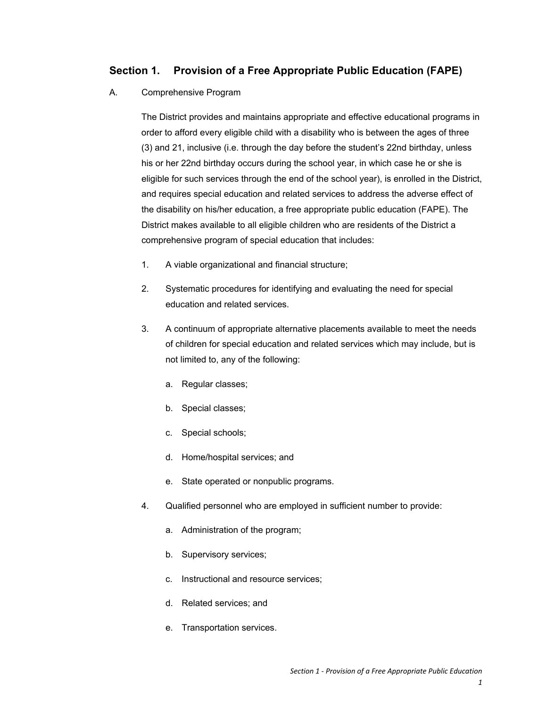# **Section 1. Provision of a Free Appropriate Public Education (FAPE)**

#### A. Comprehensive Program

The District provides and maintains appropriate and effective educational programs in order to afford every eligible child with a disability who is between the ages of three (3) and 21, inclusive (i.e. through the day before the student's 22nd birthday, unless his or her 22nd birthday occurs during the school year, in which case he or she is eligible for such services through the end of the school year), is enrolled in the District, and requires special education and related services to address the adverse effect of the disability on his/her education, a free appropriate public education (FAPE). The District makes available to all eligible children who are residents of the District a comprehensive program of special education that includes:

- 1. A viable organizational and financial structure;
- 2. Systematic procedures for identifying and evaluating the need for special education and related services.
- 3. A continuum of appropriate alternative placements available to meet the needs of children for special education and related services which may include, but is not limited to, any of the following:
	- a. Regular classes;
	- b. Special classes;
	- c. Special schools;
	- d. Home/hospital services; and
	- e. State operated or nonpublic programs.
- 4. Qualified personnel who are employed in sufficient number to provide:
	- a. Administration of the program;
	- b. Supervisory services;
	- c. Instructional and resource services;
	- d. Related services; and
	- e. Transportation services.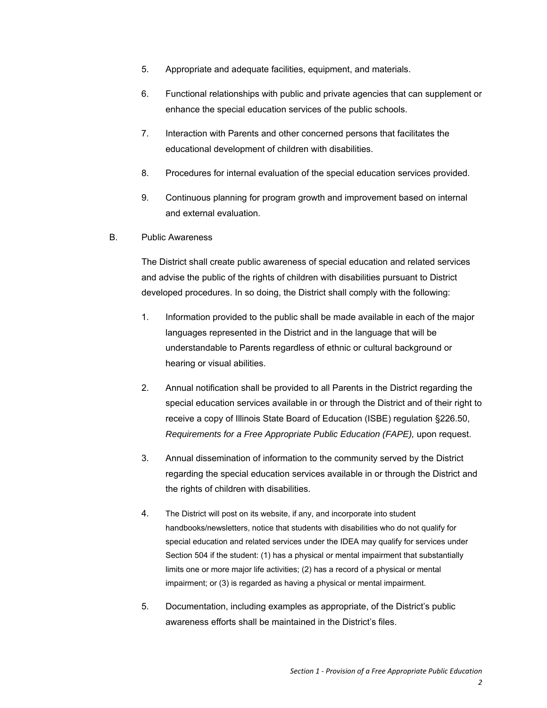- 5. Appropriate and adequate facilities, equipment, and materials.
- 6. Functional relationships with public and private agencies that can supplement or enhance the special education services of the public schools.
- 7. Interaction with Parents and other concerned persons that facilitates the educational development of children with disabilities.
- 8. Procedures for internal evaluation of the special education services provided.
- 9. Continuous planning for program growth and improvement based on internal and external evaluation.
- B. Public Awareness

The District shall create public awareness of special education and related services and advise the public of the rights of children with disabilities pursuant to District developed procedures. In so doing, the District shall comply with the following:

- 1. Information provided to the public shall be made available in each of the major languages represented in the District and in the language that will be understandable to Parents regardless of ethnic or cultural background or hearing or visual abilities.
- 2. Annual notification shall be provided to all Parents in the District regarding the special education services available in or through the District and of their right to receive a copy of Illinois State Board of Education (ISBE) regulation §226.50, *Requirements for a Free Appropriate Public Education (FAPE),* upon request.
- 3. Annual dissemination of information to the community served by the District regarding the special education services available in or through the District and the rights of children with disabilities.
- 4. The District will post on its website, if any, and incorporate into student handbooks/newsletters, notice that students with disabilities who do not qualify for special education and related services under the IDEA may qualify for services under Section 504 if the student: (1) has a physical or mental impairment that substantially limits one or more major life activities; (2) has a record of a physical or mental impairment; or (3) is regarded as having a physical or mental impairment.
- 5. Documentation, including examples as appropriate, of the District's public awareness efforts shall be maintained in the District's files.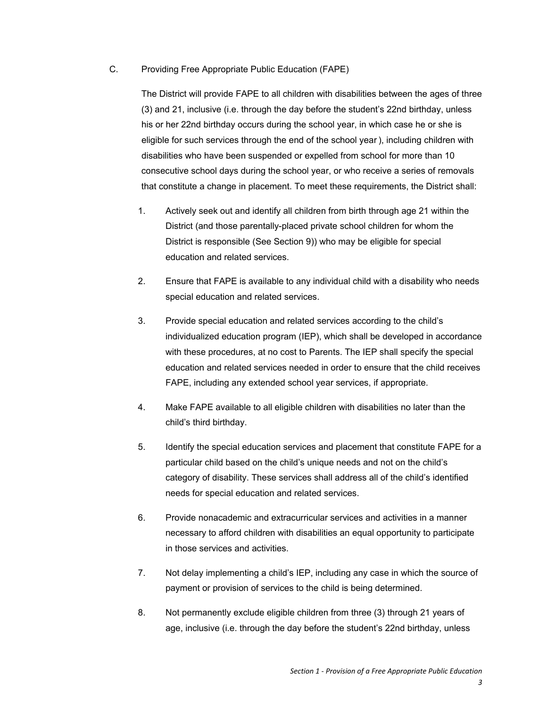#### C. Providing Free Appropriate Public Education (FAPE)

The District will provide FAPE to all children with disabilities between the ages of three (3) and 21, inclusive (i.e. through the day before the student's 22nd birthday, unless his or her 22nd birthday occurs during the school year, in which case he or she is eligible for such services through the end of the school year ), including children with disabilities who have been suspended or expelled from school for more than 10 consecutive school days during the school year, or who receive a series of removals that constitute a change in placement. To meet these requirements, the District shall:

- 1. Actively seek out and identify all children from birth through age 21 within the District (and those parentally-placed private school children for whom the District is responsible (See Section 9)) who may be eligible for special education and related services.
- 2. Ensure that FAPE is available to any individual child with a disability who needs special education and related services.
- 3. Provide special education and related services according to the child's individualized education program (IEP), which shall be developed in accordance with these procedures, at no cost to Parents. The IEP shall specify the special education and related services needed in order to ensure that the child receives FAPE, including any extended school year services, if appropriate.
- 4. Make FAPE available to all eligible children with disabilities no later than the child's third birthday.
- 5. Identify the special education services and placement that constitute FAPE for a particular child based on the child's unique needs and not on the child's category of disability. These services shall address all of the child's identified needs for special education and related services.
- 6. Provide nonacademic and extracurricular services and activities in a manner necessary to afford children with disabilities an equal opportunity to participate in those services and activities.
- 7. Not delay implementing a child's IEP, including any case in which the source of payment or provision of services to the child is being determined.
- 8. Not permanently exclude eligible children from three (3) through 21 years of age, inclusive (i.e. through the day before the student's 22nd birthday, unless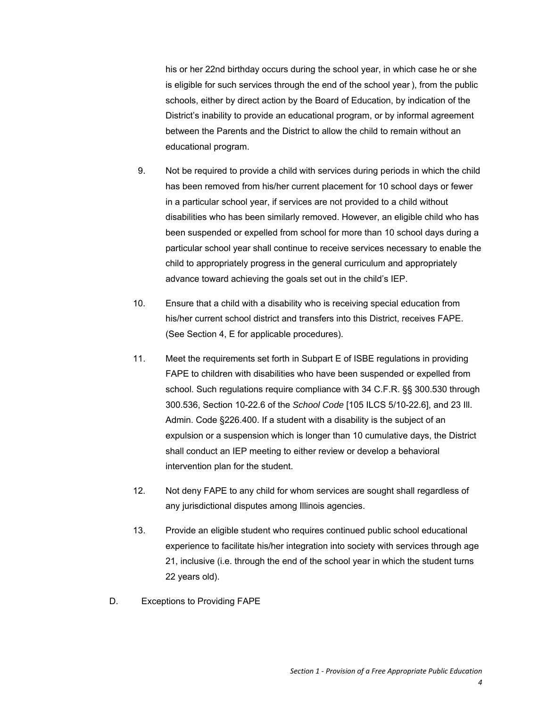his or her 22nd birthday occurs during the school year, in which case he or she is eligible for such services through the end of the school year ), from the public schools, either by direct action by the Board of Education, by indication of the District's inability to provide an educational program, or by informal agreement between the Parents and the District to allow the child to remain without an educational program.

- 9. Not be required to provide a child with services during periods in which the child has been removed from his/her current placement for 10 school days or fewer in a particular school year, if services are not provided to a child without disabilities who has been similarly removed. However, an eligible child who has been suspended or expelled from school for more than 10 school days during a particular school year shall continue to receive services necessary to enable the child to appropriately progress in the general curriculum and appropriately advance toward achieving the goals set out in the child's IEP.
- 10. Ensure that a child with a disability who is receiving special education from his/her current school district and transfers into this District, receives FAPE. (See Section 4, E for applicable procedures).
- 11. Meet the requirements set forth in Subpart E of ISBE regulations in providing FAPE to children with disabilities who have been suspended or expelled from school. Such regulations require compliance with 34 C.F.R. §§ 300.530 through 300.536, Section 10-22.6 of the *School Code* [105 ILCS 5/10-22.6], and 23 Ill. Admin. Code §226.400. If a student with a disability is the subject of an expulsion or a suspension which is longer than 10 cumulative days, the District shall conduct an IEP meeting to either review or develop a behavioral intervention plan for the student.
- 12. Not deny FAPE to any child for whom services are sought shall regardless of any jurisdictional disputes among Illinois agencies.
- 13. Provide an eligible student who requires continued public school educational experience to facilitate his/her integration into society with services through age 21, inclusive (i.e. through the end of the school year in which the student turns 22 years old).
- D. Exceptions to Providing FAPE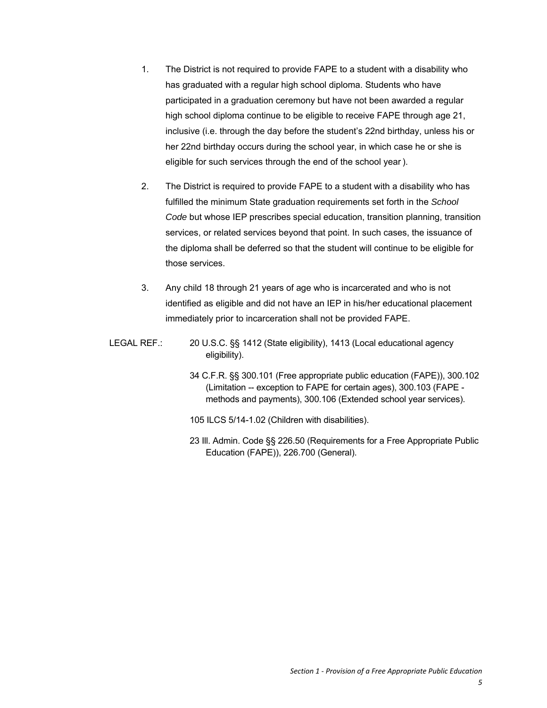- 1. The District is not required to provide FAPE to a student with a disability who has graduated with a regular high school diploma. Students who have participated in a graduation ceremony but have not been awarded a regular high school diploma continue to be eligible to receive FAPE through age 21, inclusive (i.e. through the day before the student's 22nd birthday, unless his or her 22nd birthday occurs during the school year, in which case he or she is eligible for such services through the end of the school year ).
- 2. The District is required to provide FAPE to a student with a disability who has fulfilled the minimum State graduation requirements set forth in the *School Code* but whose IEP prescribes special education, transition planning, transition services, or related services beyond that point. In such cases, the issuance of the diploma shall be deferred so that the student will continue to be eligible for those services.
- 3. Any child 18 through 21 years of age who is incarcerated and who is not identified as eligible and did not have an IEP in his/her educational placement immediately prior to incarceration shall not be provided FAPE.
- LEGAL REF.: 20 U.S.C. §§ 1412 (State eligibility), 1413 (Local educational agency eligibility).
	- 34 C.F.R. §§ 300.101 (Free appropriate public education (FAPE)), 300.102 (Limitation -- exception to FAPE for certain ages), 300.103 (FAPE methods and payments), 300.106 (Extended school year services).
	- 105 ILCS 5/14-1.02 (Children with disabilities).
	- 23 Ill. Admin. Code §§ 226.50 (Requirements for a Free Appropriate Public Education (FAPE)), 226.700 (General).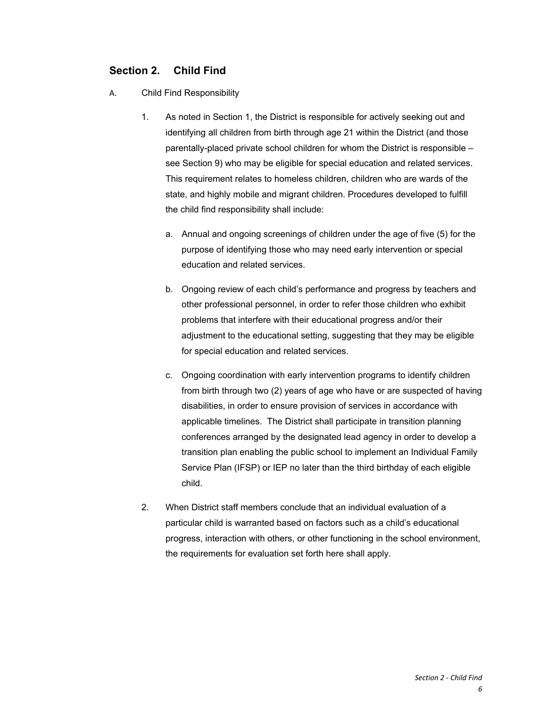# **Section 2. Child Find**

- A. Child Find Responsibility
	- 1. As noted in Section 1, the District is responsible for actively seeking out and identifying all children from birth through age 21 within the District (and those parentally-placed private school children for whom the District is responsible – see Section 9) who may be eligible for special education and related services. This requirement relates to homeless children, children who are wards of the state, and highly mobile and migrant children. Procedures developed to fulfill the child find responsibility shall include:
		- a. Annual and ongoing screenings of children under the age of five (5) for the purpose of identifying those who may need early intervention or special education and related services.
		- b. Ongoing review of each child's performance and progress by teachers and other professional personnel, in order to refer those children who exhibit problems that interfere with their educational progress and/or their adjustment to the educational setting, suggesting that they may be eligible for special education and related services.
		- c. Ongoing coordination with early intervention programs to identify children from birth through two (2) years of age who have or are suspected of having disabilities, in order to ensure provision of services in accordance with applicable timelines. The District shall participate in transition planning conferences arranged by the designated lead agency in order to develop a transition plan enabling the public school to implement an Individual Family Service Plan (IFSP) or IEP no later than the third birthday of each eligible child.
	- 2. When District staff members conclude that an individual evaluation of a particular child is warranted based on factors such as a child's educational progress, interaction with others, or other functioning in the school environment, the requirements for evaluation set forth here shall apply.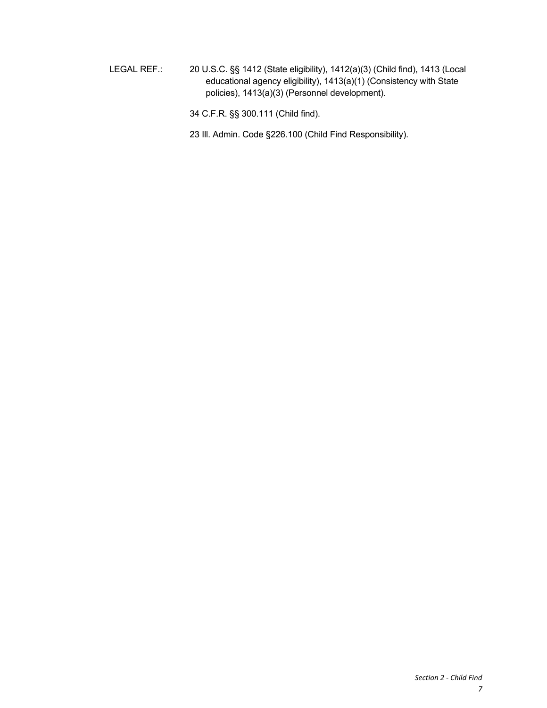LEGAL REF.: 20 U.S.C. §§ 1412 (State eligibility), 1412(a)(3) (Child find), 1413 (Local educational agency eligibility), 1413(a)(1) (Consistency with State policies), 1413(a)(3) (Personnel development).

34 C.F.R. §§ 300.111 (Child find).

23 Ill. Admin. Code §226.100 (Child Find Responsibility).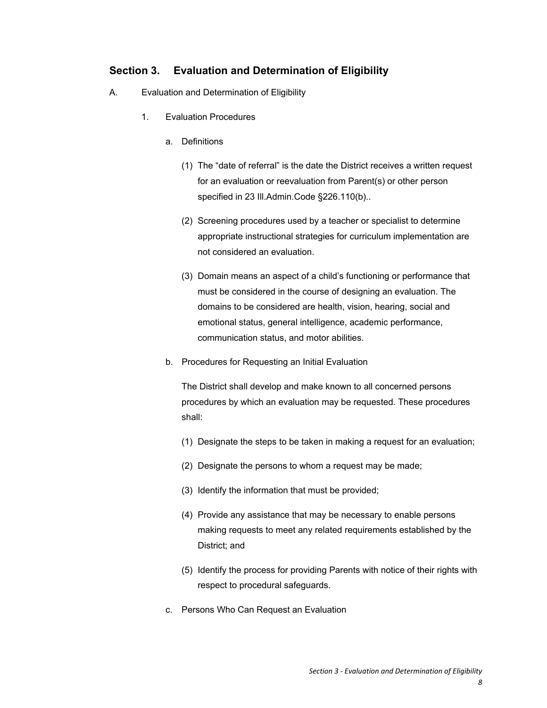# **Section 3. Evaluation and Determination of Eligibility**

- A. Evaluation and Determination of Eligibility
	- 1. Evaluation Procedures
		- a. Definitions
			- (1) The "date of referral" is the date the District receives a written request for an evaluation or reevaluation from Parent(s) or other person specified in 23 Ill.Admin.Code §226.110(b)..
			- (2) Screening procedures used by a teacher or specialist to determine appropriate instructional strategies for curriculum implementation are not considered an evaluation.
			- (3) Domain means an aspect of a child's functioning or performance that must be considered in the course of designing an evaluation. The domains to be considered are health, vision, hearing, social and emotional status, general intelligence, academic performance, communication status, and motor abilities.
		- b. Procedures for Requesting an Initial Evaluation

The District shall develop and make known to all concerned persons procedures by which an evaluation may be requested. These procedures shall:

- (1) Designate the steps to be taken in making a request for an evaluation;
- (2) Designate the persons to whom a request may be made;
- (3) Identify the information that must be provided;
- (4) Provide any assistance that may be necessary to enable persons making requests to meet any related requirements established by the District; and
- (5) Identify the process for providing Parents with notice of their rights with respect to procedural safeguards.
- c. Persons Who Can Request an Evaluation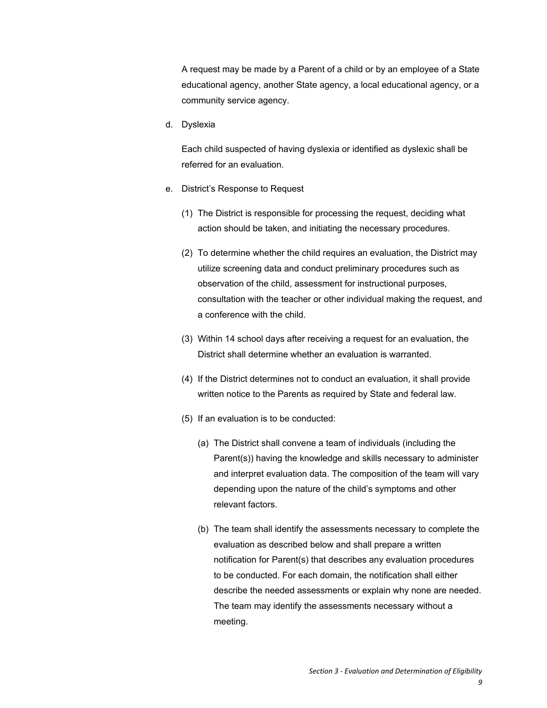A request may be made by a Parent of a child or by an employee of a State educational agency, another State agency, a local educational agency, or a community service agency.

d. Dyslexia

Each child suspected of having dyslexia or identified as dyslexic shall be referred for an evaluation.

- e. District's Response to Request
	- (1) The District is responsible for processing the request, deciding what action should be taken, and initiating the necessary procedures.
	- (2) To determine whether the child requires an evaluation, the District may utilize screening data and conduct preliminary procedures such as observation of the child, assessment for instructional purposes, consultation with the teacher or other individual making the request, and a conference with the child.
	- (3) Within 14 school days after receiving a request for an evaluation, the District shall determine whether an evaluation is warranted.
	- (4) If the District determines not to conduct an evaluation, it shall provide written notice to the Parents as required by State and federal law.
	- (5) If an evaluation is to be conducted:
		- (a) The District shall convene a team of individuals (including the Parent(s)) having the knowledge and skills necessary to administer and interpret evaluation data. The composition of the team will vary depending upon the nature of the child's symptoms and other relevant factors.
		- (b) The team shall identify the assessments necessary to complete the evaluation as described below and shall prepare a written notification for Parent(s) that describes any evaluation procedures to be conducted. For each domain, the notification shall either describe the needed assessments or explain why none are needed. The team may identify the assessments necessary without a meeting.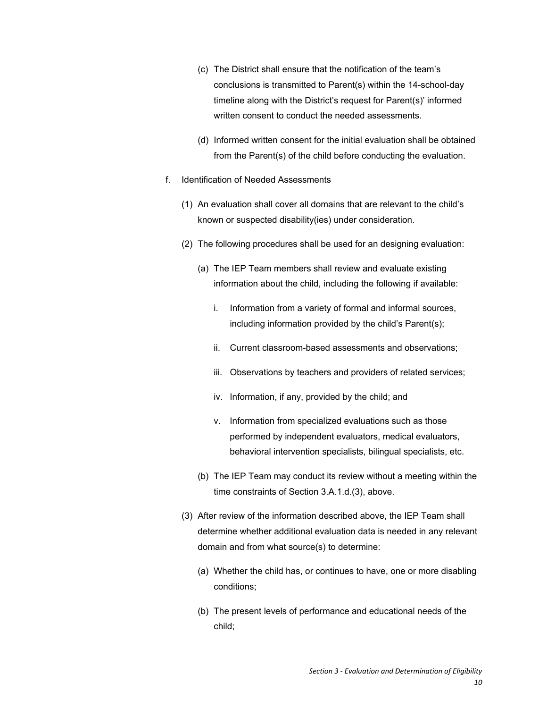- (c) The District shall ensure that the notification of the team's conclusions is transmitted to Parent(s) within the 14-school-day timeline along with the District's request for Parent(s)' informed written consent to conduct the needed assessments.
- (d) Informed written consent for the initial evaluation shall be obtained from the Parent(s) of the child before conducting the evaluation.
- f. Identification of Needed Assessments
	- (1) An evaluation shall cover all domains that are relevant to the child's known or suspected disability(ies) under consideration.
	- (2) The following procedures shall be used for an designing evaluation:
		- (a) The IEP Team members shall review and evaluate existing information about the child, including the following if available:
			- i. Information from a variety of formal and informal sources, including information provided by the child's Parent(s);
			- ii. Current classroom-based assessments and observations;
			- iii. Observations by teachers and providers of related services;
			- iv. Information, if any, provided by the child; and
			- v. Information from specialized evaluations such as those performed by independent evaluators, medical evaluators, behavioral intervention specialists, bilingual specialists, etc.
		- (b) The IEP Team may conduct its review without a meeting within the time constraints of Section 3.A.1.d.(3), above.
	- (3) After review of the information described above, the IEP Team shall determine whether additional evaluation data is needed in any relevant domain and from what source(s) to determine:
		- (a) Whether the child has, or continues to have, one or more disabling conditions;
		- (b) The present levels of performance and educational needs of the child;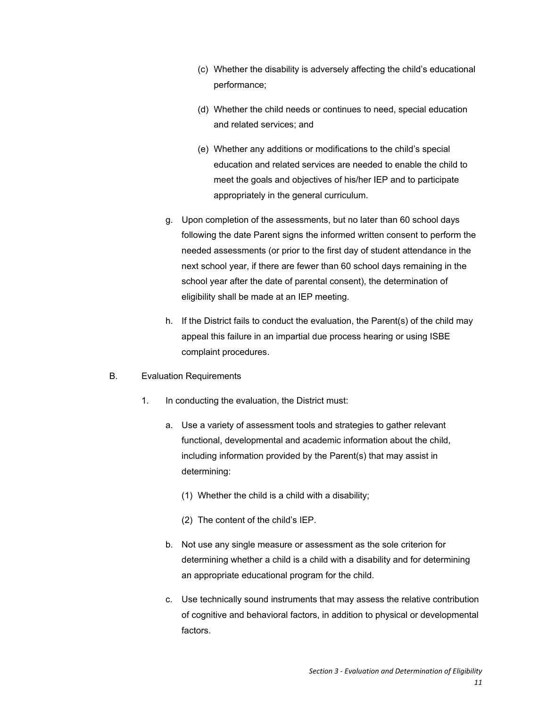- (c) Whether the disability is adversely affecting the child's educational performance;
- (d) Whether the child needs or continues to need, special education and related services; and
- (e) Whether any additions or modifications to the child's special education and related services are needed to enable the child to meet the goals and objectives of his/her IEP and to participate appropriately in the general curriculum.
- g. Upon completion of the assessments, but no later than 60 school days following the date Parent signs the informed written consent to perform the needed assessments (or prior to the first day of student attendance in the next school year, if there are fewer than 60 school days remaining in the school year after the date of parental consent), the determination of eligibility shall be made at an IEP meeting.
- h. If the District fails to conduct the evaluation, the Parent(s) of the child may appeal this failure in an impartial due process hearing or using ISBE complaint procedures.
- B. Evaluation Requirements
	- 1. In conducting the evaluation, the District must:
		- a. Use a variety of assessment tools and strategies to gather relevant functional, developmental and academic information about the child, including information provided by the Parent(s) that may assist in determining:
			- (1) Whether the child is a child with a disability;
			- (2) The content of the child's IEP.
		- b. Not use any single measure or assessment as the sole criterion for determining whether a child is a child with a disability and for determining an appropriate educational program for the child.
		- c. Use technically sound instruments that may assess the relative contribution of cognitive and behavioral factors, in addition to physical or developmental factors.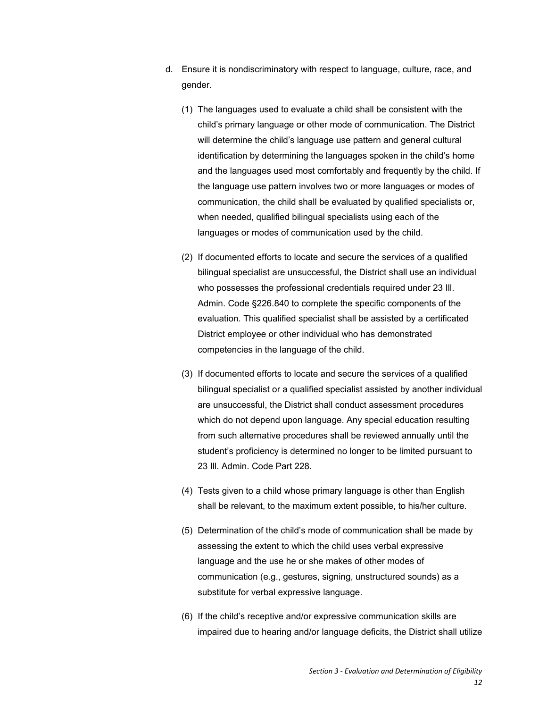- d. Ensure it is nondiscriminatory with respect to language, culture, race, and gender.
	- (1) The languages used to evaluate a child shall be consistent with the child's primary language or other mode of communication. The District will determine the child's language use pattern and general cultural identification by determining the languages spoken in the child's home and the languages used most comfortably and frequently by the child. If the language use pattern involves two or more languages or modes of communication, the child shall be evaluated by qualified specialists or, when needed, qualified bilingual specialists using each of the languages or modes of communication used by the child.
	- (2) If documented efforts to locate and secure the services of a qualified bilingual specialist are unsuccessful, the District shall use an individual who possesses the professional credentials required under 23 Ill. Admin. Code §226.840 to complete the specific components of the evaluation. This qualified specialist shall be assisted by a certificated District employee or other individual who has demonstrated competencies in the language of the child.
	- (3) If documented efforts to locate and secure the services of a qualified bilingual specialist or a qualified specialist assisted by another individual are unsuccessful, the District shall conduct assessment procedures which do not depend upon language. Any special education resulting from such alternative procedures shall be reviewed annually until the student's proficiency is determined no longer to be limited pursuant to 23 Ill. Admin. Code Part 228.
	- (4) Tests given to a child whose primary language is other than English shall be relevant, to the maximum extent possible, to his/her culture.
	- (5) Determination of the child's mode of communication shall be made by assessing the extent to which the child uses verbal expressive language and the use he or she makes of other modes of communication (e.g., gestures, signing, unstructured sounds) as a substitute for verbal expressive language.
	- (6) If the child's receptive and/or expressive communication skills are impaired due to hearing and/or language deficits, the District shall utilize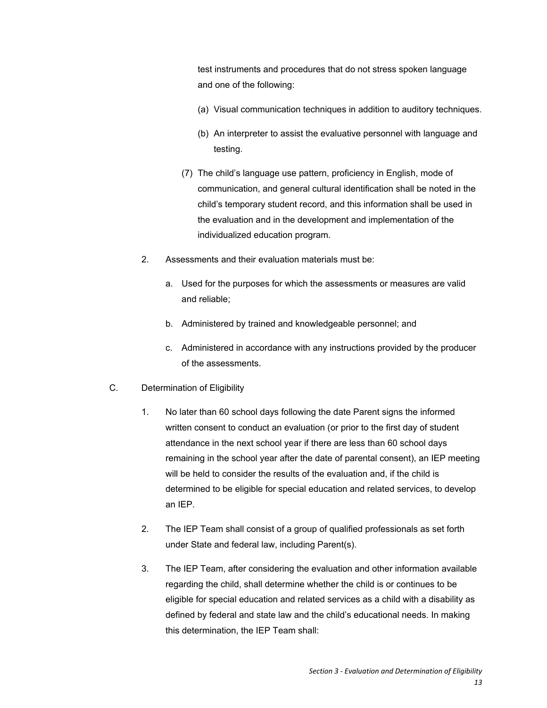test instruments and procedures that do not stress spoken language and one of the following:

- (a) Visual communication techniques in addition to auditory techniques.
- (b) An interpreter to assist the evaluative personnel with language and testing.
- (7) The child's language use pattern, proficiency in English, mode of communication, and general cultural identification shall be noted in the child's temporary student record, and this information shall be used in the evaluation and in the development and implementation of the individualized education program.
- 2. Assessments and their evaluation materials must be:
	- a. Used for the purposes for which the assessments or measures are valid and reliable;
	- b. Administered by trained and knowledgeable personnel; and
	- c. Administered in accordance with any instructions provided by the producer of the assessments.
- C. Determination of Eligibility
	- 1. No later than 60 school days following the date Parent signs the informed written consent to conduct an evaluation (or prior to the first day of student attendance in the next school year if there are less than 60 school days remaining in the school year after the date of parental consent), an IEP meeting will be held to consider the results of the evaluation and, if the child is determined to be eligible for special education and related services, to develop an IEP.
	- 2. The IEP Team shall consist of a group of qualified professionals as set forth under State and federal law, including Parent(s).
	- 3. The IEP Team, after considering the evaluation and other information available regarding the child, shall determine whether the child is or continues to be eligible for special education and related services as a child with a disability as defined by federal and state law and the child's educational needs. In making this determination, the IEP Team shall: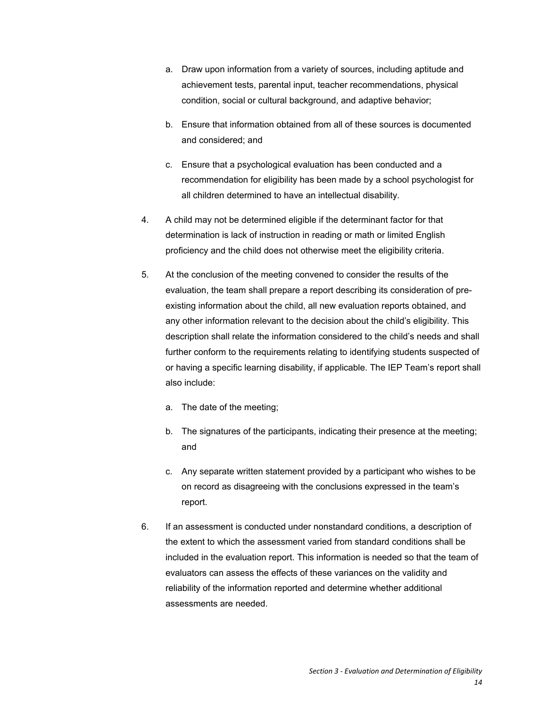- a. Draw upon information from a variety of sources, including aptitude and achievement tests, parental input, teacher recommendations, physical condition, social or cultural background, and adaptive behavior;
- b. Ensure that information obtained from all of these sources is documented and considered; and
- c. Ensure that a psychological evaluation has been conducted and a recommendation for eligibility has been made by a school psychologist for all children determined to have an intellectual disability.
- 4. A child may not be determined eligible if the determinant factor for that determination is lack of instruction in reading or math or limited English proficiency and the child does not otherwise meet the eligibility criteria.
- 5. At the conclusion of the meeting convened to consider the results of the evaluation, the team shall prepare a report describing its consideration of preexisting information about the child, all new evaluation reports obtained, and any other information relevant to the decision about the child's eligibility. This description shall relate the information considered to the child's needs and shall further conform to the requirements relating to identifying students suspected of or having a specific learning disability, if applicable. The IEP Team's report shall also include:
	- a. The date of the meeting;
	- b. The signatures of the participants, indicating their presence at the meeting; and
	- c. Any separate written statement provided by a participant who wishes to be on record as disagreeing with the conclusions expressed in the team's report.
- 6. If an assessment is conducted under nonstandard conditions, a description of the extent to which the assessment varied from standard conditions shall be included in the evaluation report. This information is needed so that the team of evaluators can assess the effects of these variances on the validity and reliability of the information reported and determine whether additional assessments are needed.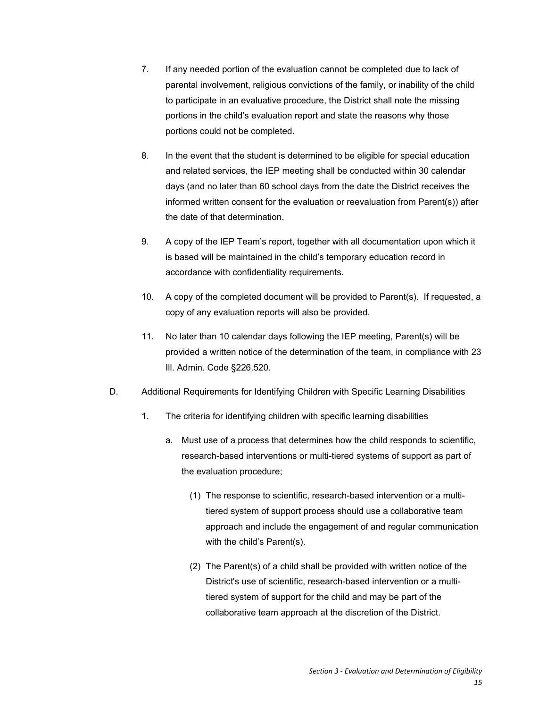- 7. If any needed portion of the evaluation cannot be completed due to lack of parental involvement, religious convictions of the family, or inability of the child to participate in an evaluative procedure, the District shall note the missing portions in the child's evaluation report and state the reasons why those portions could not be completed.
- 8. In the event that the student is determined to be eligible for special education and related services, the IEP meeting shall be conducted within 30 calendar days (and no later than 60 school days from the date the District receives the informed written consent for the evaluation or reevaluation from Parent(s)) after the date of that determination.
- 9. A copy of the IEP Team's report, together with all documentation upon which it is based will be maintained in the child's temporary education record in accordance with confidentiality requirements.
- 10. A copy of the completed document will be provided to Parent(s). If requested, a copy of any evaluation reports will also be provided.
- 11. No later than 10 calendar days following the IEP meeting, Parent(s) will be provided a written notice of the determination of the team, in compliance with 23 Ill. Admin. Code §226.520.
- D. Additional Requirements for Identifying Children with Specific Learning Disabilities
	- 1. The criteria for identifying children with specific learning disabilities
		- a. Must use of a process that determines how the child responds to scientific, research-based interventions or multi-tiered systems of support as part of the evaluation procedure;
			- (1) The response to scientific, research-based intervention or a multitiered system of support process should use a collaborative team approach and include the engagement of and regular communication with the child's Parent(s).
			- (2) The Parent(s) of a child shall be provided with written notice of the District's use of scientific, research-based intervention or a multitiered system of support for the child and may be part of the collaborative team approach at the discretion of the District.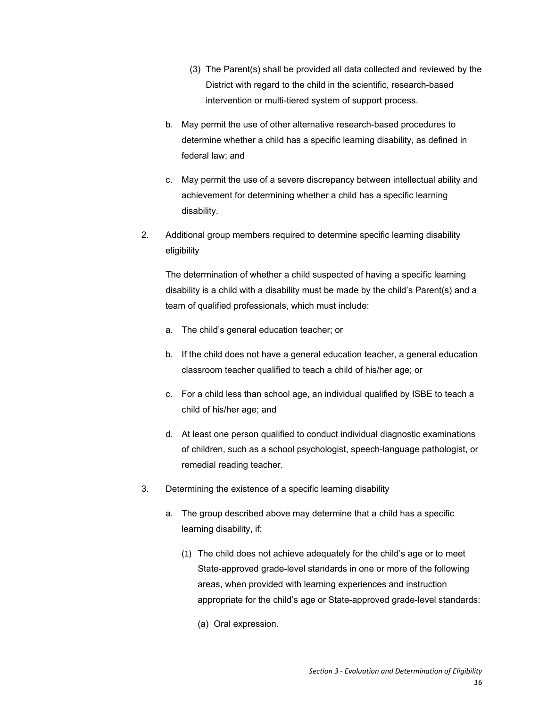- (3) The Parent(s) shall be provided all data collected and reviewed by the District with regard to the child in the scientific, research-based intervention or multi-tiered system of support process.
- b. May permit the use of other alternative research-based procedures to determine whether a child has a specific learning disability, as defined in federal law; and
- c. May permit the use of a severe discrepancy between intellectual ability and achievement for determining whether a child has a specific learning disability.
- 2. Additional group members required to determine specific learning disability eligibility

The determination of whether a child suspected of having a specific learning disability is a child with a disability must be made by the child's Parent(s) and a team of qualified professionals, which must include:

- a. The child's general education teacher; or
- b. If the child does not have a general education teacher, a general education classroom teacher qualified to teach a child of his/her age; or
- c. For a child less than school age, an individual qualified by ISBE to teach a child of his/her age; and
- d. At least one person qualified to conduct individual diagnostic examinations of children, such as a school psychologist, speech-language pathologist, or remedial reading teacher.
- 3. Determining the existence of a specific learning disability
	- a. The group described above may determine that a child has a specific learning disability, if:
		- (1) The child does not achieve adequately for the child's age or to meet State-approved grade-level standards in one or more of the following areas, when provided with learning experiences and instruction appropriate for the child's age or State-approved grade-level standards:
			- (a) Oral expression.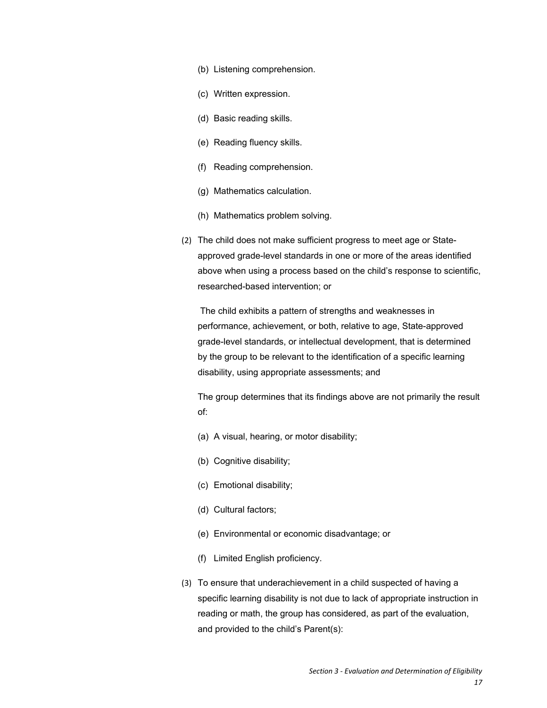- (b) Listening comprehension.
- (c) Written expression.
- (d) Basic reading skills.
- (e) Reading fluency skills.
- (f) Reading comprehension.
- (g) Mathematics calculation.
- (h) Mathematics problem solving.
- (2) The child does not make sufficient progress to meet age or Stateapproved grade-level standards in one or more of the areas identified above when using a process based on the child's response to scientific, researched-based intervention; or

 The child exhibits a pattern of strengths and weaknesses in performance, achievement, or both, relative to age, State-approved grade-level standards, or intellectual development, that is determined by the group to be relevant to the identification of a specific learning disability, using appropriate assessments; and

The group determines that its findings above are not primarily the result of:

- (a) A visual, hearing, or motor disability;
- (b) Cognitive disability;
- (c) Emotional disability;
- (d) Cultural factors;
- (e) Environmental or economic disadvantage; or
- (f) Limited English proficiency.
- (3) To ensure that underachievement in a child suspected of having a specific learning disability is not due to lack of appropriate instruction in reading or math, the group has considered, as part of the evaluation, and provided to the child's Parent(s):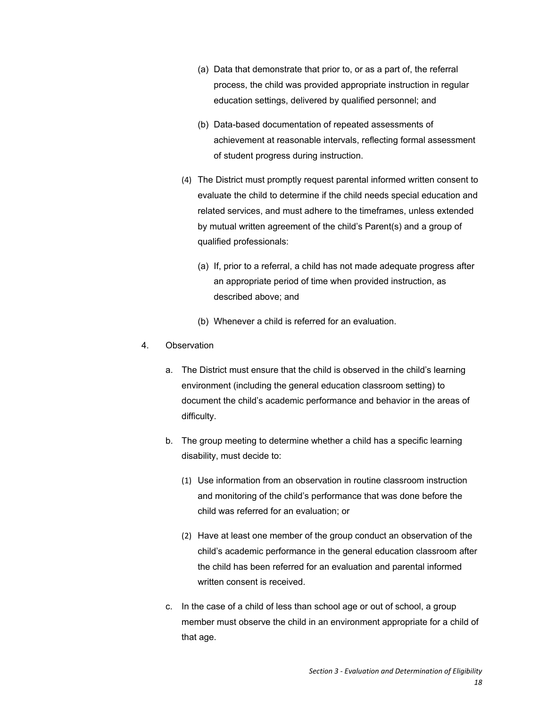- (a) Data that demonstrate that prior to, or as a part of, the referral process, the child was provided appropriate instruction in regular education settings, delivered by qualified personnel; and
- (b) Data-based documentation of repeated assessments of achievement at reasonable intervals, reflecting formal assessment of student progress during instruction.
- (4) The District must promptly request parental informed written consent to evaluate the child to determine if the child needs special education and related services, and must adhere to the timeframes, unless extended by mutual written agreement of the child's Parent(s) and a group of qualified professionals:
	- (a) If, prior to a referral, a child has not made adequate progress after an appropriate period of time when provided instruction, as described above; and
	- (b) Whenever a child is referred for an evaluation.
- 4. Observation
	- a. The District must ensure that the child is observed in the child's learning environment (including the general education classroom setting) to document the child's academic performance and behavior in the areas of difficulty.
	- b. The group meeting to determine whether a child has a specific learning disability, must decide to:
		- (1) Use information from an observation in routine classroom instruction and monitoring of the child's performance that was done before the child was referred for an evaluation; or
		- (2) Have at least one member of the group conduct an observation of the child's academic performance in the general education classroom after the child has been referred for an evaluation and parental informed written consent is received.
	- c. In the case of a child of less than school age or out of school, a group member must observe the child in an environment appropriate for a child of that age.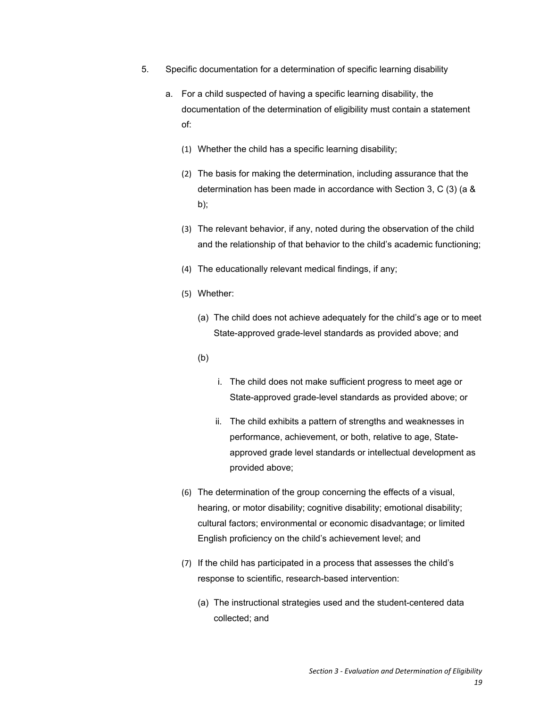- 5. Specific documentation for a determination of specific learning disability
	- a. For a child suspected of having a specific learning disability, the documentation of the determination of eligibility must contain a statement of:
		- (1) Whether the child has a specific learning disability;
		- (2) The basis for making the determination, including assurance that the determination has been made in accordance with Section 3, C (3) (a & b);
		- (3) The relevant behavior, if any, noted during the observation of the child and the relationship of that behavior to the child's academic functioning;
		- (4) The educationally relevant medical findings, if any;
		- (5) Whether:
			- (a) The child does not achieve adequately for the child's age or to meet State-approved grade-level standards as provided above; and
			- (b)
- i. The child does not make sufficient progress to meet age or State-approved grade-level standards as provided above; or
- ii. The child exhibits a pattern of strengths and weaknesses in performance, achievement, or both, relative to age, Stateapproved grade level standards or intellectual development as provided above;
- (6) The determination of the group concerning the effects of a visual, hearing, or motor disability; cognitive disability; emotional disability; cultural factors; environmental or economic disadvantage; or limited English proficiency on the child's achievement level; and
- (7) If the child has participated in a process that assesses the child's response to scientific, research-based intervention:
	- (a) The instructional strategies used and the student-centered data collected; and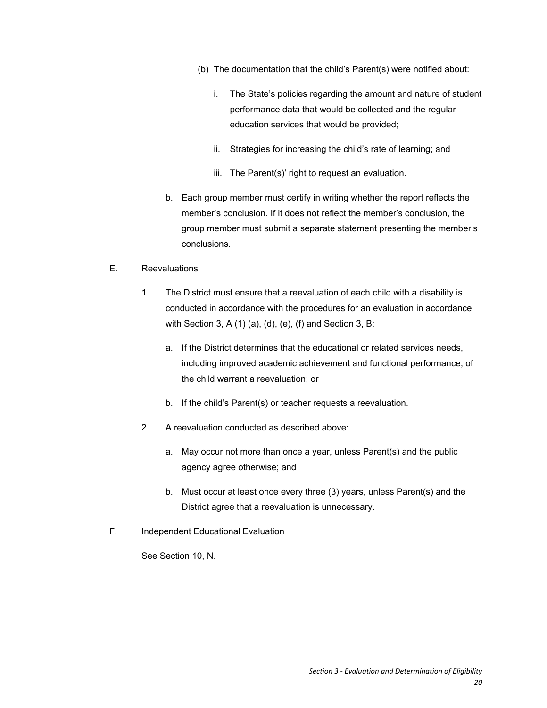- (b) The documentation that the child's Parent(s) were notified about:
	- i. The State's policies regarding the amount and nature of student performance data that would be collected and the regular education services that would be provided;
	- ii. Strategies for increasing the child's rate of learning; and
	- iii. The Parent(s)' right to request an evaluation.
- b. Each group member must certify in writing whether the report reflects the member's conclusion. If it does not reflect the member's conclusion, the group member must submit a separate statement presenting the member's conclusions.

#### E. Reevaluations

- 1. The District must ensure that a reevaluation of each child with a disability is conducted in accordance with the procedures for an evaluation in accordance with Section 3, A (1) (a), (d), (e), (f) and Section 3, B:
	- a. If the District determines that the educational or related services needs, including improved academic achievement and functional performance, of the child warrant a reevaluation; or
	- b. If the child's Parent(s) or teacher requests a reevaluation.
- 2. A reevaluation conducted as described above:
	- a. May occur not more than once a year, unless Parent(s) and the public agency agree otherwise; and
	- b. Must occur at least once every three (3) years, unless Parent(s) and the District agree that a reevaluation is unnecessary.
- F. Independent Educational Evaluation

See Section 10, N.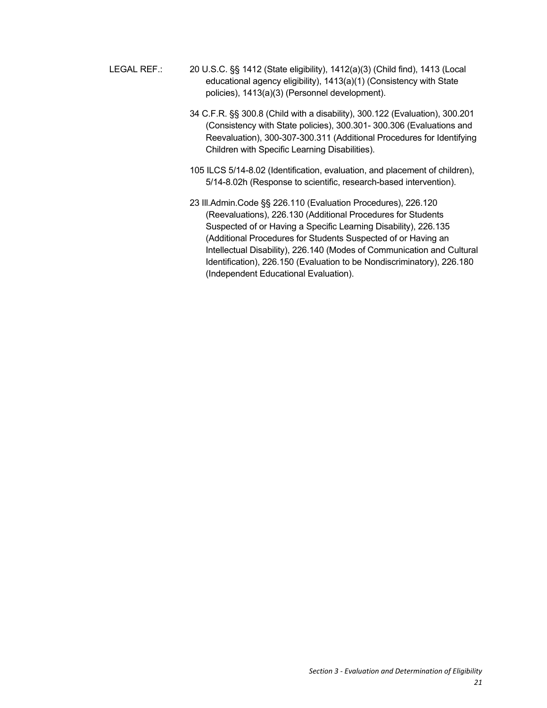- LEGAL REF.: 20 U.S.C. §§ 1412 (State eligibility), 1412(a)(3) (Child find), 1413 (Local educational agency eligibility), 1413(a)(1) (Consistency with State policies), 1413(a)(3) (Personnel development).
	- 34 C.F.R. §§ 300.8 (Child with a disability), 300.122 (Evaluation), 300.201 (Consistency with State policies), 300.301- 300.306 (Evaluations and Reevaluation), 300-307-300.311 (Additional Procedures for Identifying Children with Specific Learning Disabilities).
	- 105 ILCS 5/14-8.02 (Identification, evaluation, and placement of children), 5/14-8.02h (Response to scientific, research-based intervention).
	- 23 Ill.Admin.Code §§ 226.110 (Evaluation Procedures), 226.120 (Reevaluations), 226.130 (Additional Procedures for Students Suspected of or Having a Specific Learning Disability), 226.135 (Additional Procedures for Students Suspected of or Having an Intellectual Disability), 226.140 (Modes of Communication and Cultural Identification), 226.150 (Evaluation to be Nondiscriminatory), 226.180 (Independent Educational Evaluation).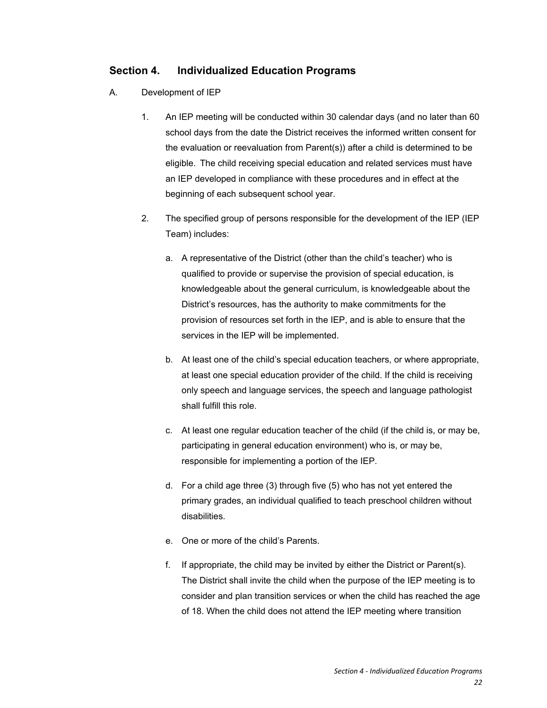## **Section 4. Individualized Education Programs**

- A. Development of IEP
	- 1. An IEP meeting will be conducted within 30 calendar days (and no later than 60 school days from the date the District receives the informed written consent for the evaluation or reevaluation from Parent(s)) after a child is determined to be eligible. The child receiving special education and related services must have an IEP developed in compliance with these procedures and in effect at the beginning of each subsequent school year.
	- 2. The specified group of persons responsible for the development of the IEP (IEP Team) includes:
		- a. A representative of the District (other than the child's teacher) who is qualified to provide or supervise the provision of special education, is knowledgeable about the general curriculum, is knowledgeable about the District's resources, has the authority to make commitments for the provision of resources set forth in the IEP, and is able to ensure that the services in the IEP will be implemented.
		- b. At least one of the child's special education teachers, or where appropriate, at least one special education provider of the child. If the child is receiving only speech and language services, the speech and language pathologist shall fulfill this role.
		- c. At least one regular education teacher of the child (if the child is, or may be, participating in general education environment) who is, or may be, responsible for implementing a portion of the IEP.
		- d. For a child age three (3) through five (5) who has not yet entered the primary grades, an individual qualified to teach preschool children without disabilities.
		- e. One or more of the child's Parents.
		- f. If appropriate, the child may be invited by either the District or Parent(s). The District shall invite the child when the purpose of the IEP meeting is to consider and plan transition services or when the child has reached the age of 18. When the child does not attend the IEP meeting where transition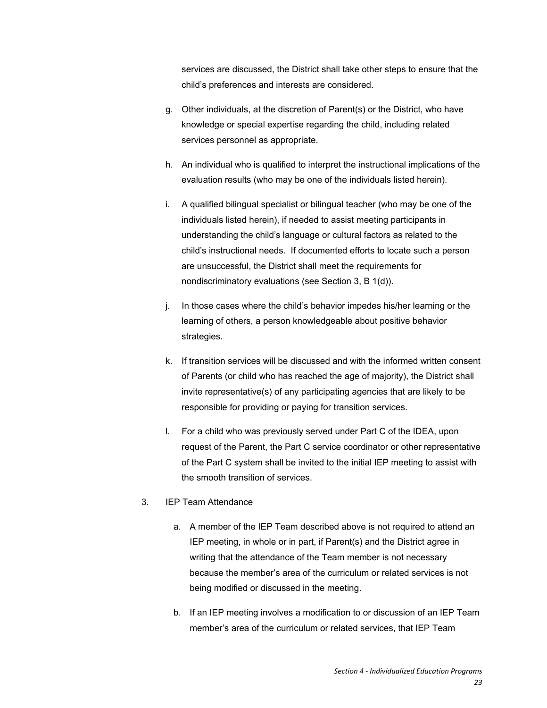services are discussed, the District shall take other steps to ensure that the child's preferences and interests are considered.

- g. Other individuals, at the discretion of Parent(s) or the District, who have knowledge or special expertise regarding the child, including related services personnel as appropriate.
- h. An individual who is qualified to interpret the instructional implications of the evaluation results (who may be one of the individuals listed herein).
- i. A qualified bilingual specialist or bilingual teacher (who may be one of the individuals listed herein), if needed to assist meeting participants in understanding the child's language or cultural factors as related to the child's instructional needs. If documented efforts to locate such a person are unsuccessful, the District shall meet the requirements for nondiscriminatory evaluations (see Section 3, B 1(d)).
- j. In those cases where the child's behavior impedes his/her learning or the learning of others, a person knowledgeable about positive behavior strategies.
- k. If transition services will be discussed and with the informed written consent of Parents (or child who has reached the age of majority), the District shall invite representative(s) of any participating agencies that are likely to be responsible for providing or paying for transition services.
- l. For a child who was previously served under Part C of the IDEA, upon request of the Parent, the Part C service coordinator or other representative of the Part C system shall be invited to the initial IEP meeting to assist with the smooth transition of services.

#### 3. IEP Team Attendance

- a. A member of the IEP Team described above is not required to attend an IEP meeting, in whole or in part, if Parent(s) and the District agree in writing that the attendance of the Team member is not necessary because the member's area of the curriculum or related services is not being modified or discussed in the meeting.
- b. If an IEP meeting involves a modification to or discussion of an IEP Team member's area of the curriculum or related services, that IEP Team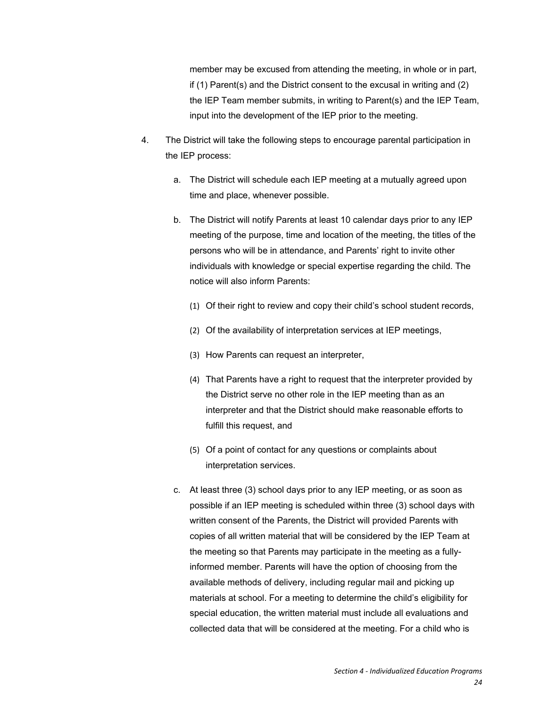member may be excused from attending the meeting, in whole or in part, if (1) Parent(s) and the District consent to the excusal in writing and (2) the IEP Team member submits, in writing to Parent(s) and the IEP Team, input into the development of the IEP prior to the meeting.

- 4. The District will take the following steps to encourage parental participation in the IEP process:
	- a. The District will schedule each IEP meeting at a mutually agreed upon time and place, whenever possible.
	- b. The District will notify Parents at least 10 calendar days prior to any IEP meeting of the purpose, time and location of the meeting, the titles of the persons who will be in attendance, and Parents' right to invite other individuals with knowledge or special expertise regarding the child. The notice will also inform Parents:
		- (1) Of their right to review and copy their child's school student records,
		- (2) Of the availability of interpretation services at IEP meetings,
		- (3) How Parents can request an interpreter,
		- (4) That Parents have a right to request that the interpreter provided by the District serve no other role in the IEP meeting than as an interpreter and that the District should make reasonable efforts to fulfill this request, and
		- (5) Of a point of contact for any questions or complaints about interpretation services.
	- c. At least three (3) school days prior to any IEP meeting, or as soon as possible if an IEP meeting is scheduled within three (3) school days with written consent of the Parents, the District will provided Parents with copies of all written material that will be considered by the IEP Team at the meeting so that Parents may participate in the meeting as a fullyinformed member. Parents will have the option of choosing from the available methods of delivery, including regular mail and picking up materials at school. For a meeting to determine the child's eligibility for special education, the written material must include all evaluations and collected data that will be considered at the meeting. For a child who is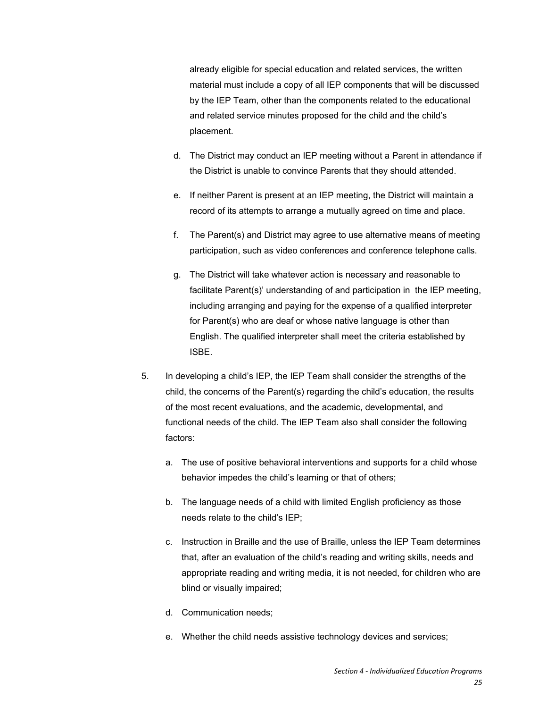already eligible for special education and related services, the written material must include a copy of all IEP components that will be discussed by the IEP Team, other than the components related to the educational and related service minutes proposed for the child and the child's placement.

- d. The District may conduct an IEP meeting without a Parent in attendance if the District is unable to convince Parents that they should attended.
- e. If neither Parent is present at an IEP meeting, the District will maintain a record of its attempts to arrange a mutually agreed on time and place.
- f. The Parent(s) and District may agree to use alternative means of meeting participation, such as video conferences and conference telephone calls.
- g. The District will take whatever action is necessary and reasonable to facilitate Parent(s)' understanding of and participation in the IEP meeting, including arranging and paying for the expense of a qualified interpreter for Parent(s) who are deaf or whose native language is other than English. The qualified interpreter shall meet the criteria established by ISBE.
- 5. In developing a child's IEP, the IEP Team shall consider the strengths of the child, the concerns of the Parent(s) regarding the child's education, the results of the most recent evaluations, and the academic, developmental, and functional needs of the child. The IEP Team also shall consider the following factors:
	- a. The use of positive behavioral interventions and supports for a child whose behavior impedes the child's learning or that of others;
	- b. The language needs of a child with limited English proficiency as those needs relate to the child's IEP;
	- c. Instruction in Braille and the use of Braille, unless the IEP Team determines that, after an evaluation of the child's reading and writing skills, needs and appropriate reading and writing media, it is not needed, for children who are blind or visually impaired;
	- d. Communication needs;
	- e. Whether the child needs assistive technology devices and services;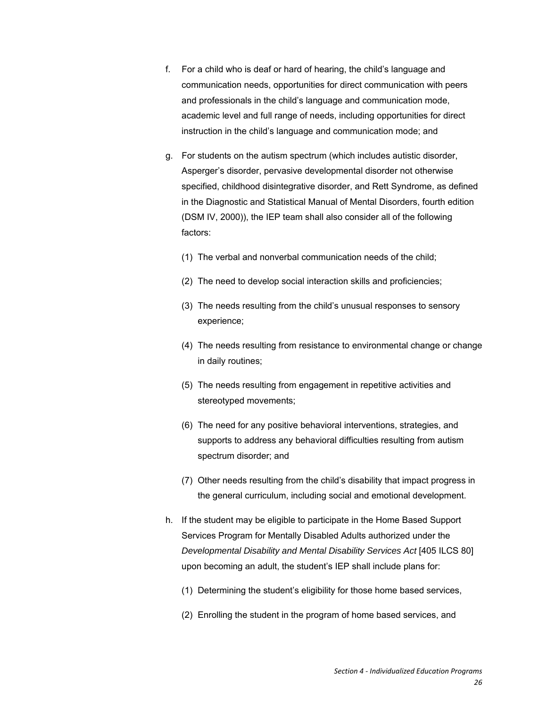- f. For a child who is deaf or hard of hearing, the child's language and communication needs, opportunities for direct communication with peers and professionals in the child's language and communication mode, academic level and full range of needs, including opportunities for direct instruction in the child's language and communication mode; and
- g. For students on the autism spectrum (which includes autistic disorder, Asperger's disorder, pervasive developmental disorder not otherwise specified, childhood disintegrative disorder, and Rett Syndrome, as defined in the Diagnostic and Statistical Manual of Mental Disorders, fourth edition (DSM IV, 2000)), the IEP team shall also consider all of the following factors:
	- (1) The verbal and nonverbal communication needs of the child;
	- (2) The need to develop social interaction skills and proficiencies;
	- (3) The needs resulting from the child's unusual responses to sensory experience;
	- (4) The needs resulting from resistance to environmental change or change in daily routines;
	- (5) The needs resulting from engagement in repetitive activities and stereotyped movements;
	- (6) The need for any positive behavioral interventions, strategies, and supports to address any behavioral difficulties resulting from autism spectrum disorder; and
	- (7) Other needs resulting from the child's disability that impact progress in the general curriculum, including social and emotional development.
- h. If the student may be eligible to participate in the Home Based Support Services Program for Mentally Disabled Adults authorized under the *Developmental Disability and Mental Disability Services Act* [405 ILCS 80] upon becoming an adult, the student's IEP shall include plans for:
	- (1) Determining the student's eligibility for those home based services,
	- (2) Enrolling the student in the program of home based services, and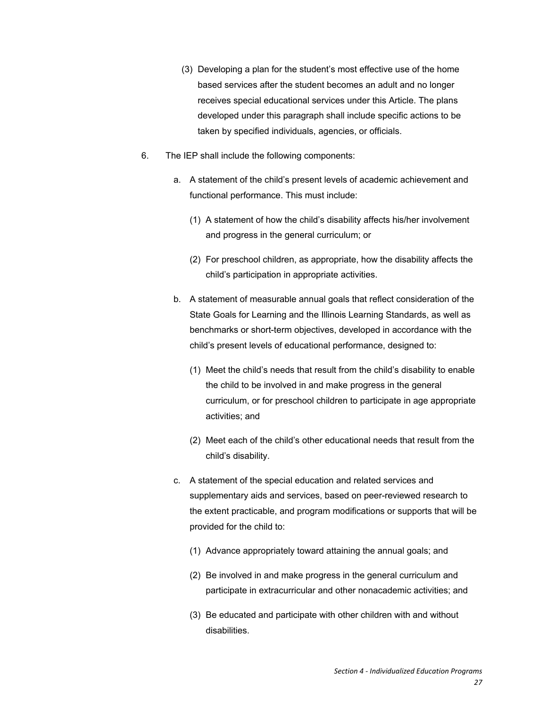- (3) Developing a plan for the student's most effective use of the home based services after the student becomes an adult and no longer receives special educational services under this Article. The plans developed under this paragraph shall include specific actions to be taken by specified individuals, agencies, or officials.
- 6. The IEP shall include the following components:
	- a. A statement of the child's present levels of academic achievement and functional performance. This must include:
		- (1) A statement of how the child's disability affects his/her involvement and progress in the general curriculum; or
		- (2) For preschool children, as appropriate, how the disability affects the child's participation in appropriate activities.
	- b. A statement of measurable annual goals that reflect consideration of the State Goals for Learning and the Illinois Learning Standards, as well as benchmarks or short-term objectives, developed in accordance with the child's present levels of educational performance, designed to:
		- (1) Meet the child's needs that result from the child's disability to enable the child to be involved in and make progress in the general curriculum, or for preschool children to participate in age appropriate activities; and
		- (2) Meet each of the child's other educational needs that result from the child's disability.
	- c. A statement of the special education and related services and supplementary aids and services, based on peer-reviewed research to the extent practicable, and program modifications or supports that will be provided for the child to:
		- (1) Advance appropriately toward attaining the annual goals; and
		- (2) Be involved in and make progress in the general curriculum and participate in extracurricular and other nonacademic activities; and
		- (3) Be educated and participate with other children with and without disabilities.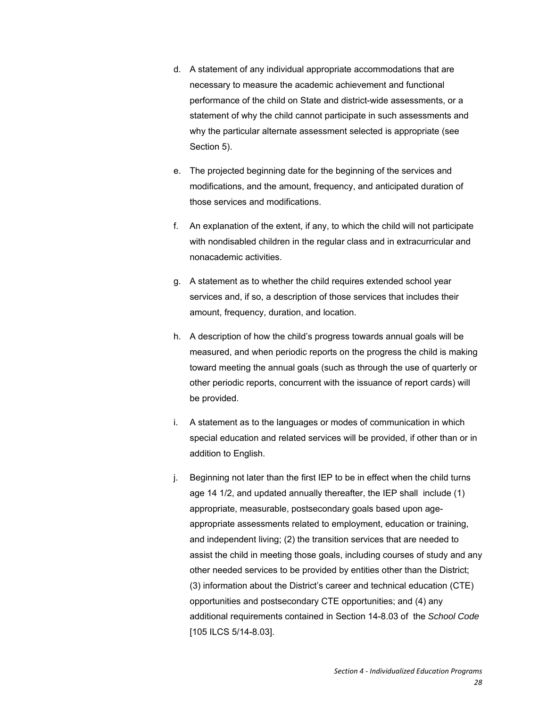- d. A statement of any individual appropriate accommodations that are necessary to measure the academic achievement and functional performance of the child on State and district-wide assessments, or a statement of why the child cannot participate in such assessments and why the particular alternate assessment selected is appropriate (see Section 5).
- e. The projected beginning date for the beginning of the services and modifications, and the amount, frequency, and anticipated duration of those services and modifications.
- f. An explanation of the extent, if any, to which the child will not participate with nondisabled children in the regular class and in extracurricular and nonacademic activities.
- g. A statement as to whether the child requires extended school year services and, if so, a description of those services that includes their amount, frequency, duration, and location.
- h. A description of how the child's progress towards annual goals will be measured, and when periodic reports on the progress the child is making toward meeting the annual goals (such as through the use of quarterly or other periodic reports, concurrent with the issuance of report cards) will be provided.
- i. A statement as to the languages or modes of communication in which special education and related services will be provided, if other than or in addition to English.
- j. Beginning not later than the first IEP to be in effect when the child turns age 14 1/2, and updated annually thereafter, the IEP shall include (1) appropriate, measurable, postsecondary goals based upon ageappropriate assessments related to employment, education or training, and independent living; (2) the transition services that are needed to assist the child in meeting those goals, including courses of study and any other needed services to be provided by entities other than the District; (3) information about the District's career and technical education (CTE) opportunities and postsecondary CTE opportunities; and (4) any additional requirements contained in Section 14-8.03 of the *School Code* [105 ILCS 5/14-8.03].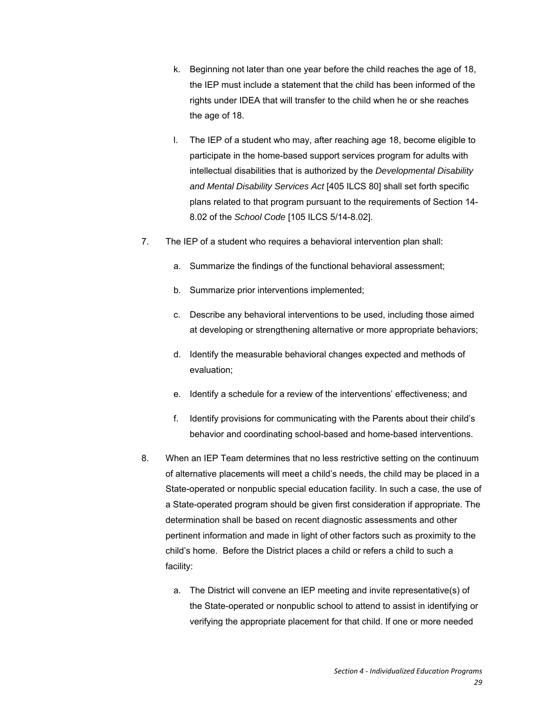- k. Beginning not later than one year before the child reaches the age of 18, the IEP must include a statement that the child has been informed of the rights under IDEA that will transfer to the child when he or she reaches the age of 18.
- l. The IEP of a student who may, after reaching age 18, become eligible to participate in the home-based support services program for adults with intellectual disabilities that is authorized by the *Developmental Disability and Mental Disability Services Act* [405 ILCS 80] shall set forth specific plans related to that program pursuant to the requirements of Section 14- 8.02 of the *School Code* [105 ILCS 5/14-8.02].
- 7. The IEP of a student who requires a behavioral intervention plan shall:
	- a. Summarize the findings of the functional behavioral assessment;
	- b. Summarize prior interventions implemented;
	- c. Describe any behavioral interventions to be used, including those aimed at developing or strengthening alternative or more appropriate behaviors;
	- d. Identify the measurable behavioral changes expected and methods of evaluation;
	- e. Identify a schedule for a review of the interventions' effectiveness; and
	- f. Identify provisions for communicating with the Parents about their child's behavior and coordinating school-based and home-based interventions.
- 8. When an IEP Team determines that no less restrictive setting on the continuum of alternative placements will meet a child's needs, the child may be placed in a State-operated or nonpublic special education facility. In such a case, the use of a State-operated program should be given first consideration if appropriate. The determination shall be based on recent diagnostic assessments and other pertinent information and made in light of other factors such as proximity to the child's home. Before the District places a child or refers a child to such a facility:
	- a. The District will convene an IEP meeting and invite representative(s) of the State-operated or nonpublic school to attend to assist in identifying or verifying the appropriate placement for that child. If one or more needed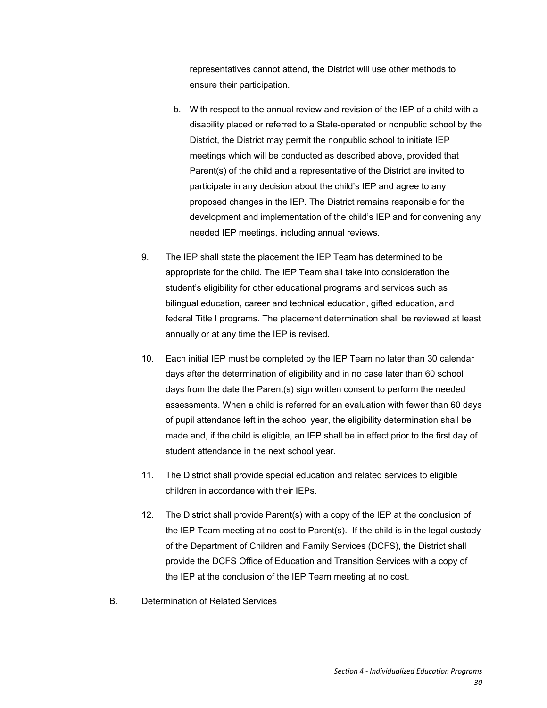representatives cannot attend, the District will use other methods to ensure their participation.

- b. With respect to the annual review and revision of the IEP of a child with a disability placed or referred to a State-operated or nonpublic school by the District, the District may permit the nonpublic school to initiate IEP meetings which will be conducted as described above, provided that Parent(s) of the child and a representative of the District are invited to participate in any decision about the child's IEP and agree to any proposed changes in the IEP. The District remains responsible for the development and implementation of the child's IEP and for convening any needed IEP meetings, including annual reviews.
- 9. The IEP shall state the placement the IEP Team has determined to be appropriate for the child. The IEP Team shall take into consideration the student's eligibility for other educational programs and services such as bilingual education, career and technical education, gifted education, and federal Title I programs. The placement determination shall be reviewed at least annually or at any time the IEP is revised.
- 10. Each initial IEP must be completed by the IEP Team no later than 30 calendar days after the determination of eligibility and in no case later than 60 school days from the date the Parent(s) sign written consent to perform the needed assessments. When a child is referred for an evaluation with fewer than 60 days of pupil attendance left in the school year, the eligibility determination shall be made and, if the child is eligible, an IEP shall be in effect prior to the first day of student attendance in the next school year.
- 11. The District shall provide special education and related services to eligible children in accordance with their IEPs.
- 12. The District shall provide Parent(s) with a copy of the IEP at the conclusion of the IEP Team meeting at no cost to Parent(s). If the child is in the legal custody of the Department of Children and Family Services (DCFS), the District shall provide the DCFS Office of Education and Transition Services with a copy of the IEP at the conclusion of the IEP Team meeting at no cost.
- B. Determination of Related Services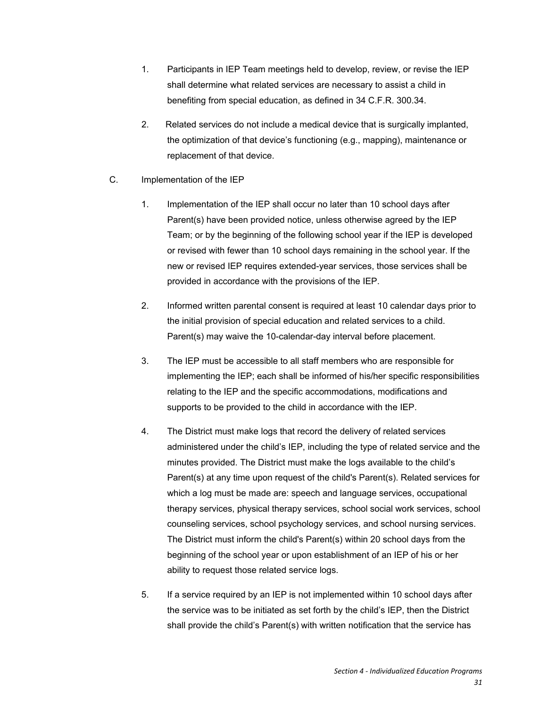- 1. Participants in IEP Team meetings held to develop, review, or revise the IEP shall determine what related services are necessary to assist a child in benefiting from special education, as defined in 34 C.F.R. 300.34.
- 2. Related services do not include a medical device that is surgically implanted, the optimization of that device's functioning (e.g., mapping), maintenance or replacement of that device.
- C. Implementation of the IEP
	- 1. Implementation of the IEP shall occur no later than 10 school days after Parent(s) have been provided notice, unless otherwise agreed by the IEP Team; or by the beginning of the following school year if the IEP is developed or revised with fewer than 10 school days remaining in the school year. If the new or revised IEP requires extended-year services, those services shall be provided in accordance with the provisions of the IEP.
	- 2. Informed written parental consent is required at least 10 calendar days prior to the initial provision of special education and related services to a child. Parent(s) may waive the 10-calendar-day interval before placement.
	- 3. The IEP must be accessible to all staff members who are responsible for implementing the IEP; each shall be informed of his/her specific responsibilities relating to the IEP and the specific accommodations, modifications and supports to be provided to the child in accordance with the IEP.
	- 4. The District must make logs that record the delivery of related services administered under the child's IEP, including the type of related service and the minutes provided. The District must make the logs available to the child's Parent(s) at any time upon request of the child's Parent(s). Related services for which a log must be made are: speech and language services, occupational therapy services, physical therapy services, school social work services, school counseling services, school psychology services, and school nursing services. The District must inform the child's Parent(s) within 20 school days from the beginning of the school year or upon establishment of an IEP of his or her ability to request those related service logs.
	- 5. If a service required by an IEP is not implemented within 10 school days after the service was to be initiated as set forth by the child's IEP, then the District shall provide the child's Parent(s) with written notification that the service has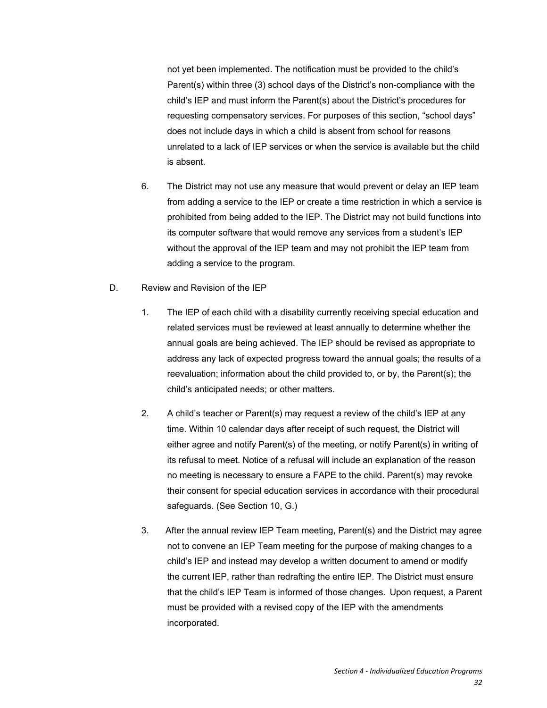not yet been implemented. The notification must be provided to the child's Parent(s) within three (3) school days of the District's non-compliance with the child's IEP and must inform the Parent(s) about the District's procedures for requesting compensatory services. For purposes of this section, "school days" does not include days in which a child is absent from school for reasons unrelated to a lack of IEP services or when the service is available but the child is absent.

- 6. The District may not use any measure that would prevent or delay an IEP team from adding a service to the IEP or create a time restriction in which a service is prohibited from being added to the IEP. The District may not build functions into its computer software that would remove any services from a student's IEP without the approval of the IEP team and may not prohibit the IEP team from adding a service to the program.
- D. Review and Revision of the IEP
	- 1. The IEP of each child with a disability currently receiving special education and related services must be reviewed at least annually to determine whether the annual goals are being achieved. The IEP should be revised as appropriate to address any lack of expected progress toward the annual goals; the results of a reevaluation; information about the child provided to, or by, the Parent(s); the child's anticipated needs; or other matters.
	- 2. A child's teacher or Parent(s) may request a review of the child's IEP at any time. Within 10 calendar days after receipt of such request, the District will either agree and notify Parent(s) of the meeting, or notify Parent(s) in writing of its refusal to meet. Notice of a refusal will include an explanation of the reason no meeting is necessary to ensure a FAPE to the child. Parent(s) may revoke their consent for special education services in accordance with their procedural safeguards. (See Section 10, G.)
	- 3. After the annual review IEP Team meeting, Parent(s) and the District may agree not to convene an IEP Team meeting for the purpose of making changes to a child's IEP and instead may develop a written document to amend or modify the current IEP, rather than redrafting the entire IEP. The District must ensure that the child's IEP Team is informed of those changes. Upon request, a Parent must be provided with a revised copy of the IEP with the amendments incorporated.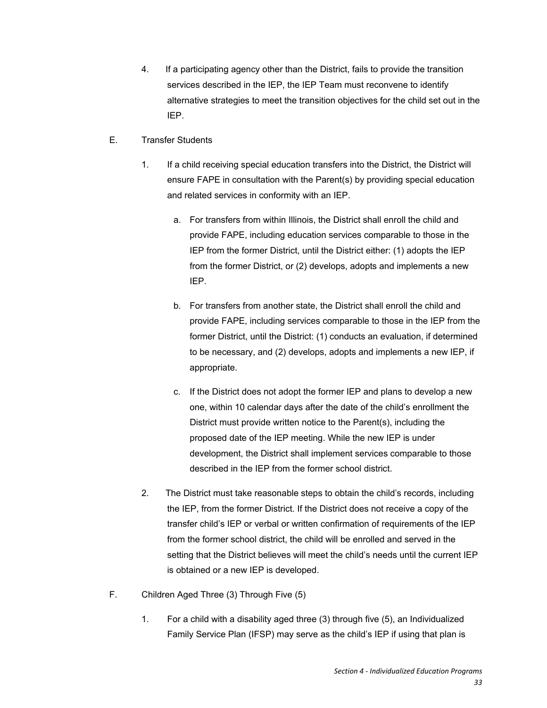- 4. If a participating agency other than the District, fails to provide the transition services described in the IEP, the IEP Team must reconvene to identify alternative strategies to meet the transition objectives for the child set out in the IEP.
- E. Transfer Students
	- 1. If a child receiving special education transfers into the District, the District will ensure FAPE in consultation with the Parent(s) by providing special education and related services in conformity with an IEP.
		- a. For transfers from within Illinois, the District shall enroll the child and provide FAPE, including education services comparable to those in the IEP from the former District, until the District either: (1) adopts the IEP from the former District, or (2) develops, adopts and implements a new IEP.
		- b. For transfers from another state, the District shall enroll the child and provide FAPE, including services comparable to those in the IEP from the former District, until the District: (1) conducts an evaluation, if determined to be necessary, and (2) develops, adopts and implements a new IEP, if appropriate.
		- c. If the District does not adopt the former IEP and plans to develop a new one, within 10 calendar days after the date of the child's enrollment the District must provide written notice to the Parent(s), including the proposed date of the IEP meeting. While the new IEP is under development, the District shall implement services comparable to those described in the IEP from the former school district.
	- 2. The District must take reasonable steps to obtain the child's records, including the IEP, from the former District. If the District does not receive a copy of the transfer child's IEP or verbal or written confirmation of requirements of the IEP from the former school district, the child will be enrolled and served in the setting that the District believes will meet the child's needs until the current IEP is obtained or a new IEP is developed.
- F. Children Aged Three (3) Through Five (5)
	- 1. For a child with a disability aged three (3) through five (5), an Individualized Family Service Plan (IFSP) may serve as the child's IEP if using that plan is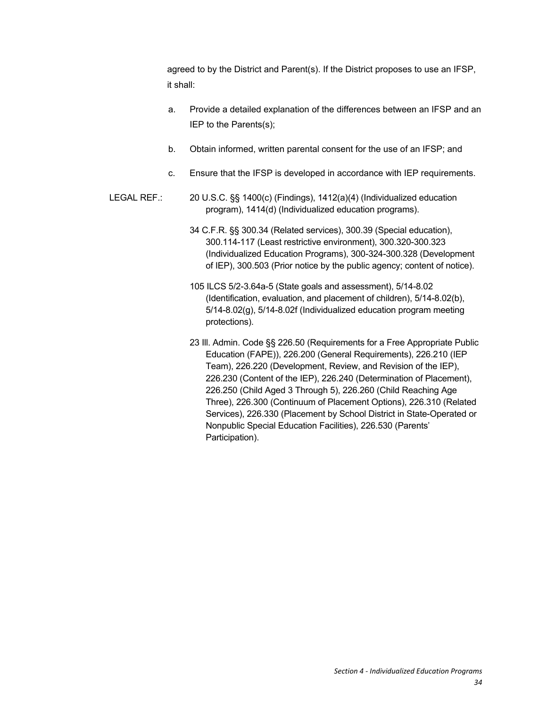agreed to by the District and Parent(s). If the District proposes to use an IFSP, it shall:

- a. Provide a detailed explanation of the differences between an IFSP and an IEP to the Parents(s);
- b. Obtain informed, written parental consent for the use of an IFSP; and
- c. Ensure that the IFSP is developed in accordance with IEP requirements.
- LEGAL REF.: 20 U.S.C. §§ 1400(c) (Findings), 1412(a)(4) (Individualized education program), 1414(d) (Individualized education programs).
	- 34 C.F.R. §§ 300.34 (Related services), 300.39 (Special education), 300.114-117 (Least restrictive environment), 300.320-300.323 (Individualized Education Programs), 300-324-300.328 (Development of IEP), 300.503 (Prior notice by the public agency; content of notice).
	- 105 ILCS 5/2-3.64a-5 (State goals and assessment), 5/14-8.02 (Identification, evaluation, and placement of children), 5/14-8.02(b), 5/14-8.02(g), 5/14-8.02f (Individualized education program meeting protections).
	- 23 Ill. Admin. Code §§ 226.50 (Requirements for a Free Appropriate Public Education (FAPE)), 226.200 (General Requirements), 226.210 (IEP Team), 226.220 (Development, Review, and Revision of the IEP), 226.230 (Content of the IEP), 226.240 (Determination of Placement), 226.250 (Child Aged 3 Through 5), 226.260 (Child Reaching Age Three), 226.300 (Continuum of Placement Options), 226.310 (Related Services), 226.330 (Placement by School District in State-Operated or Nonpublic Special Education Facilities), 226.530 (Parents' Participation).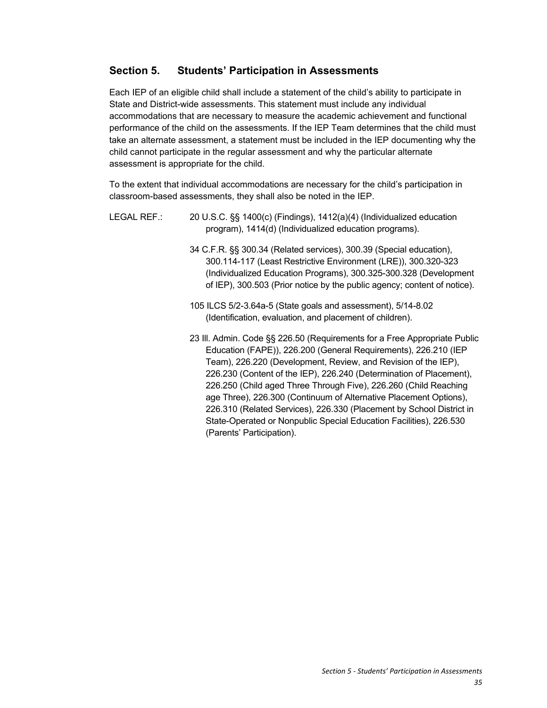# **Section 5. Students' Participation in Assessments**

Each IEP of an eligible child shall include a statement of the child's ability to participate in State and District-wide assessments. This statement must include any individual accommodations that are necessary to measure the academic achievement and functional performance of the child on the assessments. If the IEP Team determines that the child must take an alternate assessment, a statement must be included in the IEP documenting why the child cannot participate in the regular assessment and why the particular alternate assessment is appropriate for the child.

To the extent that individual accommodations are necessary for the child's participation in classroom-based assessments, they shall also be noted in the IEP.

| LEGAL REF.: | 20 U.S.C. §§ 1400(c) (Findings), 1412(a)(4) (Individualized education<br>program), 1414(d) (Individualized education programs).                                                                                                                                                                                                                                                                                                                                                                                                                                                                           |
|-------------|-----------------------------------------------------------------------------------------------------------------------------------------------------------------------------------------------------------------------------------------------------------------------------------------------------------------------------------------------------------------------------------------------------------------------------------------------------------------------------------------------------------------------------------------------------------------------------------------------------------|
|             | 34 C.F.R. §§ 300.34 (Related services), 300.39 (Special education),<br>300.114-117 (Least Restrictive Environment (LRE)), 300.320-323<br>(Individualized Education Programs), 300.325-300.328 (Development<br>of IEP), 300.503 (Prior notice by the public agency; content of notice).                                                                                                                                                                                                                                                                                                                    |
|             | 105 ILCS 5/2-3.64a-5 (State goals and assessment), 5/14-8.02                                                                                                                                                                                                                                                                                                                                                                                                                                                                                                                                              |
|             | (Identification, evaluation, and placement of children).                                                                                                                                                                                                                                                                                                                                                                                                                                                                                                                                                  |
|             | 23 III. Admin. Code §§ 226.50 (Requirements for a Free Appropriate Public<br>Education (FAPE)), 226.200 (General Requirements), 226.210 (IEP<br>Team), 226.220 (Development, Review, and Revision of the IEP),<br>226.230 (Content of the IEP), 226.240 (Determination of Placement),<br>226.250 (Child aged Three Through Five), 226.260 (Child Reaching<br>age Three), 226.300 (Continuum of Alternative Placement Options),<br>226.310 (Related Services), 226.330 (Placement by School District in<br>State-Operated or Nonpublic Special Education Facilities), 226.530<br>(Parents' Participation). |
|             |                                                                                                                                                                                                                                                                                                                                                                                                                                                                                                                                                                                                           |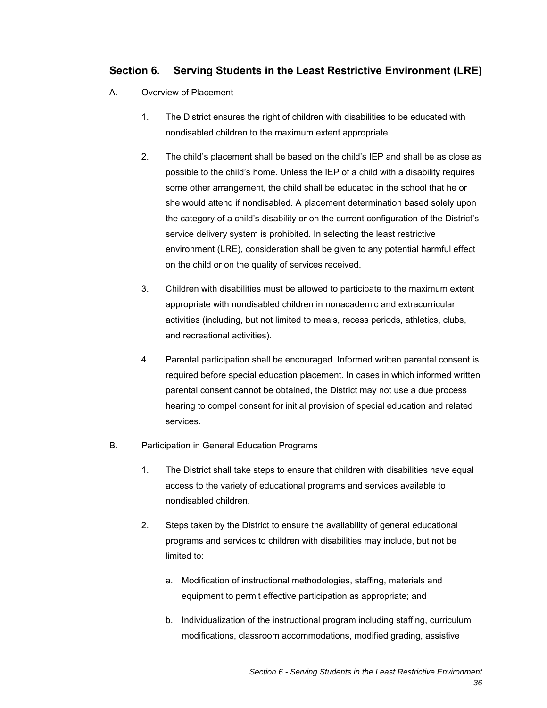# **Section 6. Serving Students in the Least Restrictive Environment (LRE)**

- A. Overview of Placement
	- 1. The District ensures the right of children with disabilities to be educated with nondisabled children to the maximum extent appropriate.
	- 2. The child's placement shall be based on the child's IEP and shall be as close as possible to the child's home. Unless the IEP of a child with a disability requires some other arrangement, the child shall be educated in the school that he or she would attend if nondisabled. A placement determination based solely upon the category of a child's disability or on the current configuration of the District's service delivery system is prohibited. In selecting the least restrictive environment (LRE), consideration shall be given to any potential harmful effect on the child or on the quality of services received.
	- 3. Children with disabilities must be allowed to participate to the maximum extent appropriate with nondisabled children in nonacademic and extracurricular activities (including, but not limited to meals, recess periods, athletics, clubs, and recreational activities).
	- 4. Parental participation shall be encouraged. Informed written parental consent is required before special education placement. In cases in which informed written parental consent cannot be obtained, the District may not use a due process hearing to compel consent for initial provision of special education and related services.
- B. Participation in General Education Programs
	- 1. The District shall take steps to ensure that children with disabilities have equal access to the variety of educational programs and services available to nondisabled children.
	- 2. Steps taken by the District to ensure the availability of general educational programs and services to children with disabilities may include, but not be limited to:
		- a. Modification of instructional methodologies, staffing, materials and equipment to permit effective participation as appropriate; and
		- b. Individualization of the instructional program including staffing, curriculum modifications, classroom accommodations, modified grading, assistive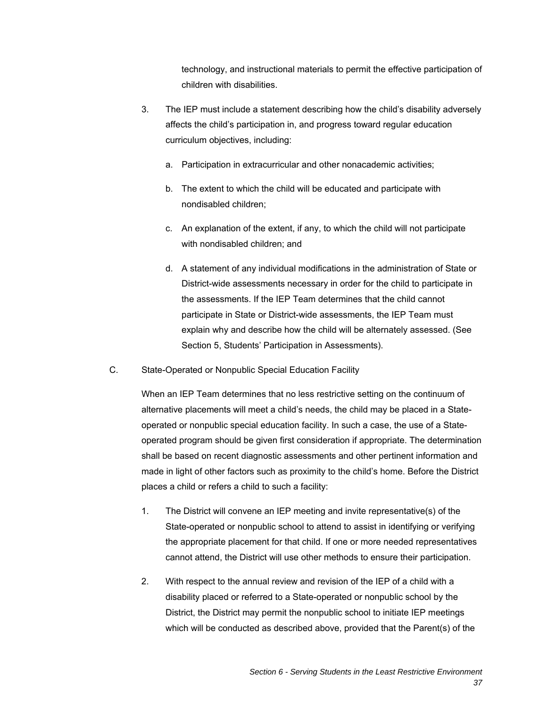technology, and instructional materials to permit the effective participation of children with disabilities.

- 3. The IEP must include a statement describing how the child's disability adversely affects the child's participation in, and progress toward regular education curriculum objectives, including:
	- a. Participation in extracurricular and other nonacademic activities;
	- b. The extent to which the child will be educated and participate with nondisabled children;
	- c. An explanation of the extent, if any, to which the child will not participate with nondisabled children; and
	- d. A statement of any individual modifications in the administration of State or District-wide assessments necessary in order for the child to participate in the assessments. If the IEP Team determines that the child cannot participate in State or District-wide assessments, the IEP Team must explain why and describe how the child will be alternately assessed. (See Section 5, Students' Participation in Assessments).
- C. State-Operated or Nonpublic Special Education Facility

When an IEP Team determines that no less restrictive setting on the continuum of alternative placements will meet a child's needs, the child may be placed in a Stateoperated or nonpublic special education facility. In such a case, the use of a Stateoperated program should be given first consideration if appropriate. The determination shall be based on recent diagnostic assessments and other pertinent information and made in light of other factors such as proximity to the child's home. Before the District places a child or refers a child to such a facility:

- 1. The District will convene an IEP meeting and invite representative(s) of the State-operated or nonpublic school to attend to assist in identifying or verifying the appropriate placement for that child. If one or more needed representatives cannot attend, the District will use other methods to ensure their participation.
- 2. With respect to the annual review and revision of the IEP of a child with a disability placed or referred to a State-operated or nonpublic school by the District, the District may permit the nonpublic school to initiate IEP meetings which will be conducted as described above, provided that the Parent(s) of the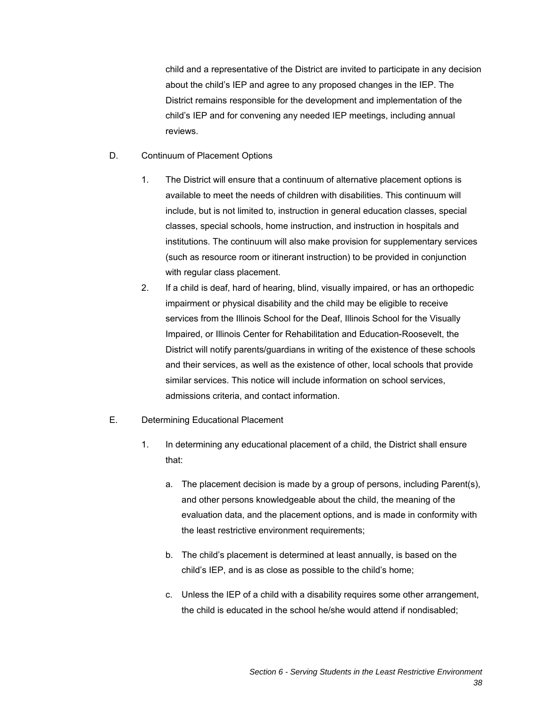child and a representative of the District are invited to participate in any decision about the child's IEP and agree to any proposed changes in the IEP. The District remains responsible for the development and implementation of the child's IEP and for convening any needed IEP meetings, including annual reviews.

### D. Continuum of Placement Options

- 1. The District will ensure that a continuum of alternative placement options is available to meet the needs of children with disabilities. This continuum will include, but is not limited to, instruction in general education classes, special classes, special schools, home instruction, and instruction in hospitals and institutions. The continuum will also make provision for supplementary services (such as resource room or itinerant instruction) to be provided in conjunction with regular class placement.
- 2. If a child is deaf, hard of hearing, blind, visually impaired, or has an orthopedic impairment or physical disability and the child may be eligible to receive services from the Illinois School for the Deaf, Illinois School for the Visually Impaired, or Illinois Center for Rehabilitation and Education-Roosevelt, the District will notify parents/guardians in writing of the existence of these schools and their services, as well as the existence of other, local schools that provide similar services. This notice will include information on school services, admissions criteria, and contact information.

### E. Determining Educational Placement

- 1. In determining any educational placement of a child, the District shall ensure that:
	- a. The placement decision is made by a group of persons, including Parent(s), and other persons knowledgeable about the child, the meaning of the evaluation data, and the placement options, and is made in conformity with the least restrictive environment requirements;
	- b. The child's placement is determined at least annually, is based on the child's IEP, and is as close as possible to the child's home;
	- c. Unless the IEP of a child with a disability requires some other arrangement, the child is educated in the school he/she would attend if nondisabled;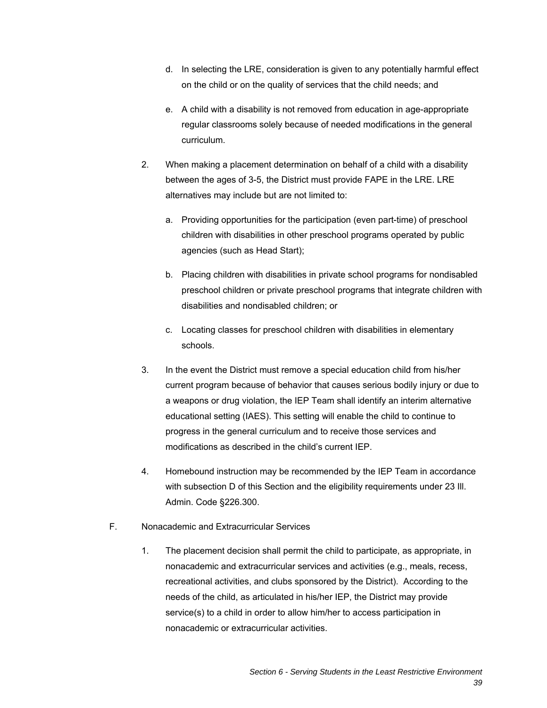- d. In selecting the LRE, consideration is given to any potentially harmful effect on the child or on the quality of services that the child needs; and
- e. A child with a disability is not removed from education in age-appropriate regular classrooms solely because of needed modifications in the general curriculum.
- 2. When making a placement determination on behalf of a child with a disability between the ages of 3-5, the District must provide FAPE in the LRE. LRE alternatives may include but are not limited to:
	- a. Providing opportunities for the participation (even part-time) of preschool children with disabilities in other preschool programs operated by public agencies (such as Head Start);
	- b. Placing children with disabilities in private school programs for nondisabled preschool children or private preschool programs that integrate children with disabilities and nondisabled children; or
	- c. Locating classes for preschool children with disabilities in elementary schools.
- 3. In the event the District must remove a special education child from his/her current program because of behavior that causes serious bodily injury or due to a weapons or drug violation, the IEP Team shall identify an interim alternative educational setting (IAES). This setting will enable the child to continue to progress in the general curriculum and to receive those services and modifications as described in the child's current IEP.
- 4. Homebound instruction may be recommended by the IEP Team in accordance with subsection D of this Section and the eligibility requirements under 23 Ill. Admin. Code §226.300.
- F. Nonacademic and Extracurricular Services
	- 1. The placement decision shall permit the child to participate, as appropriate, in nonacademic and extracurricular services and activities (e.g., meals, recess, recreational activities, and clubs sponsored by the District). According to the needs of the child, as articulated in his/her IEP, the District may provide service(s) to a child in order to allow him/her to access participation in nonacademic or extracurricular activities.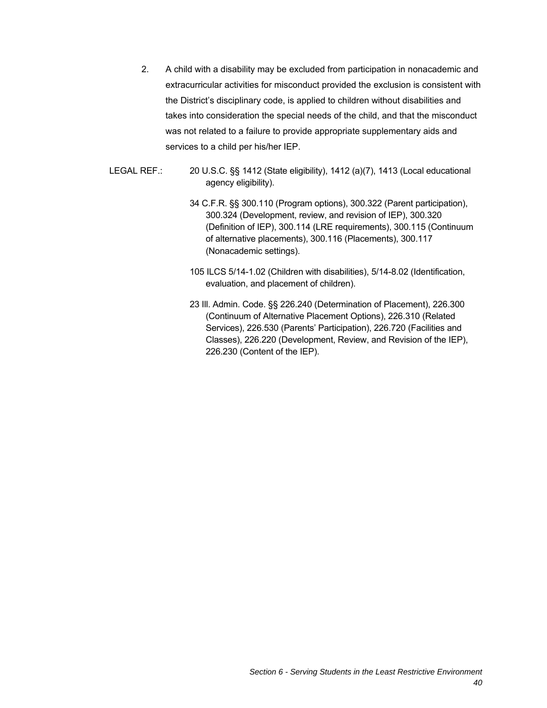- 2. A child with a disability may be excluded from participation in nonacademic and extracurricular activities for misconduct provided the exclusion is consistent with the District's disciplinary code, is applied to children without disabilities and takes into consideration the special needs of the child, and that the misconduct was not related to a failure to provide appropriate supplementary aids and services to a child per his/her IEP.
- LEGAL REF.: 20 U.S.C. §§ 1412 (State eligibility), 1412 (a)(7), 1413 (Local educational agency eligibility).
	- 34 C.F.R. §§ 300.110 (Program options), 300.322 (Parent participation), 300.324 (Development, review, and revision of IEP), 300.320 (Definition of IEP), 300.114 (LRE requirements), 300.115 (Continuum of alternative placements), 300.116 (Placements), 300.117 (Nonacademic settings).
	- 105 ILCS 5/14-1.02 (Children with disabilities), 5/14-8.02 (Identification, evaluation, and placement of children).
	- 23 Ill. Admin. Code. §§ 226.240 (Determination of Placement), 226.300 (Continuum of Alternative Placement Options), 226.310 (Related Services), 226.530 (Parents' Participation), 226.720 (Facilities and Classes), 226.220 (Development, Review, and Revision of the IEP), 226.230 (Content of the IEP).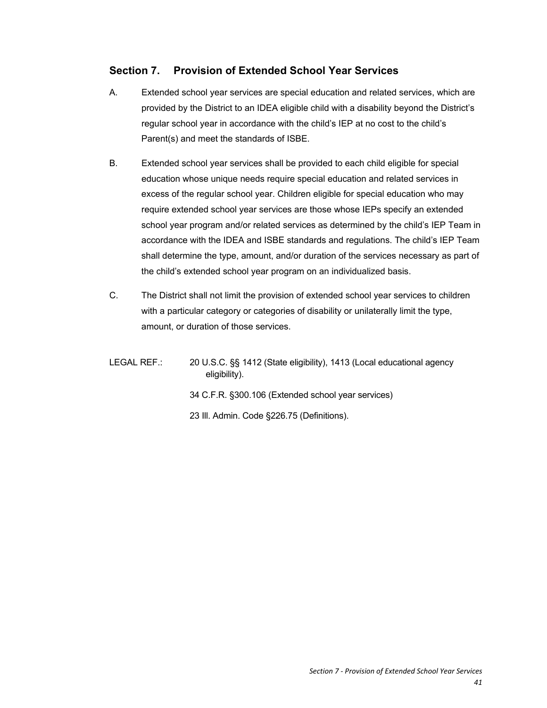# **Section 7. Provision of Extended School Year Services**

- A. Extended school year services are special education and related services, which are provided by the District to an IDEA eligible child with a disability beyond the District's regular school year in accordance with the child's IEP at no cost to the child's Parent(s) and meet the standards of ISBE.
- B. Extended school year services shall be provided to each child eligible for special education whose unique needs require special education and related services in excess of the regular school year. Children eligible for special education who may require extended school year services are those whose IEPs specify an extended school year program and/or related services as determined by the child's IEP Team in accordance with the IDEA and ISBE standards and regulations. The child's IEP Team shall determine the type, amount, and/or duration of the services necessary as part of the child's extended school year program on an individualized basis.
- C. The District shall not limit the provision of extended school year services to children with a particular category or categories of disability or unilaterally limit the type, amount, or duration of those services.

LEGAL REF.: 20 U.S.C. §§ 1412 (State eligibility), 1413 (Local educational agency eligibility). 34 C.F.R. §300.106 (Extended school year services) 23 Ill. Admin. Code §226.75 (Definitions).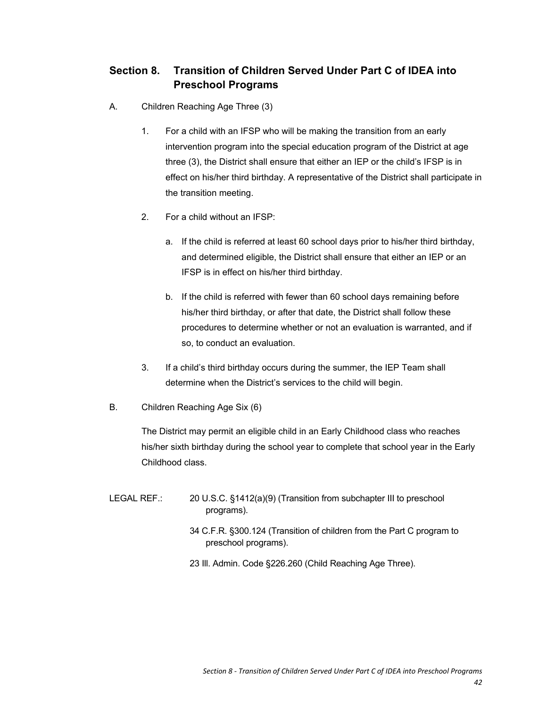# **Section 8. Transition of Children Served Under Part C of IDEA into Preschool Programs**

- A. Children Reaching Age Three (3)
	- 1. For a child with an IFSP who will be making the transition from an early intervention program into the special education program of the District at age three (3), the District shall ensure that either an IEP or the child's IFSP is in effect on his/her third birthday. A representative of the District shall participate in the transition meeting.
	- 2. For a child without an IFSP:
		- a. If the child is referred at least 60 school days prior to his/her third birthday, and determined eligible, the District shall ensure that either an IEP or an IFSP is in effect on his/her third birthday.
		- b. If the child is referred with fewer than 60 school days remaining before his/her third birthday, or after that date, the District shall follow these procedures to determine whether or not an evaluation is warranted, and if so, to conduct an evaluation.
	- 3. If a child's third birthday occurs during the summer, the IEP Team shall determine when the District's services to the child will begin.
- B. Children Reaching Age Six (6)

The District may permit an eligible child in an Early Childhood class who reaches his/her sixth birthday during the school year to complete that school year in the Early Childhood class.

- LEGAL REF.: 20 U.S.C. §1412(a)(9) (Transition from subchapter III to preschool programs).
	- 34 C.F.R. §300.124 (Transition of children from the Part C program to preschool programs).
	- 23 Ill. Admin. Code §226.260 (Child Reaching Age Three).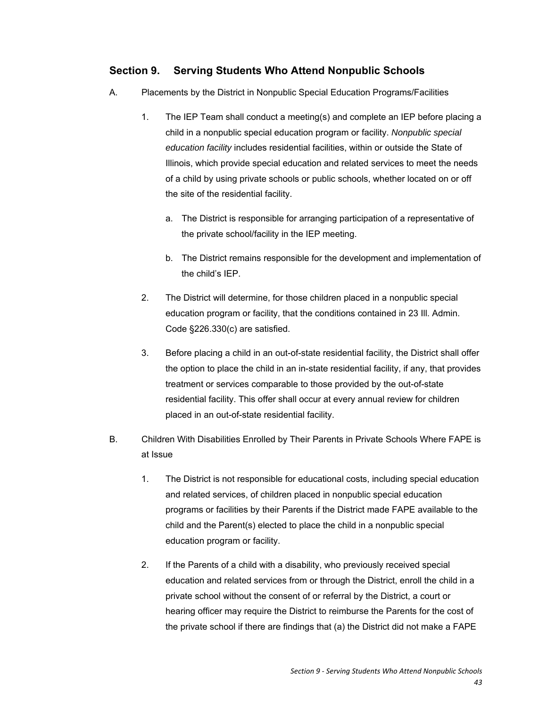### **Section 9. Serving Students Who Attend Nonpublic Schools**

- A. Placements by the District in Nonpublic Special Education Programs/Facilities
	- 1. The IEP Team shall conduct a meeting(s) and complete an IEP before placing a child in a nonpublic special education program or facility. *Nonpublic special education facility* includes residential facilities, within or outside the State of Illinois, which provide special education and related services to meet the needs of a child by using private schools or public schools, whether located on or off the site of the residential facility.
		- a. The District is responsible for arranging participation of a representative of the private school/facility in the IEP meeting.
		- b. The District remains responsible for the development and implementation of the child's IEP.
	- 2. The District will determine, for those children placed in a nonpublic special education program or facility, that the conditions contained in 23 Ill. Admin. Code §226.330(c) are satisfied.
	- 3. Before placing a child in an out-of-state residential facility, the District shall offer the option to place the child in an in-state residential facility, if any, that provides treatment or services comparable to those provided by the out-of-state residential facility. This offer shall occur at every annual review for children placed in an out-of-state residential facility.
- B. Children With Disabilities Enrolled by Their Parents in Private Schools Where FAPE is at Issue
	- 1. The District is not responsible for educational costs, including special education and related services, of children placed in nonpublic special education programs or facilities by their Parents if the District made FAPE available to the child and the Parent(s) elected to place the child in a nonpublic special education program or facility.
	- 2. If the Parents of a child with a disability, who previously received special education and related services from or through the District, enroll the child in a private school without the consent of or referral by the District, a court or hearing officer may require the District to reimburse the Parents for the cost of the private school if there are findings that (a) the District did not make a FAPE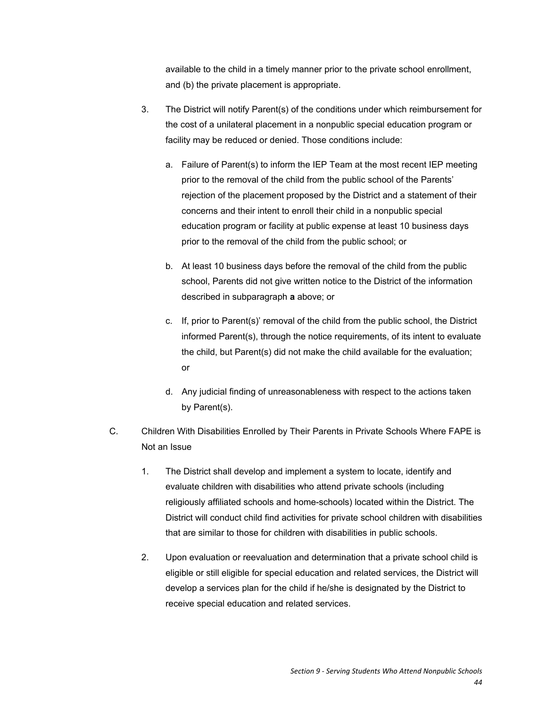available to the child in a timely manner prior to the private school enrollment, and (b) the private placement is appropriate.

- 3. The District will notify Parent(s) of the conditions under which reimbursement for the cost of a unilateral placement in a nonpublic special education program or facility may be reduced or denied. Those conditions include:
	- a. Failure of Parent(s) to inform the IEP Team at the most recent IEP meeting prior to the removal of the child from the public school of the Parents' rejection of the placement proposed by the District and a statement of their concerns and their intent to enroll their child in a nonpublic special education program or facility at public expense at least 10 business days prior to the removal of the child from the public school; or
	- b. At least 10 business days before the removal of the child from the public school, Parents did not give written notice to the District of the information described in subparagraph **a** above; or
	- c. If, prior to Parent(s)' removal of the child from the public school, the District informed Parent(s), through the notice requirements, of its intent to evaluate the child, but Parent(s) did not make the child available for the evaluation; or
	- d. Any judicial finding of unreasonableness with respect to the actions taken by Parent(s).
- C. Children With Disabilities Enrolled by Their Parents in Private Schools Where FAPE is Not an Issue
	- 1. The District shall develop and implement a system to locate, identify and evaluate children with disabilities who attend private schools (including religiously affiliated schools and home-schools) located within the District. The District will conduct child find activities for private school children with disabilities that are similar to those for children with disabilities in public schools.
	- 2. Upon evaluation or reevaluation and determination that a private school child is eligible or still eligible for special education and related services, the District will develop a services plan for the child if he/she is designated by the District to receive special education and related services.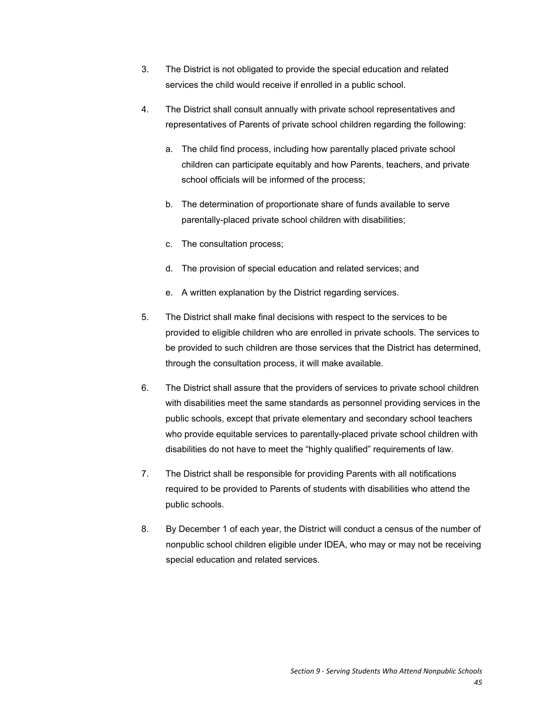- 3. The District is not obligated to provide the special education and related services the child would receive if enrolled in a public school.
- 4. The District shall consult annually with private school representatives and representatives of Parents of private school children regarding the following:
	- a. The child find process, including how parentally placed private school children can participate equitably and how Parents, teachers, and private school officials will be informed of the process;
	- b. The determination of proportionate share of funds available to serve parentally-placed private school children with disabilities;
	- c. The consultation process;
	- d. The provision of special education and related services; and
	- e. A written explanation by the District regarding services.
- 5. The District shall make final decisions with respect to the services to be provided to eligible children who are enrolled in private schools. The services to be provided to such children are those services that the District has determined, through the consultation process, it will make available.
- 6. The District shall assure that the providers of services to private school children with disabilities meet the same standards as personnel providing services in the public schools, except that private elementary and secondary school teachers who provide equitable services to parentally-placed private school children with disabilities do not have to meet the "highly qualified" requirements of law.
- 7. The District shall be responsible for providing Parents with all notifications required to be provided to Parents of students with disabilities who attend the public schools.
- 8. By December 1 of each year, the District will conduct a census of the number of nonpublic school children eligible under IDEA, who may or may not be receiving special education and related services.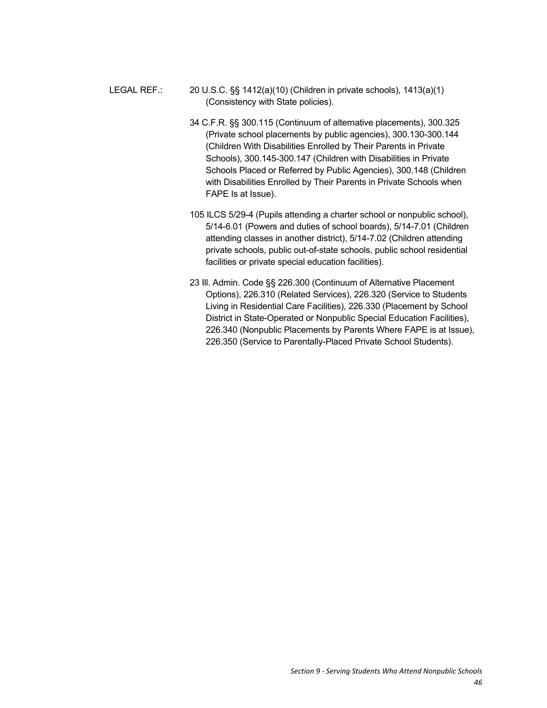- LEGAL REF.: 20 U.S.C. §§ 1412(a)(10) (Children in private schools), 1413(a)(1) (Consistency with State policies).
	- 34 C.F.R. §§ 300.115 (Continuum of alternative placements), 300.325 (Private school placements by public agencies), 300.130-300.144 (Children With Disabilities Enrolled by Their Parents in Private Schools), 300.145-300.147 (Children with Disabilities in Private Schools Placed or Referred by Public Agencies), 300.148 (Children with Disabilities Enrolled by Their Parents in Private Schools when FAPE Is at Issue).
	- 105 ILCS 5/29-4 (Pupils attending a charter school or nonpublic school), 5/14-6.01 (Powers and duties of school boards), 5/14-7.01 (Children attending classes in another district), 5/14-7.02 (Children attending private schools, public out-of-state schools, public school residential facilities or private special education facilities).
	- 23 Ill. Admin. Code §§ 226.300 (Continuum of Alternative Placement Options), 226.310 (Related Services), 226.320 (Service to Students Living in Residential Care Facilities), 226.330 (Placement by School District in State-Operated or Nonpublic Special Education Facilities), 226.340 (Nonpublic Placements by Parents Where FAPE is at Issue), 226.350 (Service to Parentally-Placed Private School Students).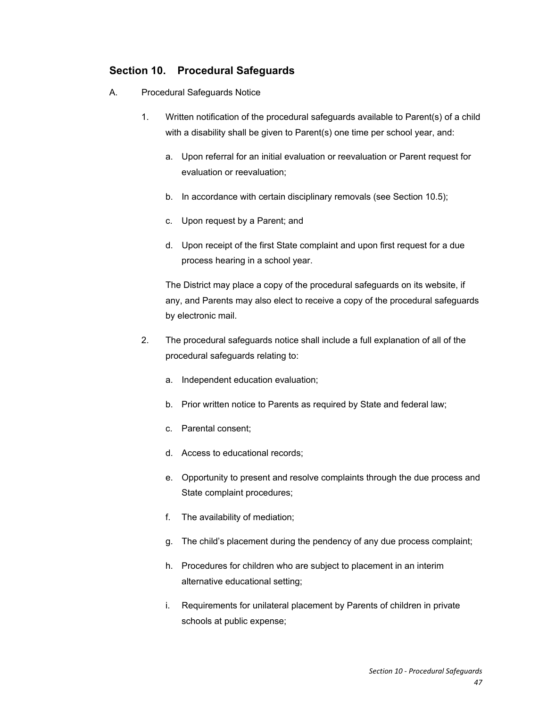### **Section 10. Procedural Safeguards**

- A. Procedural Safeguards Notice
	- 1. Written notification of the procedural safeguards available to Parent(s) of a child with a disability shall be given to Parent(s) one time per school year, and:
		- a. Upon referral for an initial evaluation or reevaluation or Parent request for evaluation or reevaluation;
		- b. In accordance with certain disciplinary removals (see Section 10.5);
		- c. Upon request by a Parent; and
		- d. Upon receipt of the first State complaint and upon first request for a due process hearing in a school year.

The District may place a copy of the procedural safeguards on its website, if any, and Parents may also elect to receive a copy of the procedural safeguards by electronic mail.

- 2. The procedural safeguards notice shall include a full explanation of all of the procedural safeguards relating to:
	- a. Independent education evaluation;
	- b. Prior written notice to Parents as required by State and federal law;
	- c. Parental consent;
	- d. Access to educational records;
	- e. Opportunity to present and resolve complaints through the due process and State complaint procedures;
	- f. The availability of mediation;
	- g. The child's placement during the pendency of any due process complaint;
	- h. Procedures for children who are subject to placement in an interim alternative educational setting;
	- i. Requirements for unilateral placement by Parents of children in private schools at public expense;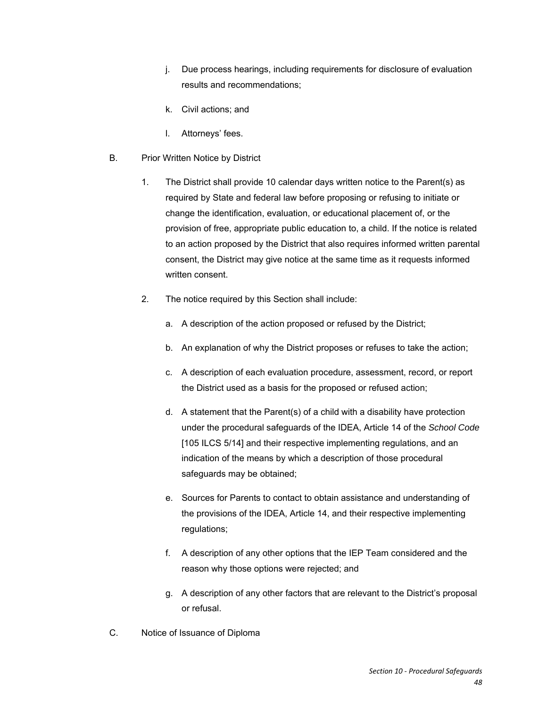- j. Due process hearings, including requirements for disclosure of evaluation results and recommendations;
- k. Civil actions; and
- l. Attorneys' fees.
- B. Prior Written Notice by District
	- 1. The District shall provide 10 calendar days written notice to the Parent(s) as required by State and federal law before proposing or refusing to initiate or change the identification, evaluation, or educational placement of, or the provision of free, appropriate public education to, a child. If the notice is related to an action proposed by the District that also requires informed written parental consent, the District may give notice at the same time as it requests informed written consent.
	- 2. The notice required by this Section shall include:
		- a. A description of the action proposed or refused by the District;
		- b. An explanation of why the District proposes or refuses to take the action;
		- c. A description of each evaluation procedure, assessment, record, or report the District used as a basis for the proposed or refused action;
		- d. A statement that the Parent(s) of a child with a disability have protection under the procedural safeguards of the IDEA, Article 14 of the *School Code* [105 ILCS 5/14] and their respective implementing regulations, and an indication of the means by which a description of those procedural safeguards may be obtained;
		- e. Sources for Parents to contact to obtain assistance and understanding of the provisions of the IDEA, Article 14, and their respective implementing regulations;
		- f. A description of any other options that the IEP Team considered and the reason why those options were rejected; and
		- g. A description of any other factors that are relevant to the District's proposal or refusal.
- C. Notice of Issuance of Diploma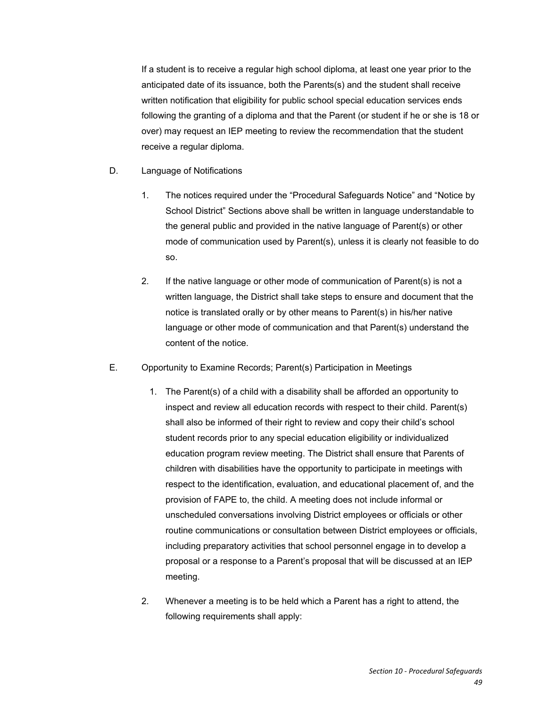If a student is to receive a regular high school diploma, at least one year prior to the anticipated date of its issuance, both the Parents(s) and the student shall receive written notification that eligibility for public school special education services ends following the granting of a diploma and that the Parent (or student if he or she is 18 or over) may request an IEP meeting to review the recommendation that the student receive a regular diploma.

- D. Language of Notifications
	- 1. The notices required under the "Procedural Safeguards Notice" and "Notice by School District" Sections above shall be written in language understandable to the general public and provided in the native language of Parent(s) or other mode of communication used by Parent(s), unless it is clearly not feasible to do so.
	- 2. If the native language or other mode of communication of Parent(s) is not a written language, the District shall take steps to ensure and document that the notice is translated orally or by other means to Parent(s) in his/her native language or other mode of communication and that Parent(s) understand the content of the notice.
- E. Opportunity to Examine Records; Parent(s) Participation in Meetings
	- 1. The Parent(s) of a child with a disability shall be afforded an opportunity to inspect and review all education records with respect to their child. Parent(s) shall also be informed of their right to review and copy their child's school student records prior to any special education eligibility or individualized education program review meeting. The District shall ensure that Parents of children with disabilities have the opportunity to participate in meetings with respect to the identification, evaluation, and educational placement of, and the provision of FAPE to, the child. A meeting does not include informal or unscheduled conversations involving District employees or officials or other routine communications or consultation between District employees or officials, including preparatory activities that school personnel engage in to develop a proposal or a response to a Parent's proposal that will be discussed at an IEP meeting.
	- 2. Whenever a meeting is to be held which a Parent has a right to attend, the following requirements shall apply: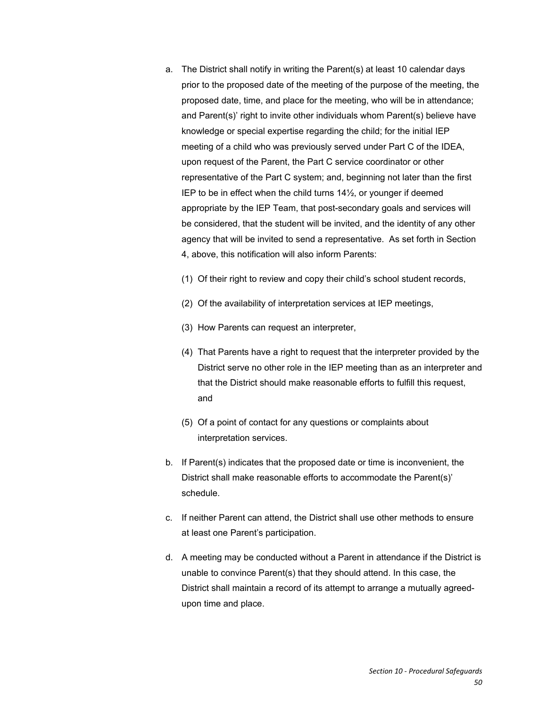- a. The District shall notify in writing the Parent(s) at least 10 calendar days prior to the proposed date of the meeting of the purpose of the meeting, the proposed date, time, and place for the meeting, who will be in attendance; and Parent(s)' right to invite other individuals whom Parent(s) believe have knowledge or special expertise regarding the child; for the initial IEP meeting of a child who was previously served under Part C of the IDEA, upon request of the Parent, the Part C service coordinator or other representative of the Part C system; and, beginning not later than the first IEP to be in effect when the child turns 14½, or younger if deemed appropriate by the IEP Team, that post-secondary goals and services will be considered, that the student will be invited, and the identity of any other agency that will be invited to send a representative. As set forth in Section 4, above, this notification will also inform Parents:
	- (1) Of their right to review and copy their child's school student records,
	- (2) Of the availability of interpretation services at IEP meetings,
	- (3) How Parents can request an interpreter,
	- (4) That Parents have a right to request that the interpreter provided by the District serve no other role in the IEP meeting than as an interpreter and that the District should make reasonable efforts to fulfill this request, and
	- (5) Of a point of contact for any questions or complaints about interpretation services.
- b. If Parent(s) indicates that the proposed date or time is inconvenient, the District shall make reasonable efforts to accommodate the Parent(s)' schedule.
- c. If neither Parent can attend, the District shall use other methods to ensure at least one Parent's participation.
- d. A meeting may be conducted without a Parent in attendance if the District is unable to convince Parent(s) that they should attend. In this case, the District shall maintain a record of its attempt to arrange a mutually agreedupon time and place.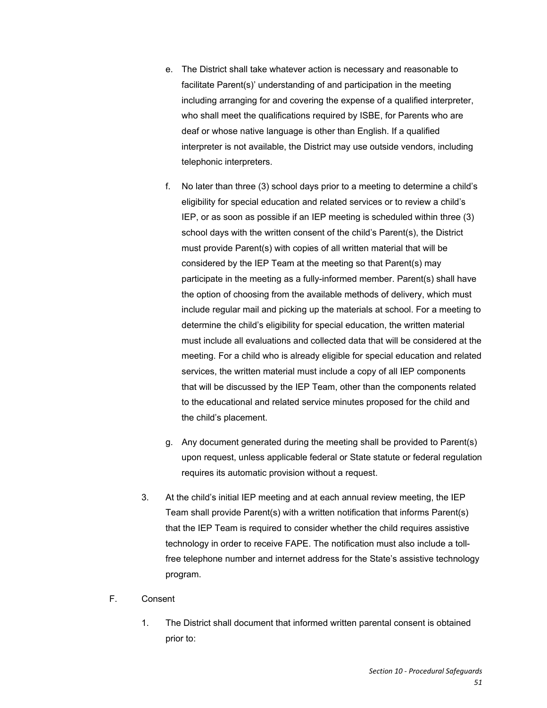- e. The District shall take whatever action is necessary and reasonable to facilitate Parent(s)' understanding of and participation in the meeting including arranging for and covering the expense of a qualified interpreter, who shall meet the qualifications required by ISBE, for Parents who are deaf or whose native language is other than English. If a qualified interpreter is not available, the District may use outside vendors, including telephonic interpreters.
- f. No later than three (3) school days prior to a meeting to determine a child's eligibility for special education and related services or to review a child's IEP, or as soon as possible if an IEP meeting is scheduled within three (3) school days with the written consent of the child's Parent(s), the District must provide Parent(s) with copies of all written material that will be considered by the IEP Team at the meeting so that Parent(s) may participate in the meeting as a fully-informed member. Parent(s) shall have the option of choosing from the available methods of delivery, which must include regular mail and picking up the materials at school. For a meeting to determine the child's eligibility for special education, the written material must include all evaluations and collected data that will be considered at the meeting. For a child who is already eligible for special education and related services, the written material must include a copy of all IEP components that will be discussed by the IEP Team, other than the components related to the educational and related service minutes proposed for the child and the child's placement.
- g. Any document generated during the meeting shall be provided to Parent(s) upon request, unless applicable federal or State statute or federal regulation requires its automatic provision without a request.
- 3. At the child's initial IEP meeting and at each annual review meeting, the IEP Team shall provide Parent(s) with a written notification that informs Parent(s) that the IEP Team is required to consider whether the child requires assistive technology in order to receive FAPE. The notification must also include a tollfree telephone number and internet address for the State's assistive technology program.
- F. Consent
	- 1. The District shall document that informed written parental consent is obtained prior to: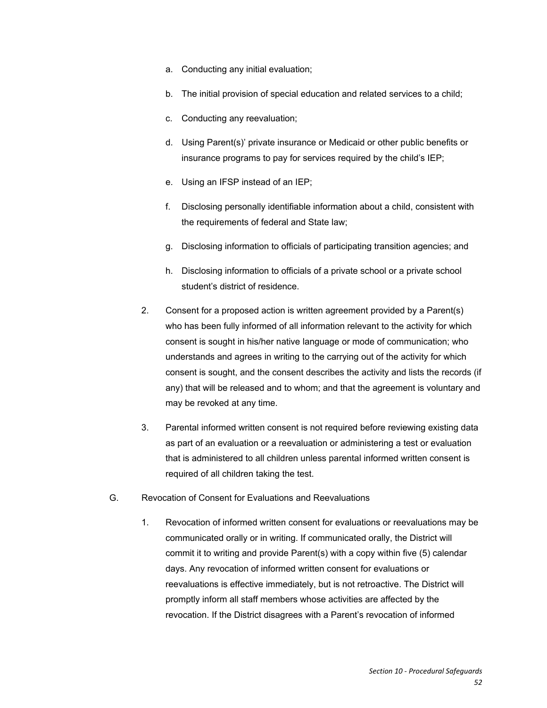- a. Conducting any initial evaluation;
- b. The initial provision of special education and related services to a child;
- c. Conducting any reevaluation;
- d. Using Parent(s)' private insurance or Medicaid or other public benefits or insurance programs to pay for services required by the child's IEP;
- e. Using an IFSP instead of an IEP;
- f. Disclosing personally identifiable information about a child, consistent with the requirements of federal and State law;
- g. Disclosing information to officials of participating transition agencies; and
- h. Disclosing information to officials of a private school or a private school student's district of residence.
- 2. Consent for a proposed action is written agreement provided by a Parent(s) who has been fully informed of all information relevant to the activity for which consent is sought in his/her native language or mode of communication; who understands and agrees in writing to the carrying out of the activity for which consent is sought, and the consent describes the activity and lists the records (if any) that will be released and to whom; and that the agreement is voluntary and may be revoked at any time.
- 3. Parental informed written consent is not required before reviewing existing data as part of an evaluation or a reevaluation or administering a test or evaluation that is administered to all children unless parental informed written consent is required of all children taking the test.
- G. Revocation of Consent for Evaluations and Reevaluations
	- 1. Revocation of informed written consent for evaluations or reevaluations may be communicated orally or in writing. If communicated orally, the District will commit it to writing and provide Parent(s) with a copy within five (5) calendar days. Any revocation of informed written consent for evaluations or reevaluations is effective immediately, but is not retroactive. The District will promptly inform all staff members whose activities are affected by the revocation. If the District disagrees with a Parent's revocation of informed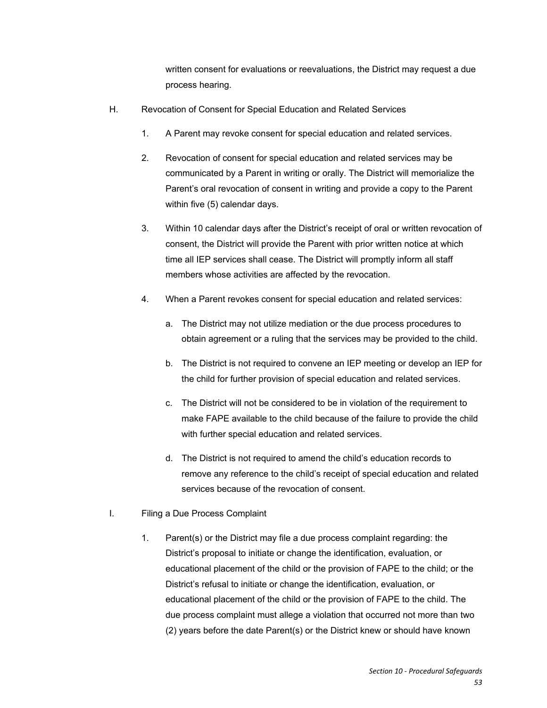written consent for evaluations or reevaluations, the District may request a due process hearing.

- H. Revocation of Consent for Special Education and Related Services
	- 1. A Parent may revoke consent for special education and related services.
	- 2. Revocation of consent for special education and related services may be communicated by a Parent in writing or orally. The District will memorialize the Parent's oral revocation of consent in writing and provide a copy to the Parent within five (5) calendar days.
	- 3. Within 10 calendar days after the District's receipt of oral or written revocation of consent, the District will provide the Parent with prior written notice at which time all IEP services shall cease. The District will promptly inform all staff members whose activities are affected by the revocation.
	- 4. When a Parent revokes consent for special education and related services:
		- a. The District may not utilize mediation or the due process procedures to obtain agreement or a ruling that the services may be provided to the child.
		- b. The District is not required to convene an IEP meeting or develop an IEP for the child for further provision of special education and related services.
		- c. The District will not be considered to be in violation of the requirement to make FAPE available to the child because of the failure to provide the child with further special education and related services.
		- d. The District is not required to amend the child's education records to remove any reference to the child's receipt of special education and related services because of the revocation of consent.
- I. Filing a Due Process Complaint
	- 1. Parent(s) or the District may file a due process complaint regarding: the District's proposal to initiate or change the identification, evaluation, or educational placement of the child or the provision of FAPE to the child; or the District's refusal to initiate or change the identification, evaluation, or educational placement of the child or the provision of FAPE to the child. The due process complaint must allege a violation that occurred not more than two (2) years before the date Parent(s) or the District knew or should have known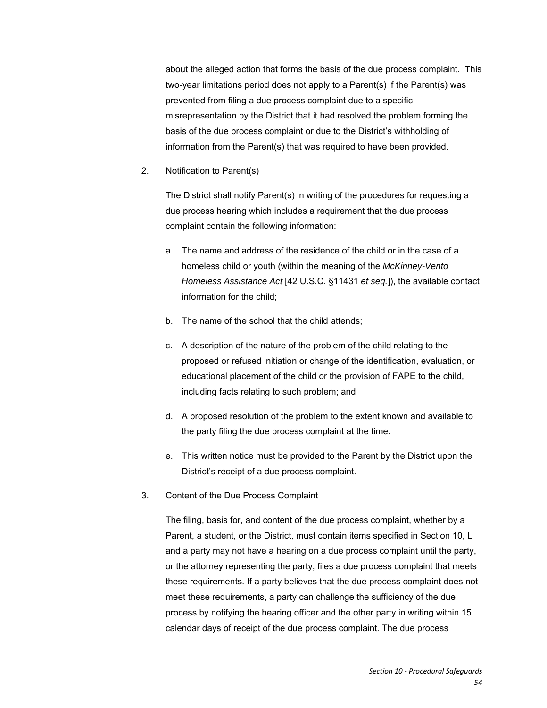about the alleged action that forms the basis of the due process complaint. This two-year limitations period does not apply to a Parent(s) if the Parent(s) was prevented from filing a due process complaint due to a specific misrepresentation by the District that it had resolved the problem forming the basis of the due process complaint or due to the District's withholding of information from the Parent(s) that was required to have been provided.

2. Notification to Parent(s)

The District shall notify Parent(s) in writing of the procedures for requesting a due process hearing which includes a requirement that the due process complaint contain the following information:

- a. The name and address of the residence of the child or in the case of a homeless child or youth (within the meaning of the *McKinney-Vento Homeless Assistance Act* [42 U.S.C. §11431 *et seq.*]), the available contact information for the child;
- b. The name of the school that the child attends;
- c. A description of the nature of the problem of the child relating to the proposed or refused initiation or change of the identification, evaluation, or educational placement of the child or the provision of FAPE to the child, including facts relating to such problem; and
- d. A proposed resolution of the problem to the extent known and available to the party filing the due process complaint at the time.
- e. This written notice must be provided to the Parent by the District upon the District's receipt of a due process complaint.
- 3. Content of the Due Process Complaint

The filing, basis for, and content of the due process complaint, whether by a Parent, a student, or the District, must contain items specified in Section 10, L and a party may not have a hearing on a due process complaint until the party, or the attorney representing the party, files a due process complaint that meets these requirements. If a party believes that the due process complaint does not meet these requirements, a party can challenge the sufficiency of the due process by notifying the hearing officer and the other party in writing within 15 calendar days of receipt of the due process complaint. The due process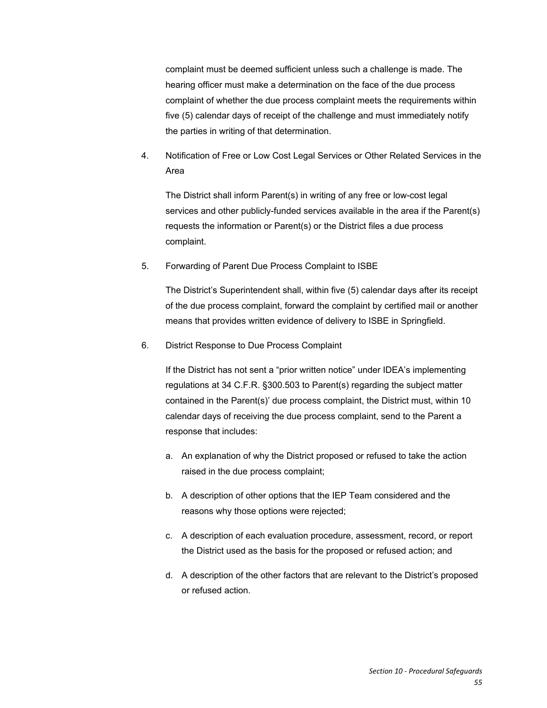complaint must be deemed sufficient unless such a challenge is made. The hearing officer must make a determination on the face of the due process complaint of whether the due process complaint meets the requirements within five (5) calendar days of receipt of the challenge and must immediately notify the parties in writing of that determination.

4. Notification of Free or Low Cost Legal Services or Other Related Services in the Area

The District shall inform Parent(s) in writing of any free or low-cost legal services and other publicly-funded services available in the area if the Parent(s) requests the information or Parent(s) or the District files a due process complaint.

5. Forwarding of Parent Due Process Complaint to ISBE

The District's Superintendent shall, within five (5) calendar days after its receipt of the due process complaint, forward the complaint by certified mail or another means that provides written evidence of delivery to ISBE in Springfield.

6. District Response to Due Process Complaint

If the District has not sent a "prior written notice" under IDEA's implementing regulations at 34 C.F.R. §300.503 to Parent(s) regarding the subject matter contained in the Parent(s)' due process complaint, the District must, within 10 calendar days of receiving the due process complaint, send to the Parent a response that includes:

- a. An explanation of why the District proposed or refused to take the action raised in the due process complaint;
- b. A description of other options that the IEP Team considered and the reasons why those options were rejected;
- c. A description of each evaluation procedure, assessment, record, or report the District used as the basis for the proposed or refused action; and
- d. A description of the other factors that are relevant to the District's proposed or refused action.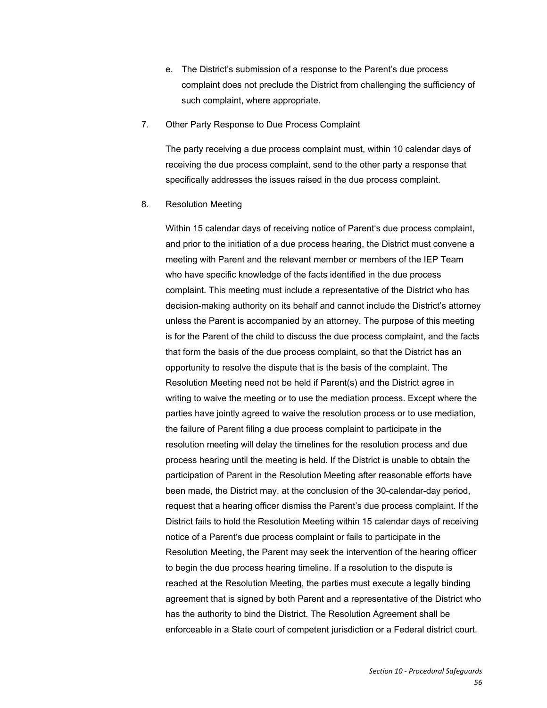- e. The District's submission of a response to the Parent's due process complaint does not preclude the District from challenging the sufficiency of such complaint, where appropriate.
- 7. Other Party Response to Due Process Complaint

The party receiving a due process complaint must, within 10 calendar days of receiving the due process complaint, send to the other party a response that specifically addresses the issues raised in the due process complaint.

8. Resolution Meeting

Within 15 calendar days of receiving notice of Parent's due process complaint, and prior to the initiation of a due process hearing, the District must convene a meeting with Parent and the relevant member or members of the IEP Team who have specific knowledge of the facts identified in the due process complaint. This meeting must include a representative of the District who has decision-making authority on its behalf and cannot include the District's attorney unless the Parent is accompanied by an attorney. The purpose of this meeting is for the Parent of the child to discuss the due process complaint, and the facts that form the basis of the due process complaint, so that the District has an opportunity to resolve the dispute that is the basis of the complaint. The Resolution Meeting need not be held if Parent(s) and the District agree in writing to waive the meeting or to use the mediation process. Except where the parties have jointly agreed to waive the resolution process or to use mediation, the failure of Parent filing a due process complaint to participate in the resolution meeting will delay the timelines for the resolution process and due process hearing until the meeting is held. If the District is unable to obtain the participation of Parent in the Resolution Meeting after reasonable efforts have been made, the District may, at the conclusion of the 30-calendar-day period, request that a hearing officer dismiss the Parent's due process complaint. If the District fails to hold the Resolution Meeting within 15 calendar days of receiving notice of a Parent's due process complaint or fails to participate in the Resolution Meeting, the Parent may seek the intervention of the hearing officer to begin the due process hearing timeline. If a resolution to the dispute is reached at the Resolution Meeting, the parties must execute a legally binding agreement that is signed by both Parent and a representative of the District who has the authority to bind the District. The Resolution Agreement shall be enforceable in a State court of competent jurisdiction or a Federal district court.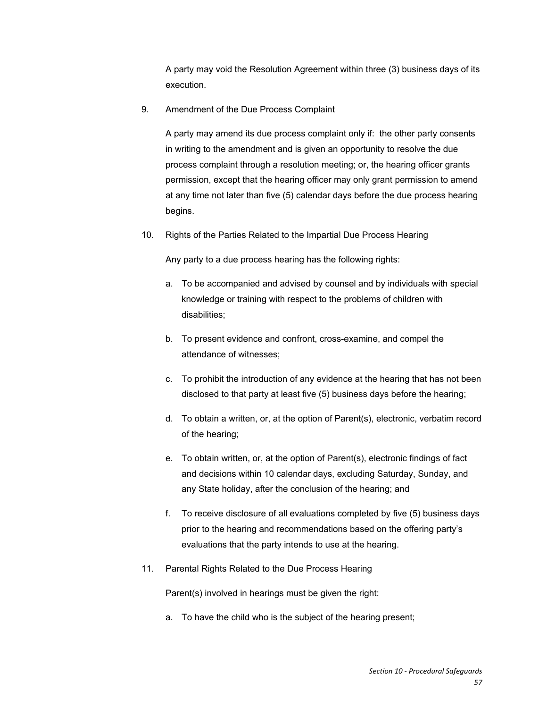A party may void the Resolution Agreement within three (3) business days of its execution.

9. Amendment of the Due Process Complaint

A party may amend its due process complaint only if: the other party consents in writing to the amendment and is given an opportunity to resolve the due process complaint through a resolution meeting; or, the hearing officer grants permission, except that the hearing officer may only grant permission to amend at any time not later than five (5) calendar days before the due process hearing begins.

10. Rights of the Parties Related to the Impartial Due Process Hearing

Any party to a due process hearing has the following rights:

- a. To be accompanied and advised by counsel and by individuals with special knowledge or training with respect to the problems of children with disabilities;
- b. To present evidence and confront, cross-examine, and compel the attendance of witnesses;
- c. To prohibit the introduction of any evidence at the hearing that has not been disclosed to that party at least five (5) business days before the hearing;
- d. To obtain a written, or, at the option of Parent(s), electronic, verbatim record of the hearing;
- e. To obtain written, or, at the option of Parent(s), electronic findings of fact and decisions within 10 calendar days, excluding Saturday, Sunday, and any State holiday, after the conclusion of the hearing; and
- f. To receive disclosure of all evaluations completed by five (5) business days prior to the hearing and recommendations based on the offering party's evaluations that the party intends to use at the hearing.
- 11. Parental Rights Related to the Due Process Hearing

Parent(s) involved in hearings must be given the right:

a. To have the child who is the subject of the hearing present;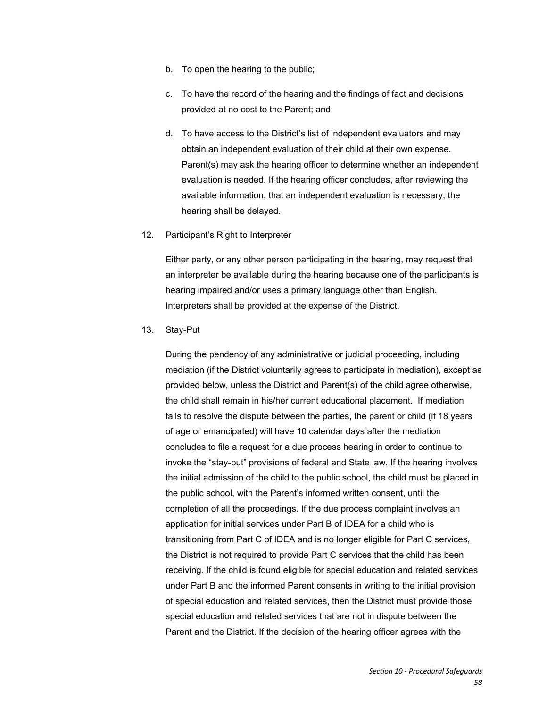- b. To open the hearing to the public;
- c. To have the record of the hearing and the findings of fact and decisions provided at no cost to the Parent; and
- d. To have access to the District's list of independent evaluators and may obtain an independent evaluation of their child at their own expense. Parent(s) may ask the hearing officer to determine whether an independent evaluation is needed. If the hearing officer concludes, after reviewing the available information, that an independent evaluation is necessary, the hearing shall be delayed.
- 12. Participant's Right to Interpreter

Either party, or any other person participating in the hearing, may request that an interpreter be available during the hearing because one of the participants is hearing impaired and/or uses a primary language other than English. Interpreters shall be provided at the expense of the District.

13. Stay-Put

During the pendency of any administrative or judicial proceeding, including mediation (if the District voluntarily agrees to participate in mediation), except as provided below, unless the District and Parent(s) of the child agree otherwise, the child shall remain in his/her current educational placement. If mediation fails to resolve the dispute between the parties, the parent or child (if 18 years of age or emancipated) will have 10 calendar days after the mediation concludes to file a request for a due process hearing in order to continue to invoke the "stay-put" provisions of federal and State law. If the hearing involves the initial admission of the child to the public school, the child must be placed in the public school, with the Parent's informed written consent, until the completion of all the proceedings. If the due process complaint involves an application for initial services under Part B of IDEA for a child who is transitioning from Part C of IDEA and is no longer eligible for Part C services, the District is not required to provide Part C services that the child has been receiving. If the child is found eligible for special education and related services under Part B and the informed Parent consents in writing to the initial provision of special education and related services, then the District must provide those special education and related services that are not in dispute between the Parent and the District. If the decision of the hearing officer agrees with the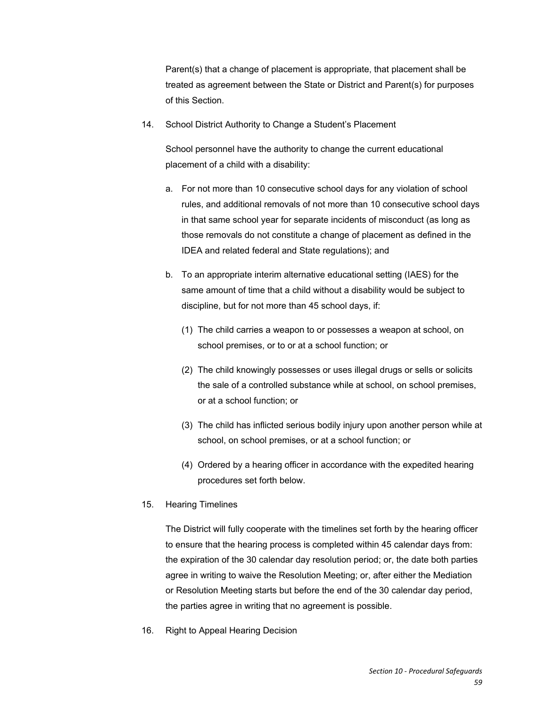Parent(s) that a change of placement is appropriate, that placement shall be treated as agreement between the State or District and Parent(s) for purposes of this Section.

14. School District Authority to Change a Student's Placement

School personnel have the authority to change the current educational placement of a child with a disability:

- a. For not more than 10 consecutive school days for any violation of school rules, and additional removals of not more than 10 consecutive school days in that same school year for separate incidents of misconduct (as long as those removals do not constitute a change of placement as defined in the IDEA and related federal and State regulations); and
- b. To an appropriate interim alternative educational setting (IAES) for the same amount of time that a child without a disability would be subject to discipline, but for not more than 45 school days, if:
	- (1) The child carries a weapon to or possesses a weapon at school, on school premises, or to or at a school function; or
	- (2) The child knowingly possesses or uses illegal drugs or sells or solicits the sale of a controlled substance while at school, on school premises, or at a school function; or
	- (3) The child has inflicted serious bodily injury upon another person while at school, on school premises, or at a school function; or
	- (4) Ordered by a hearing officer in accordance with the expedited hearing procedures set forth below.
- 15. Hearing Timelines

The District will fully cooperate with the timelines set forth by the hearing officer to ensure that the hearing process is completed within 45 calendar days from: the expiration of the 30 calendar day resolution period; or, the date both parties agree in writing to waive the Resolution Meeting; or, after either the Mediation or Resolution Meeting starts but before the end of the 30 calendar day period, the parties agree in writing that no agreement is possible.

16. Right to Appeal Hearing Decision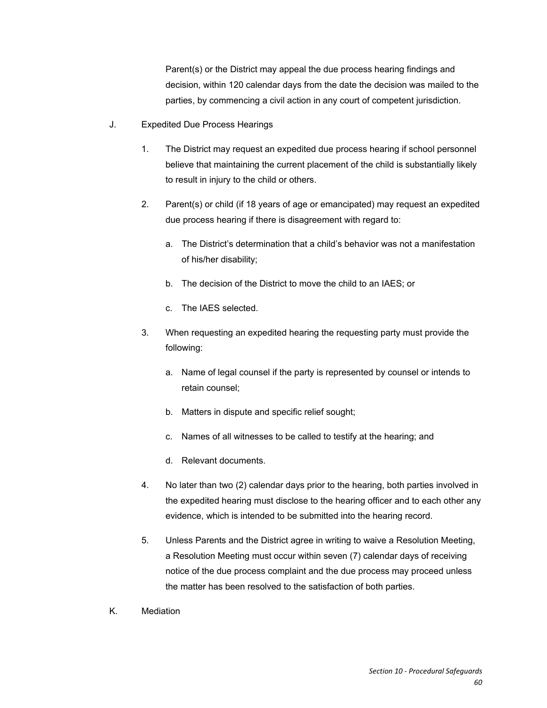Parent(s) or the District may appeal the due process hearing findings and decision, within 120 calendar days from the date the decision was mailed to the parties, by commencing a civil action in any court of competent jurisdiction.

- J. Expedited Due Process Hearings
	- 1. The District may request an expedited due process hearing if school personnel believe that maintaining the current placement of the child is substantially likely to result in injury to the child or others.
	- 2. Parent(s) or child (if 18 years of age or emancipated) may request an expedited due process hearing if there is disagreement with regard to:
		- a. The District's determination that a child's behavior was not a manifestation of his/her disability;
		- b. The decision of the District to move the child to an IAES; or
		- c. The IAES selected.
	- 3. When requesting an expedited hearing the requesting party must provide the following:
		- a. Name of legal counsel if the party is represented by counsel or intends to retain counsel;
		- b. Matters in dispute and specific relief sought;
		- c. Names of all witnesses to be called to testify at the hearing; and
		- d. Relevant documents.
	- 4. No later than two (2) calendar days prior to the hearing, both parties involved in the expedited hearing must disclose to the hearing officer and to each other any evidence, which is intended to be submitted into the hearing record.
	- 5. Unless Parents and the District agree in writing to waive a Resolution Meeting, a Resolution Meeting must occur within seven (7) calendar days of receiving notice of the due process complaint and the due process may proceed unless the matter has been resolved to the satisfaction of both parties.
- K. Mediation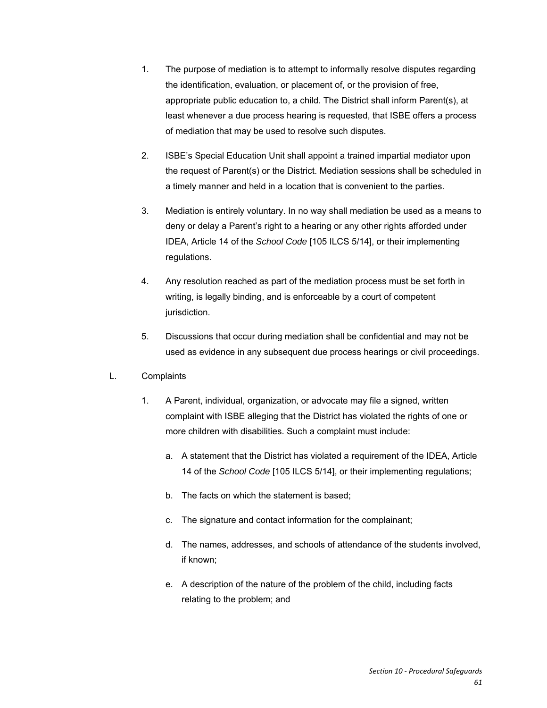- 1. The purpose of mediation is to attempt to informally resolve disputes regarding the identification, evaluation, or placement of, or the provision of free, appropriate public education to, a child. The District shall inform Parent(s), at least whenever a due process hearing is requested, that ISBE offers a process of mediation that may be used to resolve such disputes.
- 2. ISBE's Special Education Unit shall appoint a trained impartial mediator upon the request of Parent(s) or the District. Mediation sessions shall be scheduled in a timely manner and held in a location that is convenient to the parties.
- 3. Mediation is entirely voluntary. In no way shall mediation be used as a means to deny or delay a Parent's right to a hearing or any other rights afforded under IDEA, Article 14 of the *School Code* [105 ILCS 5/14], or their implementing regulations.
- 4. Any resolution reached as part of the mediation process must be set forth in writing, is legally binding, and is enforceable by a court of competent jurisdiction.
- 5. Discussions that occur during mediation shall be confidential and may not be used as evidence in any subsequent due process hearings or civil proceedings.
- L. Complaints
	- 1. A Parent, individual, organization, or advocate may file a signed, written complaint with ISBE alleging that the District has violated the rights of one or more children with disabilities. Such a complaint must include:
		- a. A statement that the District has violated a requirement of the IDEA, Article 14 of the *School Code* [105 ILCS 5/14], or their implementing regulations;
		- b. The facts on which the statement is based;
		- c. The signature and contact information for the complainant;
		- d. The names, addresses, and schools of attendance of the students involved, if known;
		- e. A description of the nature of the problem of the child, including facts relating to the problem; and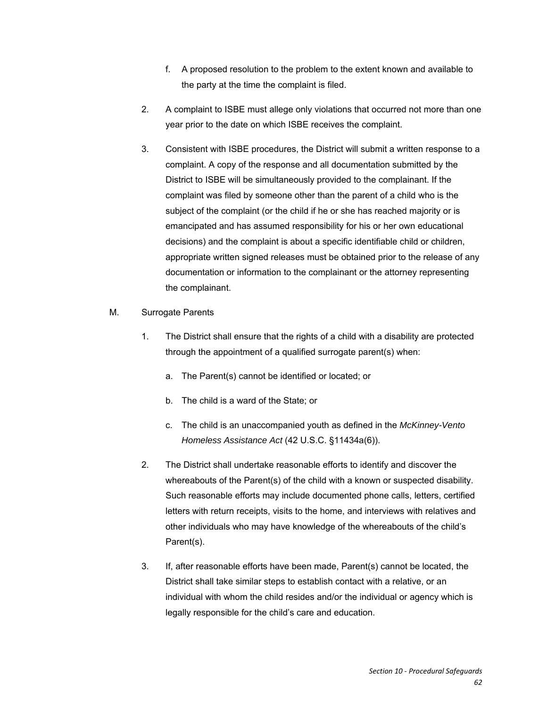- f. A proposed resolution to the problem to the extent known and available to the party at the time the complaint is filed.
- 2. A complaint to ISBE must allege only violations that occurred not more than one year prior to the date on which ISBE receives the complaint.
- 3. Consistent with ISBE procedures, the District will submit a written response to a complaint. A copy of the response and all documentation submitted by the District to ISBE will be simultaneously provided to the complainant. If the complaint was filed by someone other than the parent of a child who is the subject of the complaint (or the child if he or she has reached majority or is emancipated and has assumed responsibility for his or her own educational decisions) and the complaint is about a specific identifiable child or children, appropriate written signed releases must be obtained prior to the release of any documentation or information to the complainant or the attorney representing the complainant.
- M. Surrogate Parents
	- 1. The District shall ensure that the rights of a child with a disability are protected through the appointment of a qualified surrogate parent(s) when:
		- a. The Parent(s) cannot be identified or located; or
		- b. The child is a ward of the State; or
		- c. The child is an unaccompanied youth as defined in the *McKinney-Vento Homeless Assistance Act* (42 U.S.C. §11434a(6)).
	- 2. The District shall undertake reasonable efforts to identify and discover the whereabouts of the Parent(s) of the child with a known or suspected disability. Such reasonable efforts may include documented phone calls, letters, certified letters with return receipts, visits to the home, and interviews with relatives and other individuals who may have knowledge of the whereabouts of the child's Parent(s).
	- 3. If, after reasonable efforts have been made, Parent(s) cannot be located, the District shall take similar steps to establish contact with a relative, or an individual with whom the child resides and/or the individual or agency which is legally responsible for the child's care and education.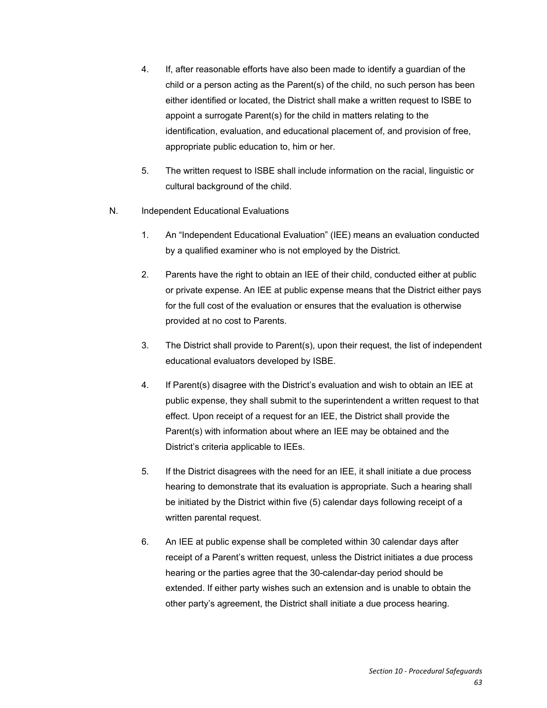- 4. If, after reasonable efforts have also been made to identify a guardian of the child or a person acting as the Parent(s) of the child, no such person has been either identified or located, the District shall make a written request to ISBE to appoint a surrogate Parent(s) for the child in matters relating to the identification, evaluation, and educational placement of, and provision of free, appropriate public education to, him or her.
- 5. The written request to ISBE shall include information on the racial, linguistic or cultural background of the child.
- N. Independent Educational Evaluations
	- 1. An "Independent Educational Evaluation" (IEE) means an evaluation conducted by a qualified examiner who is not employed by the District.
	- 2. Parents have the right to obtain an IEE of their child, conducted either at public or private expense. An IEE at public expense means that the District either pays for the full cost of the evaluation or ensures that the evaluation is otherwise provided at no cost to Parents.
	- 3. The District shall provide to Parent(s), upon their request, the list of independent educational evaluators developed by ISBE.
	- 4. If Parent(s) disagree with the District's evaluation and wish to obtain an IEE at public expense, they shall submit to the superintendent a written request to that effect. Upon receipt of a request for an IEE, the District shall provide the Parent(s) with information about where an IEE may be obtained and the District's criteria applicable to IEEs.
	- 5. If the District disagrees with the need for an IEE, it shall initiate a due process hearing to demonstrate that its evaluation is appropriate. Such a hearing shall be initiated by the District within five (5) calendar days following receipt of a written parental request.
	- 6. An IEE at public expense shall be completed within 30 calendar days after receipt of a Parent's written request, unless the District initiates a due process hearing or the parties agree that the 30-calendar-day period should be extended. If either party wishes such an extension and is unable to obtain the other party's agreement, the District shall initiate a due process hearing.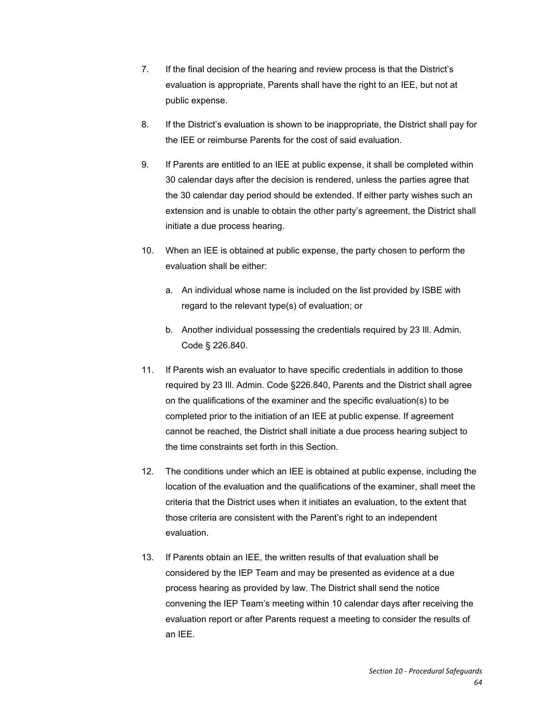- 7. If the final decision of the hearing and review process is that the District's evaluation is appropriate, Parents shall have the right to an IEE, but not at public expense.
- 8. If the District's evaluation is shown to be inappropriate, the District shall pay for the IEE or reimburse Parents for the cost of said evaluation.
- 9. If Parents are entitled to an IEE at public expense, it shall be completed within 30 calendar days after the decision is rendered, unless the parties agree that the 30 calendar day period should be extended. If either party wishes such an extension and is unable to obtain the other party's agreement, the District shall initiate a due process hearing.
- 10. When an IEE is obtained at public expense, the party chosen to perform the evaluation shall be either:
	- a. An individual whose name is included on the list provided by ISBE with regard to the relevant type(s) of evaluation; or
	- b. Another individual possessing the credentials required by 23 Ill. Admin. Code § 226.840.
- 11. If Parents wish an evaluator to have specific credentials in addition to those required by 23 Ill. Admin. Code §226.840, Parents and the District shall agree on the qualifications of the examiner and the specific evaluation(s) to be completed prior to the initiation of an IEE at public expense. If agreement cannot be reached, the District shall initiate a due process hearing subject to the time constraints set forth in this Section.
- 12. The conditions under which an IEE is obtained at public expense, including the location of the evaluation and the qualifications of the examiner, shall meet the criteria that the District uses when it initiates an evaluation, to the extent that those criteria are consistent with the Parent's right to an independent evaluation.
- 13. If Parents obtain an IEE, the written results of that evaluation shall be considered by the IEP Team and may be presented as evidence at a due process hearing as provided by law. The District shall send the notice convening the IEP Team's meeting within 10 calendar days after receiving the evaluation report or after Parents request a meeting to consider the results of an IEE.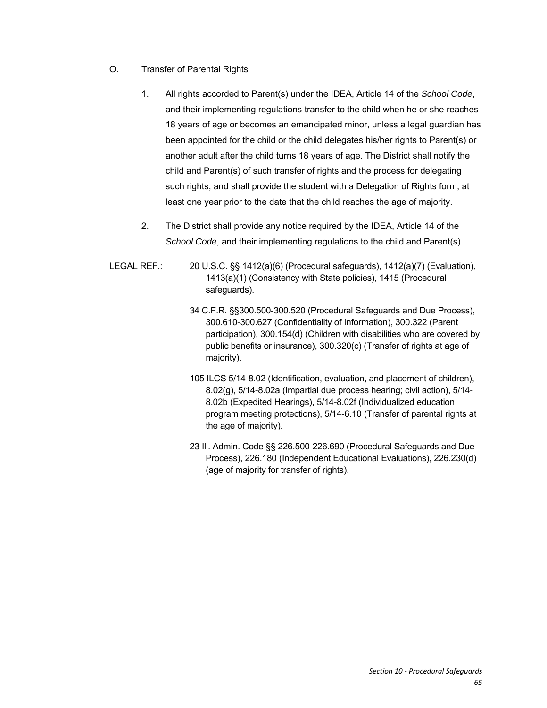- O. Transfer of Parental Rights
	- 1. All rights accorded to Parent(s) under the IDEA, Article 14 of the *School Code*, and their implementing regulations transfer to the child when he or she reaches 18 years of age or becomes an emancipated minor, unless a legal guardian has been appointed for the child or the child delegates his/her rights to Parent(s) or another adult after the child turns 18 years of age. The District shall notify the child and Parent(s) of such transfer of rights and the process for delegating such rights, and shall provide the student with a Delegation of Rights form, at least one year prior to the date that the child reaches the age of majority.
	- 2. The District shall provide any notice required by the IDEA, Article 14 of the *School Code*, and their implementing regulations to the child and Parent(s).
- LEGAL REF.: 20 U.S.C. §§ 1412(a)(6) (Procedural safeguards), 1412(a)(7) (Evaluation), 1413(a)(1) (Consistency with State policies), 1415 (Procedural safeguards).
	- 34 C.F.R. §§300.500-300.520 (Procedural Safeguards and Due Process), 300.610-300.627 (Confidentiality of Information), 300.322 (Parent participation), 300.154(d) (Children with disabilities who are covered by public benefits or insurance), 300.320(c) (Transfer of rights at age of majority).
	- 105 ILCS 5/14-8.02 (Identification, evaluation, and placement of children), 8.02(g), 5/14-8.02a (Impartial due process hearing; civil action), 5/14- 8.02b (Expedited Hearings), 5/14-8.02f (Individualized education program meeting protections), 5/14-6.10 (Transfer of parental rights at the age of majority).
	- 23 Ill. Admin. Code §§ 226.500-226.690 (Procedural Safeguards and Due Process), 226.180 (Independent Educational Evaluations), 226.230(d) (age of majority for transfer of rights).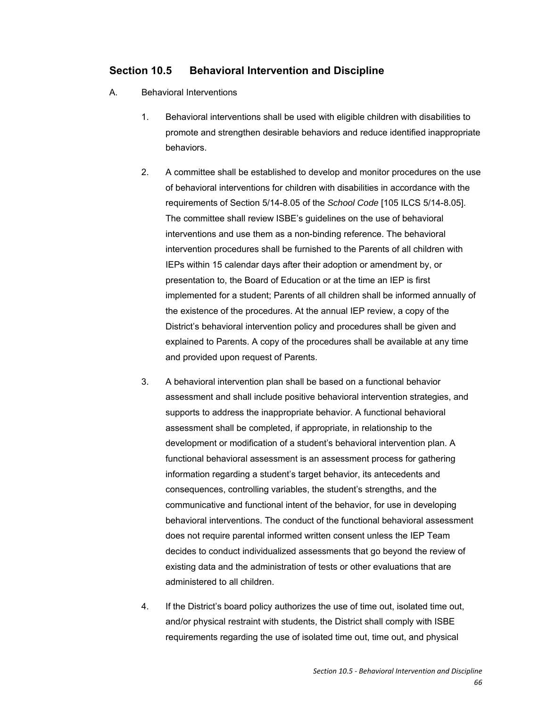### **Section 10.5 Behavioral Intervention and Discipline**

- A. Behavioral Interventions
	- 1. Behavioral interventions shall be used with eligible children with disabilities to promote and strengthen desirable behaviors and reduce identified inappropriate behaviors.
	- 2. A committee shall be established to develop and monitor procedures on the use of behavioral interventions for children with disabilities in accordance with the requirements of Section 5/14-8.05 of the *School Code* [105 ILCS 5/14-8.05]. The committee shall review ISBE's guidelines on the use of behavioral interventions and use them as a non-binding reference. The behavioral intervention procedures shall be furnished to the Parents of all children with IEPs within 15 calendar days after their adoption or amendment by, or presentation to, the Board of Education or at the time an IEP is first implemented for a student; Parents of all children shall be informed annually of the existence of the procedures. At the annual IEP review, a copy of the District's behavioral intervention policy and procedures shall be given and explained to Parents. A copy of the procedures shall be available at any time and provided upon request of Parents.
	- 3. A behavioral intervention plan shall be based on a functional behavior assessment and shall include positive behavioral intervention strategies, and supports to address the inappropriate behavior. A functional behavioral assessment shall be completed, if appropriate, in relationship to the development or modification of a student's behavioral intervention plan. A functional behavioral assessment is an assessment process for gathering information regarding a student's target behavior, its antecedents and consequences, controlling variables, the student's strengths, and the communicative and functional intent of the behavior, for use in developing behavioral interventions. The conduct of the functional behavioral assessment does not require parental informed written consent unless the IEP Team decides to conduct individualized assessments that go beyond the review of existing data and the administration of tests or other evaluations that are administered to all children.
	- 4. If the District's board policy authorizes the use of time out, isolated time out, and/or physical restraint with students, the District shall comply with ISBE requirements regarding the use of isolated time out, time out, and physical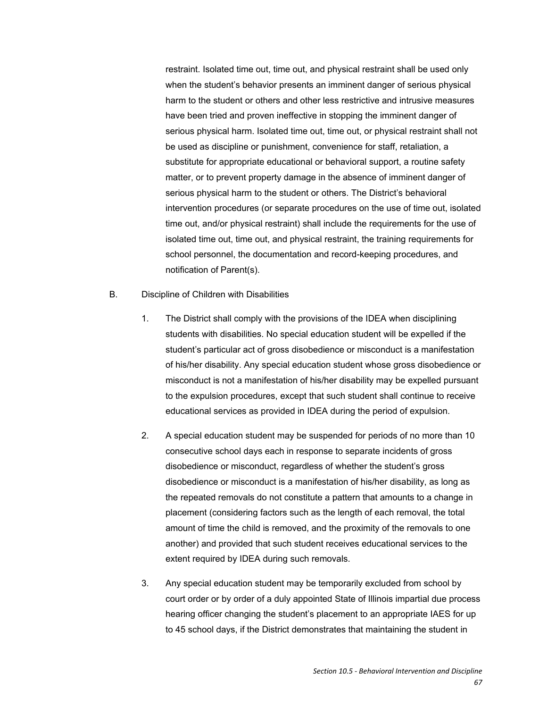restraint. Isolated time out, time out, and physical restraint shall be used only when the student's behavior presents an imminent danger of serious physical harm to the student or others and other less restrictive and intrusive measures have been tried and proven ineffective in stopping the imminent danger of serious physical harm. Isolated time out, time out, or physical restraint shall not be used as discipline or punishment, convenience for staff, retaliation, a substitute for appropriate educational or behavioral support, a routine safety matter, or to prevent property damage in the absence of imminent danger of serious physical harm to the student or others. The District's behavioral intervention procedures (or separate procedures on the use of time out, isolated time out, and/or physical restraint) shall include the requirements for the use of isolated time out, time out, and physical restraint, the training requirements for school personnel, the documentation and record-keeping procedures, and notification of Parent(s).

#### B. Discipline of Children with Disabilities

- 1. The District shall comply with the provisions of the IDEA when disciplining students with disabilities. No special education student will be expelled if the student's particular act of gross disobedience or misconduct is a manifestation of his/her disability. Any special education student whose gross disobedience or misconduct is not a manifestation of his/her disability may be expelled pursuant to the expulsion procedures, except that such student shall continue to receive educational services as provided in IDEA during the period of expulsion.
- 2. A special education student may be suspended for periods of no more than 10 consecutive school days each in response to separate incidents of gross disobedience or misconduct, regardless of whether the student's gross disobedience or misconduct is a manifestation of his/her disability, as long as the repeated removals do not constitute a pattern that amounts to a change in placement (considering factors such as the length of each removal, the total amount of time the child is removed, and the proximity of the removals to one another) and provided that such student receives educational services to the extent required by IDEA during such removals.
- 3. Any special education student may be temporarily excluded from school by court order or by order of a duly appointed State of Illinois impartial due process hearing officer changing the student's placement to an appropriate IAES for up to 45 school days, if the District demonstrates that maintaining the student in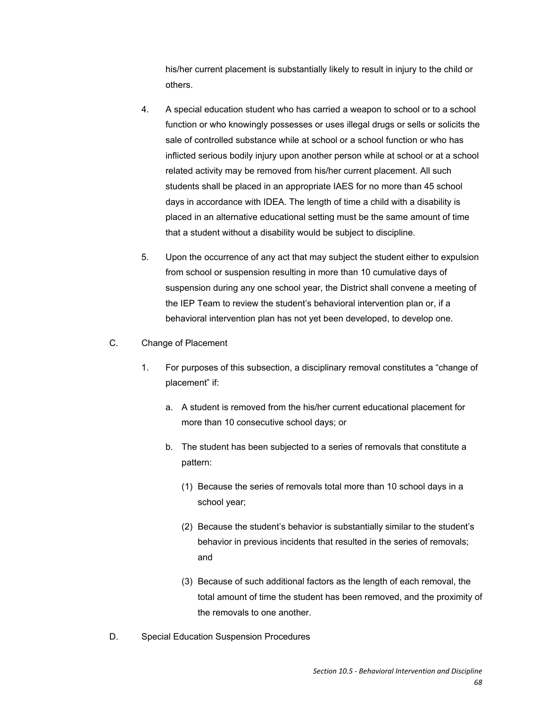his/her current placement is substantially likely to result in injury to the child or others.

- 4. A special education student who has carried a weapon to school or to a school function or who knowingly possesses or uses illegal drugs or sells or solicits the sale of controlled substance while at school or a school function or who has inflicted serious bodily injury upon another person while at school or at a school related activity may be removed from his/her current placement. All such students shall be placed in an appropriate IAES for no more than 45 school days in accordance with IDEA. The length of time a child with a disability is placed in an alternative educational setting must be the same amount of time that a student without a disability would be subject to discipline.
- 5. Upon the occurrence of any act that may subject the student either to expulsion from school or suspension resulting in more than 10 cumulative days of suspension during any one school year, the District shall convene a meeting of the IEP Team to review the student's behavioral intervention plan or, if a behavioral intervention plan has not yet been developed, to develop one.
- C. Change of Placement
	- 1. For purposes of this subsection, a disciplinary removal constitutes a "change of placement" if:
		- a. A student is removed from the his/her current educational placement for more than 10 consecutive school days; or
		- b. The student has been subjected to a series of removals that constitute a pattern:
			- (1) Because the series of removals total more than 10 school days in a school year;
			- (2) Because the student's behavior is substantially similar to the student's behavior in previous incidents that resulted in the series of removals; and
			- (3) Because of such additional factors as the length of each removal, the total amount of time the student has been removed, and the proximity of the removals to one another.
- D. Special Education Suspension Procedures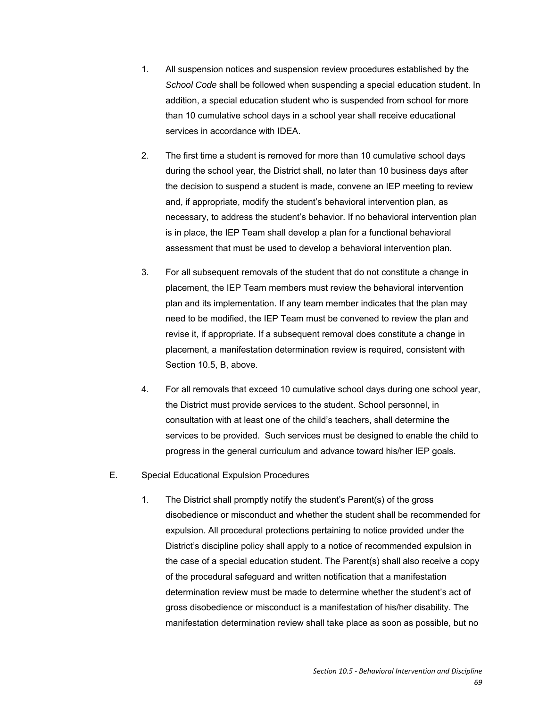- 1. All suspension notices and suspension review procedures established by the *School Code* shall be followed when suspending a special education student. In addition, a special education student who is suspended from school for more than 10 cumulative school days in a school year shall receive educational services in accordance with IDEA.
- 2. The first time a student is removed for more than 10 cumulative school days during the school year, the District shall, no later than 10 business days after the decision to suspend a student is made, convene an IEP meeting to review and, if appropriate, modify the student's behavioral intervention plan, as necessary, to address the student's behavior. If no behavioral intervention plan is in place, the IEP Team shall develop a plan for a functional behavioral assessment that must be used to develop a behavioral intervention plan.
- 3. For all subsequent removals of the student that do not constitute a change in placement, the IEP Team members must review the behavioral intervention plan and its implementation. If any team member indicates that the plan may need to be modified, the IEP Team must be convened to review the plan and revise it, if appropriate. If a subsequent removal does constitute a change in placement, a manifestation determination review is required, consistent with Section 10.5, B, above.
- 4. For all removals that exceed 10 cumulative school days during one school year, the District must provide services to the student. School personnel, in consultation with at least one of the child's teachers, shall determine the services to be provided. Such services must be designed to enable the child to progress in the general curriculum and advance toward his/her IEP goals.
- E. Special Educational Expulsion Procedures
	- 1. The District shall promptly notify the student's Parent(s) of the gross disobedience or misconduct and whether the student shall be recommended for expulsion. All procedural protections pertaining to notice provided under the District's discipline policy shall apply to a notice of recommended expulsion in the case of a special education student. The Parent(s) shall also receive a copy of the procedural safeguard and written notification that a manifestation determination review must be made to determine whether the student's act of gross disobedience or misconduct is a manifestation of his/her disability. The manifestation determination review shall take place as soon as possible, but no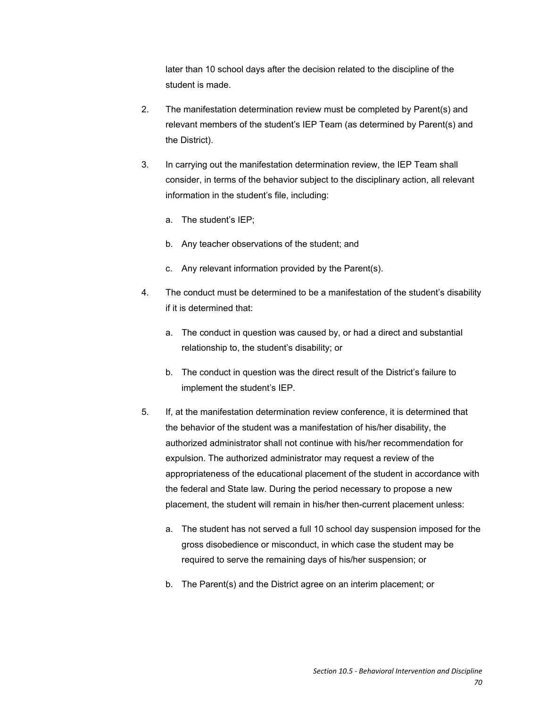later than 10 school days after the decision related to the discipline of the student is made.

- 2. The manifestation determination review must be completed by Parent(s) and relevant members of the student's IEP Team (as determined by Parent(s) and the District).
- 3. In carrying out the manifestation determination review, the IEP Team shall consider, in terms of the behavior subject to the disciplinary action, all relevant information in the student's file, including:
	- a. The student's IEP;
	- b. Any teacher observations of the student; and
	- c. Any relevant information provided by the Parent(s).
- 4. The conduct must be determined to be a manifestation of the student's disability if it is determined that:
	- a. The conduct in question was caused by, or had a direct and substantial relationship to, the student's disability; or
	- b. The conduct in question was the direct result of the District's failure to implement the student's IEP.
- 5. If, at the manifestation determination review conference, it is determined that the behavior of the student was a manifestation of his/her disability, the authorized administrator shall not continue with his/her recommendation for expulsion. The authorized administrator may request a review of the appropriateness of the educational placement of the student in accordance with the federal and State law. During the period necessary to propose a new placement, the student will remain in his/her then-current placement unless:
	- a. The student has not served a full 10 school day suspension imposed for the gross disobedience or misconduct, in which case the student may be required to serve the remaining days of his/her suspension; or
	- b. The Parent(s) and the District agree on an interim placement; or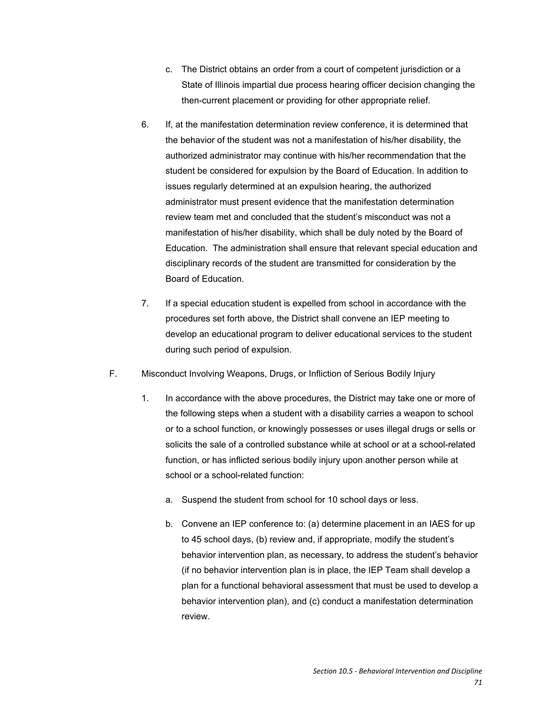- c. The District obtains an order from a court of competent jurisdiction or a State of Illinois impartial due process hearing officer decision changing the then-current placement or providing for other appropriate relief.
- 6. If, at the manifestation determination review conference, it is determined that the behavior of the student was not a manifestation of his/her disability, the authorized administrator may continue with his/her recommendation that the student be considered for expulsion by the Board of Education. In addition to issues regularly determined at an expulsion hearing, the authorized administrator must present evidence that the manifestation determination review team met and concluded that the student's misconduct was not a manifestation of his/her disability, which shall be duly noted by the Board of Education. The administration shall ensure that relevant special education and disciplinary records of the student are transmitted for consideration by the Board of Education.
- 7. If a special education student is expelled from school in accordance with the procedures set forth above, the District shall convene an IEP meeting to develop an educational program to deliver educational services to the student during such period of expulsion.
- F. Misconduct Involving Weapons, Drugs, or Infliction of Serious Bodily Injury
	- 1. In accordance with the above procedures, the District may take one or more of the following steps when a student with a disability carries a weapon to school or to a school function, or knowingly possesses or uses illegal drugs or sells or solicits the sale of a controlled substance while at school or at a school-related function, or has inflicted serious bodily injury upon another person while at school or a school-related function:
		- a. Suspend the student from school for 10 school days or less.
		- b. Convene an IEP conference to: (a) determine placement in an IAES for up to 45 school days, (b) review and, if appropriate, modify the student's behavior intervention plan, as necessary, to address the student's behavior (if no behavior intervention plan is in place, the IEP Team shall develop a plan for a functional behavioral assessment that must be used to develop a behavior intervention plan), and (c) conduct a manifestation determination review.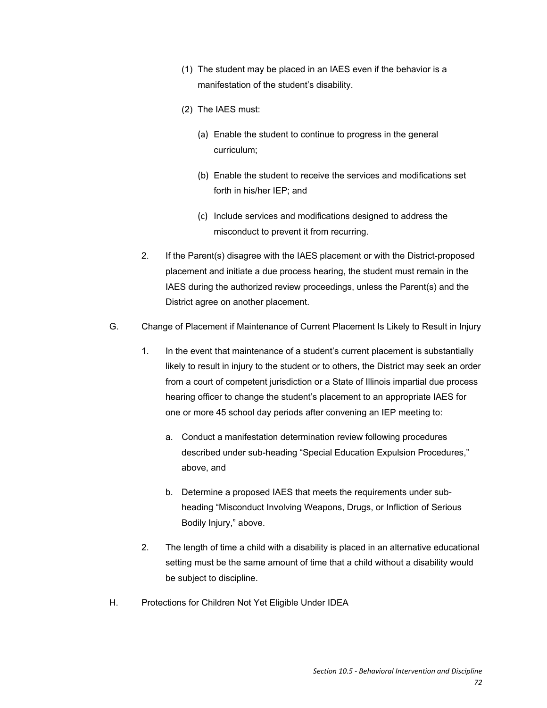- (1) The student may be placed in an IAES even if the behavior is a manifestation of the student's disability.
- (2) The IAES must:
	- (a) Enable the student to continue to progress in the general curriculum;
	- (b) Enable the student to receive the services and modifications set forth in his/her IEP; and
	- (c) Include services and modifications designed to address the misconduct to prevent it from recurring.
- 2. If the Parent(s) disagree with the IAES placement or with the District-proposed placement and initiate a due process hearing, the student must remain in the IAES during the authorized review proceedings, unless the Parent(s) and the District agree on another placement.
- G. Change of Placement if Maintenance of Current Placement Is Likely to Result in Injury
	- 1. In the event that maintenance of a student's current placement is substantially likely to result in injury to the student or to others, the District may seek an order from a court of competent jurisdiction or a State of Illinois impartial due process hearing officer to change the student's placement to an appropriate IAES for one or more 45 school day periods after convening an IEP meeting to:
		- a. Conduct a manifestation determination review following procedures described under sub-heading "Special Education Expulsion Procedures," above, and
		- b. Determine a proposed IAES that meets the requirements under subheading "Misconduct Involving Weapons, Drugs, or Infliction of Serious Bodily Injury," above.
	- 2. The length of time a child with a disability is placed in an alternative educational setting must be the same amount of time that a child without a disability would be subject to discipline.
- H. Protections for Children Not Yet Eligible Under IDEA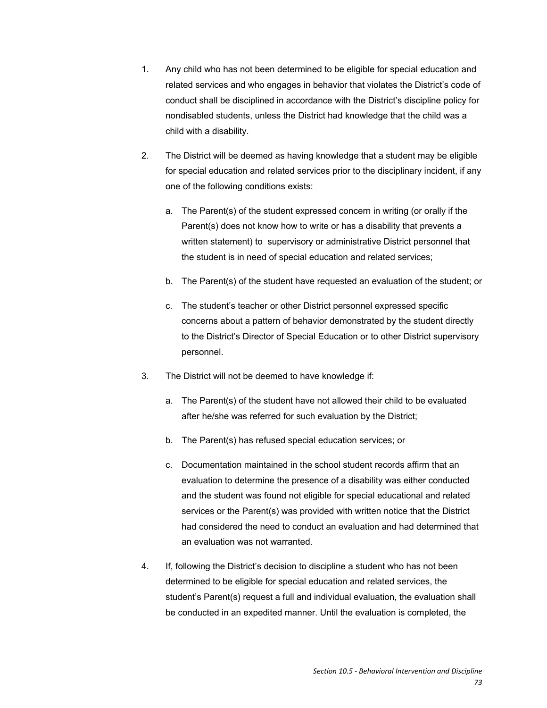- 1. Any child who has not been determined to be eligible for special education and related services and who engages in behavior that violates the District's code of conduct shall be disciplined in accordance with the District's discipline policy for nondisabled students, unless the District had knowledge that the child was a child with a disability.
- 2. The District will be deemed as having knowledge that a student may be eligible for special education and related services prior to the disciplinary incident, if any one of the following conditions exists:
	- a. The Parent(s) of the student expressed concern in writing (or orally if the Parent(s) does not know how to write or has a disability that prevents a written statement) to supervisory or administrative District personnel that the student is in need of special education and related services;
	- b. The Parent(s) of the student have requested an evaluation of the student; or
	- c. The student's teacher or other District personnel expressed specific concerns about a pattern of behavior demonstrated by the student directly to the District's Director of Special Education or to other District supervisory personnel.
- 3. The District will not be deemed to have knowledge if:
	- a. The Parent(s) of the student have not allowed their child to be evaluated after he/she was referred for such evaluation by the District;
	- b. The Parent(s) has refused special education services; or
	- c. Documentation maintained in the school student records affirm that an evaluation to determine the presence of a disability was either conducted and the student was found not eligible for special educational and related services or the Parent(s) was provided with written notice that the District had considered the need to conduct an evaluation and had determined that an evaluation was not warranted.
- 4. If, following the District's decision to discipline a student who has not been determined to be eligible for special education and related services, the student's Parent(s) request a full and individual evaluation, the evaluation shall be conducted in an expedited manner. Until the evaluation is completed, the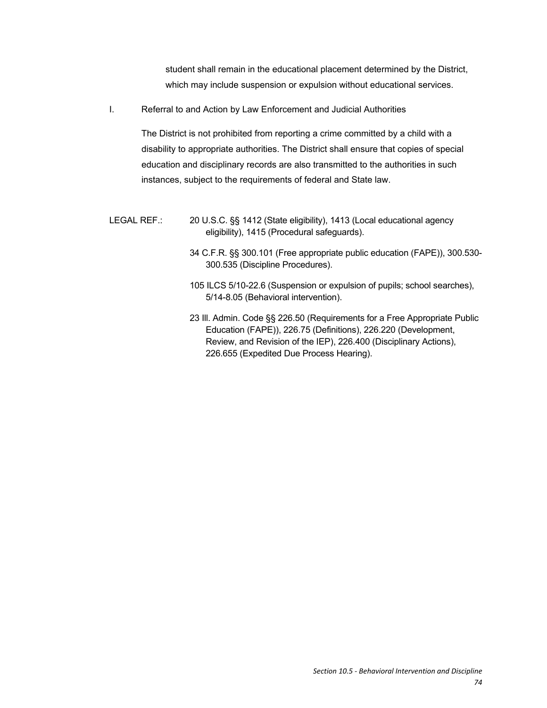student shall remain in the educational placement determined by the District, which may include suspension or expulsion without educational services.

I. Referral to and Action by Law Enforcement and Judicial Authorities

The District is not prohibited from reporting a crime committed by a child with a disability to appropriate authorities. The District shall ensure that copies of special education and disciplinary records are also transmitted to the authorities in such instances, subject to the requirements of federal and State law.

- LEGAL REF.: 20 U.S.C. §§ 1412 (State eligibility), 1413 (Local educational agency eligibility), 1415 (Procedural safeguards).
	- 34 C.F.R. §§ 300.101 (Free appropriate public education (FAPE)), 300.530- 300.535 (Discipline Procedures).
	- 105 ILCS 5/10-22.6 (Suspension or expulsion of pupils; school searches), 5/14-8.05 (Behavioral intervention).
	- 23 Ill. Admin. Code §§ 226.50 (Requirements for a Free Appropriate Public Education (FAPE)), 226.75 (Definitions), 226.220 (Development, Review, and Revision of the IEP), 226.400 (Disciplinary Actions), 226.655 (Expedited Due Process Hearing).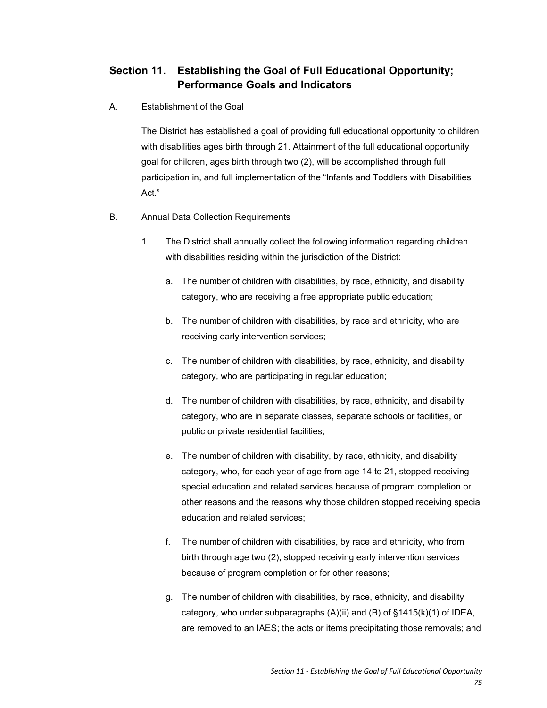## **Section 11. Establishing the Goal of Full Educational Opportunity; Performance Goals and Indicators**

A. Establishment of the Goal

The District has established a goal of providing full educational opportunity to children with disabilities ages birth through 21. Attainment of the full educational opportunity goal for children, ages birth through two (2), will be accomplished through full participation in, and full implementation of the "Infants and Toddlers with Disabilities Act."

- B. Annual Data Collection Requirements
	- 1. The District shall annually collect the following information regarding children with disabilities residing within the jurisdiction of the District:
		- a. The number of children with disabilities, by race, ethnicity, and disability category, who are receiving a free appropriate public education;
		- b. The number of children with disabilities, by race and ethnicity, who are receiving early intervention services;
		- c. The number of children with disabilities, by race, ethnicity, and disability category, who are participating in regular education;
		- d. The number of children with disabilities, by race, ethnicity, and disability category, who are in separate classes, separate schools or facilities, or public or private residential facilities;
		- e. The number of children with disability, by race, ethnicity, and disability category, who, for each year of age from age 14 to 21, stopped receiving special education and related services because of program completion or other reasons and the reasons why those children stopped receiving special education and related services;
		- f. The number of children with disabilities, by race and ethnicity, who from birth through age two (2), stopped receiving early intervention services because of program completion or for other reasons;
		- g. The number of children with disabilities, by race, ethnicity, and disability category, who under subparagraphs (A)(ii) and (B) of §1415(k)(1) of IDEA, are removed to an IAES; the acts or items precipitating those removals; and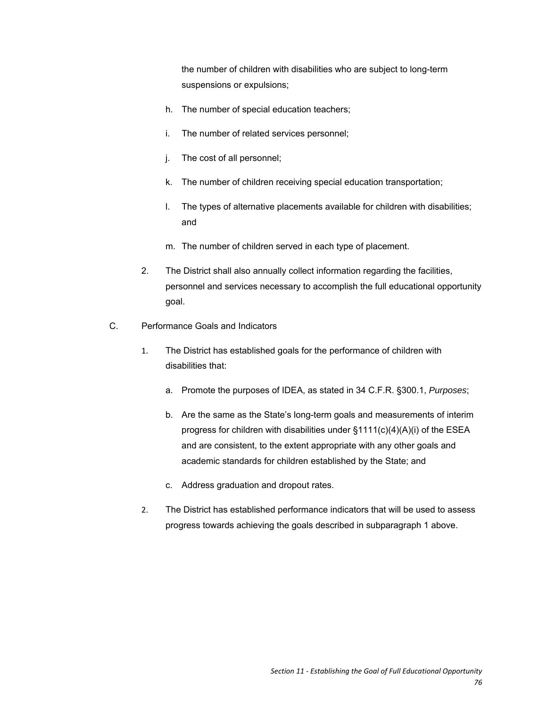the number of children with disabilities who are subject to long-term suspensions or expulsions;

- h. The number of special education teachers;
- i. The number of related services personnel;
- j. The cost of all personnel;
- k. The number of children receiving special education transportation;
- l. The types of alternative placements available for children with disabilities; and
- m. The number of children served in each type of placement.
- 2. The District shall also annually collect information regarding the facilities, personnel and services necessary to accomplish the full educational opportunity goal.
- C. Performance Goals and Indicators
	- 1. The District has established goals for the performance of children with disabilities that:
		- a. Promote the purposes of IDEA, as stated in 34 C.F.R. §300.1, *Purposes*;
		- b. Are the same as the State's long-term goals and measurements of interim progress for children with disabilities under §1111(c)(4)(A)(i) of the ESEA and are consistent, to the extent appropriate with any other goals and academic standards for children established by the State; and
		- c. Address graduation and dropout rates.
	- 2. The District has established performance indicators that will be used to assess progress towards achieving the goals described in subparagraph 1 above.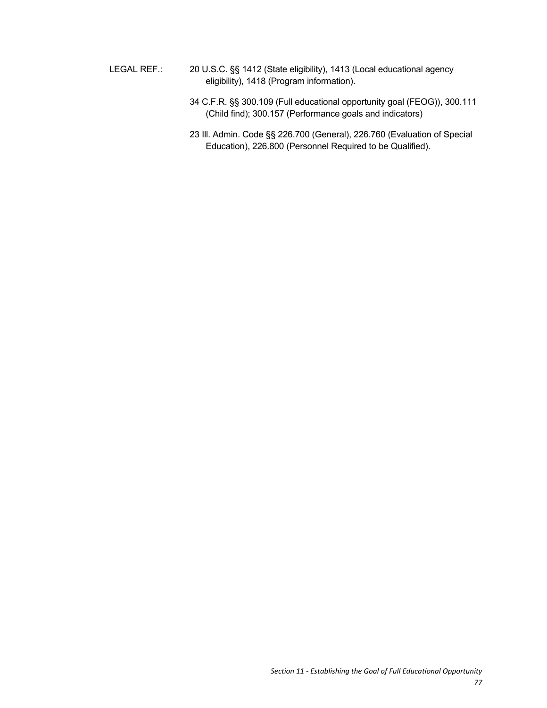- LEGAL REF.: 20 U.S.C. §§ 1412 (State eligibility), 1413 (Local educational agency eligibility), 1418 (Program information).
	- 34 C.F.R. §§ 300.109 (Full educational opportunity goal (FEOG)), 300.111 (Child find); 300.157 (Performance goals and indicators)
	- 23 Ill. Admin. Code §§ 226.700 (General), 226.760 (Evaluation of Special Education), 226.800 (Personnel Required to be Qualified).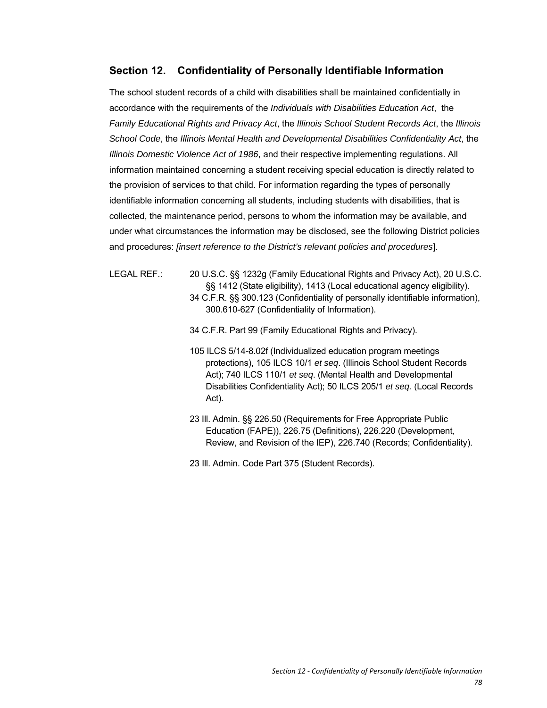## **Section 12. Confidentiality of Personally Identifiable Information**

The school student records of a child with disabilities shall be maintained confidentially in accordance with the requirements of the *Individuals with Disabilities Education Act*, the *Family Educational Rights and Privacy Act*, the *Illinois School Student Records Act*, the *Illinois School Code*, the *Illinois Mental Health and Developmental Disabilities Confidentiality Act*, the *Illinois Domestic Violence Act of 1986*, and their respective implementing regulations. All information maintained concerning a student receiving special education is directly related to the provision of services to that child. For information regarding the types of personally identifiable information concerning all students, including students with disabilities, that is collected, the maintenance period, persons to whom the information may be available, and under what circumstances the information may be disclosed, see the following District policies and procedures: *[insert reference to the District's relevant policies and procedures*].

LEGAL REF.: 20 U.S.C. §§ 1232g (Family Educational Rights and Privacy Act), 20 U.S.C. §§ 1412 (State eligibility), 1413 (Local educational agency eligibility).

- 34 C.F.R. §§ 300.123 (Confidentiality of personally identifiable information), 300.610-627 (Confidentiality of Information).
- 34 C.F.R. Part 99 (Family Educational Rights and Privacy).
- 105 ILCS 5/14-8.02f (Individualized education program meetings protections), 105 ILCS 10/1 *et seq*. (Illinois School Student Records Act); 740 ILCS 110/1 *et seq*. (Mental Health and Developmental Disabilities Confidentiality Act); 50 ILCS 205/1 *et seq.* (Local Records Act).
- 23 Ill. Admin. §§ 226.50 (Requirements for Free Appropriate Public Education (FAPE)), 226.75 (Definitions), 226.220 (Development, Review, and Revision of the IEP), 226.740 (Records; Confidentiality).
- 23 Ill. Admin. Code Part 375 (Student Records).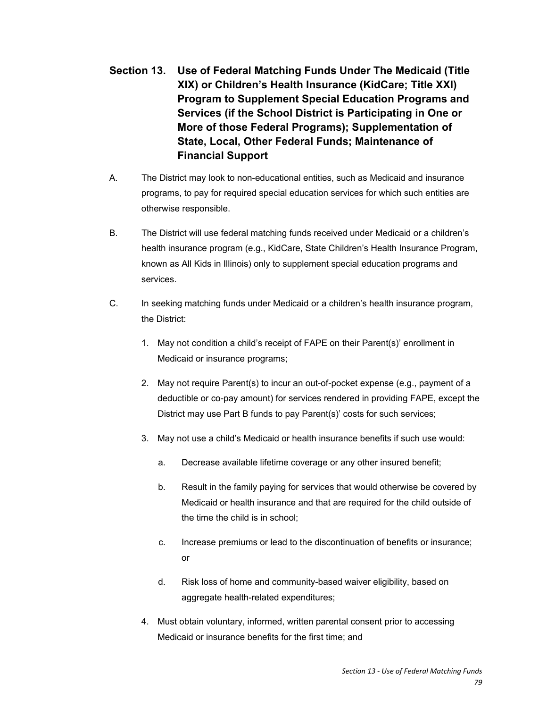- **Section 13. Use of Federal Matching Funds Under The Medicaid (Title XIX) or Children's Health Insurance (KidCare; Title XXI) Program to Supplement Special Education Programs and Services (if the School District is Participating in One or More of those Federal Programs); Supplementation of State, Local, Other Federal Funds; Maintenance of Financial Support**
- A. The District may look to non-educational entities, such as Medicaid and insurance programs, to pay for required special education services for which such entities are otherwise responsible.
- B. The District will use federal matching funds received under Medicaid or a children's health insurance program (e.g., KidCare, State Children's Health Insurance Program, known as All Kids in Illinois) only to supplement special education programs and services.
- C. In seeking matching funds under Medicaid or a children's health insurance program, the District:
	- 1. May not condition a child's receipt of FAPE on their Parent(s)' enrollment in Medicaid or insurance programs;
	- 2. May not require Parent(s) to incur an out-of-pocket expense (e.g., payment of a deductible or co-pay amount) for services rendered in providing FAPE, except the District may use Part B funds to pay Parent(s)' costs for such services;
	- 3. May not use a child's Medicaid or health insurance benefits if such use would:
		- a. Decrease available lifetime coverage or any other insured benefit;
		- b. Result in the family paying for services that would otherwise be covered by Medicaid or health insurance and that are required for the child outside of the time the child is in school;
		- c. Increase premiums or lead to the discontinuation of benefits or insurance; or
		- d. Risk loss of home and community-based waiver eligibility, based on aggregate health-related expenditures;
	- 4. Must obtain voluntary, informed, written parental consent prior to accessing Medicaid or insurance benefits for the first time; and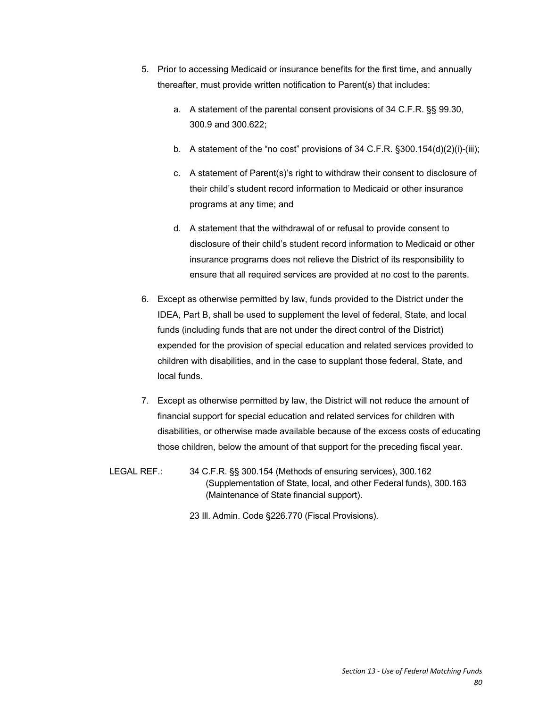- 5. Prior to accessing Medicaid or insurance benefits for the first time, and annually thereafter, must provide written notification to Parent(s) that includes:
	- a. A statement of the parental consent provisions of 34 C.F.R. §§ 99.30, 300.9 and 300.622;
	- b. A statement of the "no cost" provisions of 34 C.F.R. §300.154(d)(2)(i)-(iii);
	- c. A statement of Parent(s)'s right to withdraw their consent to disclosure of their child's student record information to Medicaid or other insurance programs at any time; and
	- d. A statement that the withdrawal of or refusal to provide consent to disclosure of their child's student record information to Medicaid or other insurance programs does not relieve the District of its responsibility to ensure that all required services are provided at no cost to the parents.
- 6. Except as otherwise permitted by law, funds provided to the District under the IDEA, Part B, shall be used to supplement the level of federal, State, and local funds (including funds that are not under the direct control of the District) expended for the provision of special education and related services provided to children with disabilities, and in the case to supplant those federal, State, and local funds.
- 7. Except as otherwise permitted by law, the District will not reduce the amount of financial support for special education and related services for children with disabilities, or otherwise made available because of the excess costs of educating those children, below the amount of that support for the preceding fiscal year.
- LEGAL REF.: 34 C.F.R. §§ 300.154 (Methods of ensuring services), 300.162 (Supplementation of State, local, and other Federal funds), 300.163 (Maintenance of State financial support).

23 Ill. Admin. Code §226.770 (Fiscal Provisions).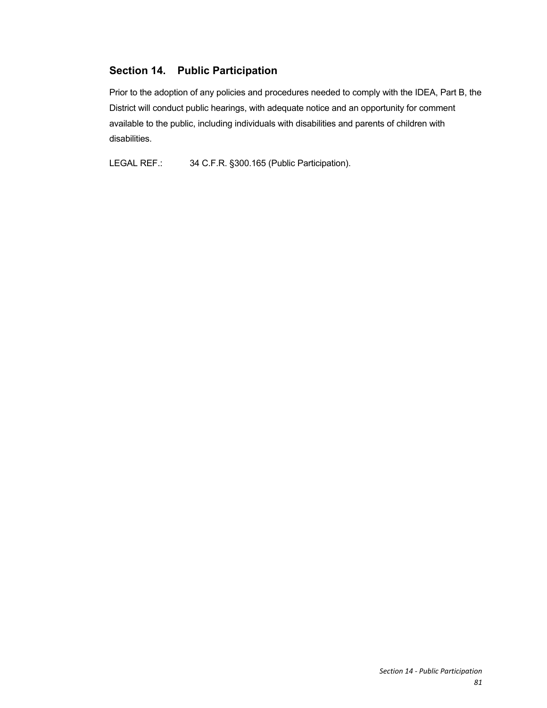## **Section 14. Public Participation**

Prior to the adoption of any policies and procedures needed to comply with the IDEA, Part B, the District will conduct public hearings, with adequate notice and an opportunity for comment available to the public, including individuals with disabilities and parents of children with disabilities.

LEGAL REF.: 34 C.F.R. §300.165 (Public Participation).